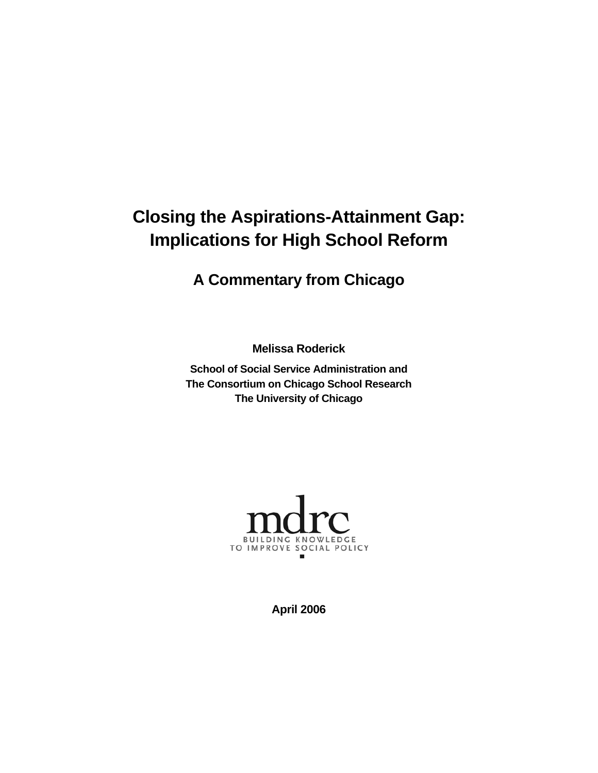# **Closing the Aspirations-Attainment Gap: Implications for High School Reform**

# **A Commentary from Chicago**

**Melissa Roderick**

**School of Social Service Administration and The Consortium on Chicago School Research The University of Chicago** 



**April 2006**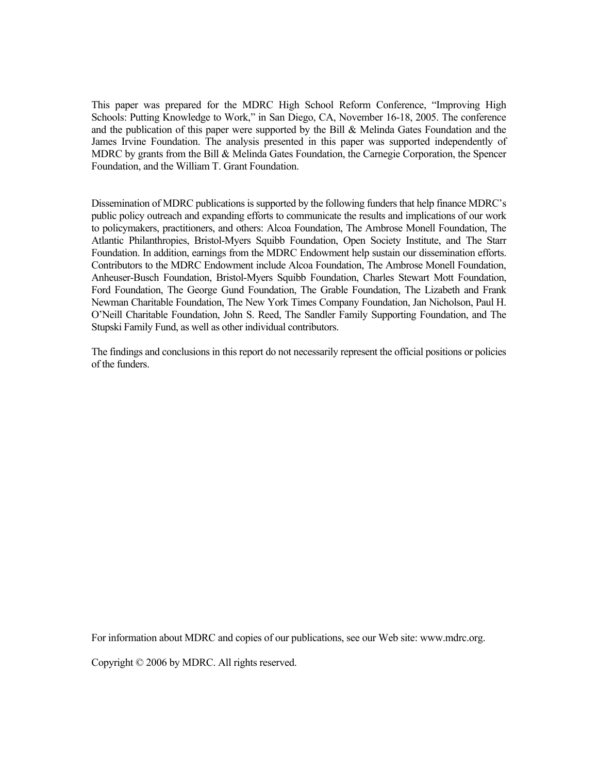This paper was prepared for the MDRC High School Reform Conference, "Improving High Schools: Putting Knowledge to Work," in San Diego, CA, November 16-18, 2005. The conference and the publication of this paper were supported by the Bill & Melinda Gates Foundation and the James Irvine Foundation. The analysis presented in this paper was supported independently of MDRC by grants from the Bill & Melinda Gates Foundation, the Carnegie Corporation, the Spencer Foundation, and the William T. Grant Foundation.

Dissemination of MDRC publications is supported by the following funders that help finance MDRC's public policy outreach and expanding efforts to communicate the results and implications of our work to policymakers, practitioners, and others: Alcoa Foundation, The Ambrose Monell Foundation, The Atlantic Philanthropies, Bristol-Myers Squibb Foundation, Open Society Institute, and The Starr Foundation. In addition, earnings from the MDRC Endowment help sustain our dissemination efforts. Contributors to the MDRC Endowment include Alcoa Foundation, The Ambrose Monell Foundation, Anheuser-Busch Foundation, Bristol-Myers Squibb Foundation, Charles Stewart Mott Foundation, Ford Foundation, The George Gund Foundation, The Grable Foundation, The Lizabeth and Frank Newman Charitable Foundation, The New York Times Company Foundation, Jan Nicholson, Paul H. O'Neill Charitable Foundation, John S. Reed, The Sandler Family Supporting Foundation, and The Stupski Family Fund, as well as other individual contributors.

The findings and conclusions in this report do not necessarily represent the official positions or policies of the funders.

For information about MDRC and copies of our publications, see our Web site: www.mdrc.org.

Copyright © 2006 by MDRC. All rights reserved.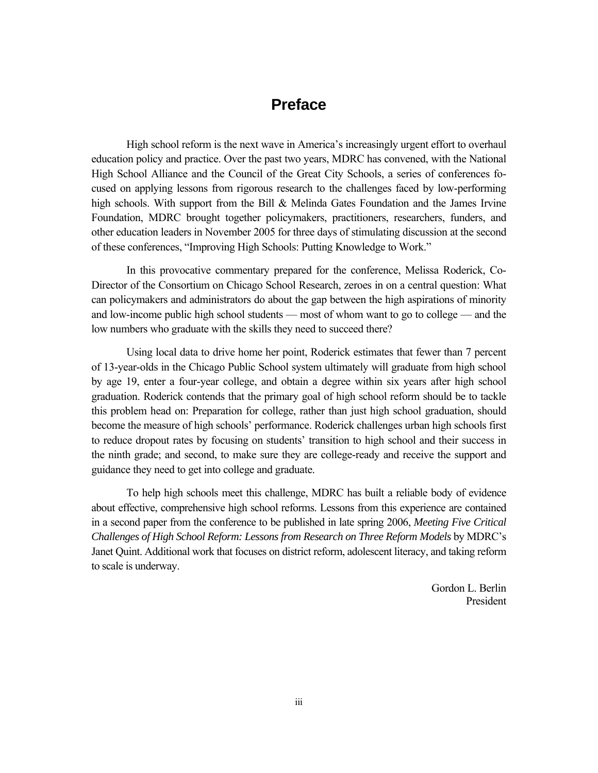## **Preface**

High school reform is the next wave in America's increasingly urgent effort to overhaul education policy and practice. Over the past two years, MDRC has convened, with the National High School Alliance and the Council of the Great City Schools, a series of conferences focused on applying lessons from rigorous research to the challenges faced by low-performing high schools. With support from the Bill & Melinda Gates Foundation and the James Irvine Foundation, MDRC brought together policymakers, practitioners, researchers, funders, and other education leaders in November 2005 for three days of stimulating discussion at the second of these conferences, "Improving High Schools: Putting Knowledge to Work."

In this provocative commentary prepared for the conference, Melissa Roderick, Co-Director of the Consortium on Chicago School Research, zeroes in on a central question: What can policymakers and administrators do about the gap between the high aspirations of minority and low-income public high school students — most of whom want to go to college — and the low numbers who graduate with the skills they need to succeed there?

Using local data to drive home her point, Roderick estimates that fewer than 7 percent of 13-year-olds in the Chicago Public School system ultimately will graduate from high school by age 19, enter a four-year college, and obtain a degree within six years after high school graduation. Roderick contends that the primary goal of high school reform should be to tackle this problem head on: Preparation for college, rather than just high school graduation, should become the measure of high schools' performance. Roderick challenges urban high schools first to reduce dropout rates by focusing on students' transition to high school and their success in the ninth grade; and second, to make sure they are college-ready and receive the support and guidance they need to get into college and graduate.

To help high schools meet this challenge, MDRC has built a reliable body of evidence about effective, comprehensive high school reforms. Lessons from this experience are contained in a second paper from the conference to be published in late spring 2006, *Meeting Five Critical Challenges of High School Reform: Lessons from Research on Three Reform Models* by MDRC's Janet Quint. Additional work that focuses on district reform, adolescent literacy, and taking reform to scale is underway.

> Gordon L. Berlin President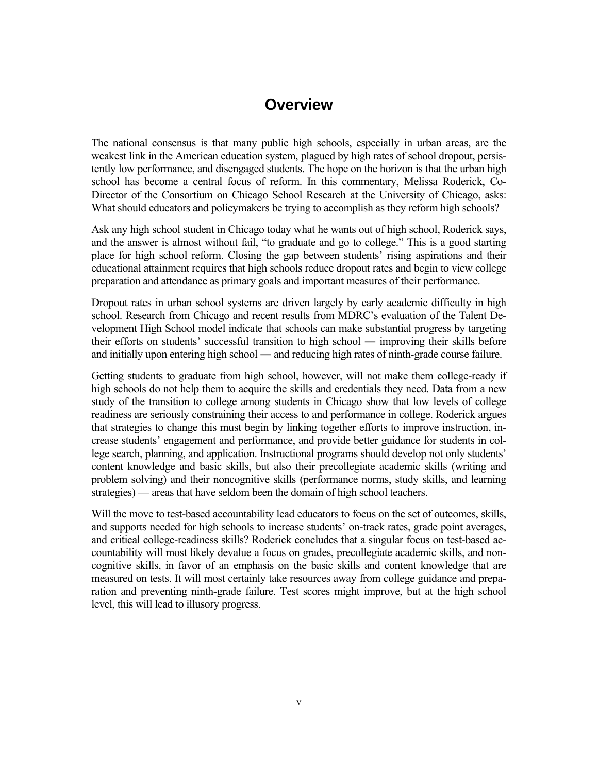## **Overview**

The national consensus is that many public high schools, especially in urban areas, are the weakest link in the American education system, plagued by high rates of school dropout, persistently low performance, and disengaged students. The hope on the horizon is that the urban high school has become a central focus of reform. In this commentary, Melissa Roderick, Co-Director of the Consortium on Chicago School Research at the University of Chicago, asks: What should educators and policymakers be trying to accomplish as they reform high schools?

Ask any high school student in Chicago today what he wants out of high school, Roderick says, and the answer is almost without fail, "to graduate and go to college." This is a good starting place for high school reform. Closing the gap between students' rising aspirations and their educational attainment requires that high schools reduce dropout rates and begin to view college preparation and attendance as primary goals and important measures of their performance.

Dropout rates in urban school systems are driven largely by early academic difficulty in high school. Research from Chicago and recent results from MDRC's evaluation of the Talent Development High School model indicate that schools can make substantial progress by targeting their efforts on students' successful transition to high school ― improving their skills before and initially upon entering high school ― and reducing high rates of ninth-grade course failure.

Getting students to graduate from high school, however, will not make them college-ready if high schools do not help them to acquire the skills and credentials they need. Data from a new study of the transition to college among students in Chicago show that low levels of college readiness are seriously constraining their access to and performance in college. Roderick argues that strategies to change this must begin by linking together efforts to improve instruction, increase students' engagement and performance, and provide better guidance for students in college search, planning, and application. Instructional programs should develop not only students' content knowledge and basic skills, but also their precollegiate academic skills (writing and problem solving) and their noncognitive skills (performance norms, study skills, and learning strategies) — areas that have seldom been the domain of high school teachers.

Will the move to test-based accountability lead educators to focus on the set of outcomes, skills, and supports needed for high schools to increase students' on-track rates, grade point averages, and critical college-readiness skills? Roderick concludes that a singular focus on test-based accountability will most likely devalue a focus on grades, precollegiate academic skills, and noncognitive skills, in favor of an emphasis on the basic skills and content knowledge that are measured on tests. It will most certainly take resources away from college guidance and preparation and preventing ninth-grade failure. Test scores might improve, but at the high school level, this will lead to illusory progress.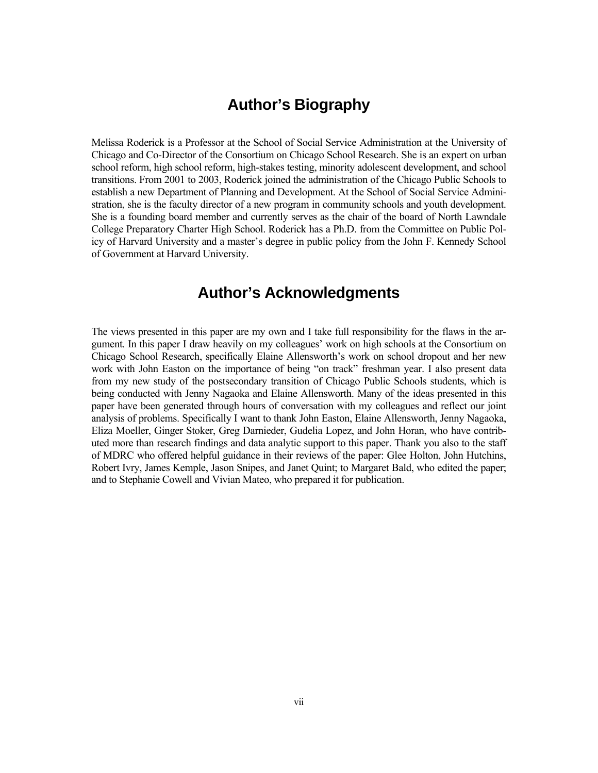## **Author's Biography**

Melissa Roderick is a Professor at the School of Social Service Administration at the University of Chicago and Co-Director of the Consortium on Chicago School Research. She is an expert on urban school reform, high school reform, high-stakes testing, minority adolescent development, and school transitions. From 2001 to 2003, Roderick joined the administration of the Chicago Public Schools to establish a new Department of Planning and Development. At the School of Social Service Administration, she is the faculty director of a new program in community schools and youth development. She is a founding board member and currently serves as the chair of the board of North Lawndale College Preparatory Charter High School. Roderick has a Ph.D. from the Committee on Public Policy of Harvard University and a master's degree in public policy from the John F. Kennedy School of Government at Harvard University.

## **Author's Acknowledgments**

The views presented in this paper are my own and I take full responsibility for the flaws in the argument. In this paper I draw heavily on my colleagues' work on high schools at the Consortium on Chicago School Research, specifically Elaine Allensworth's work on school dropout and her new work with John Easton on the importance of being "on track" freshman year. I also present data from my new study of the postsecondary transition of Chicago Public Schools students, which is being conducted with Jenny Nagaoka and Elaine Allensworth. Many of the ideas presented in this paper have been generated through hours of conversation with my colleagues and reflect our joint analysis of problems. Specifically I want to thank John Easton, Elaine Allensworth, Jenny Nagaoka, Eliza Moeller, Ginger Stoker, Greg Darnieder, Gudelia Lopez, and John Horan, who have contributed more than research findings and data analytic support to this paper. Thank you also to the staff of MDRC who offered helpful guidance in their reviews of the paper: Glee Holton, John Hutchins, Robert Ivry, James Kemple, Jason Snipes, and Janet Quint; to Margaret Bald, who edited the paper; and to Stephanie Cowell and Vivian Mateo, who prepared it for publication.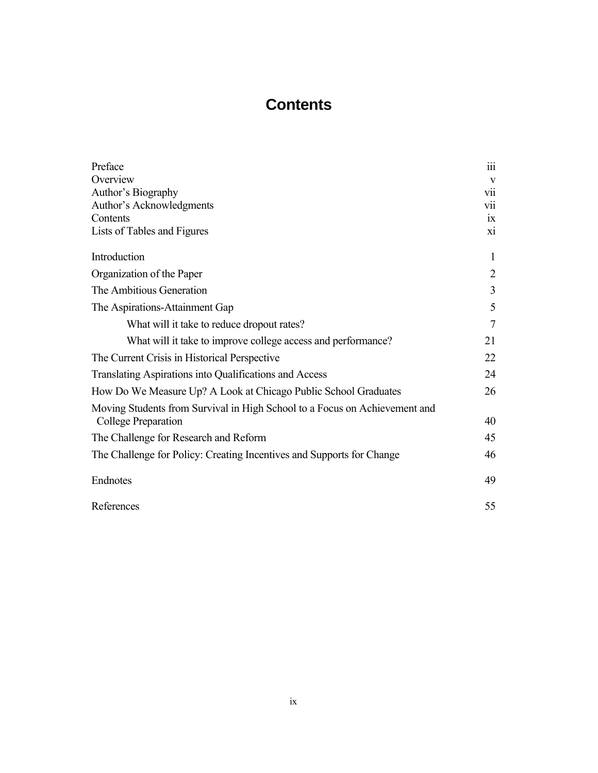## **Contents**

| Preface                                                                    | 111            |
|----------------------------------------------------------------------------|----------------|
| Overview                                                                   | V              |
| Author's Biography                                                         | <b>V11</b>     |
| Author's Acknowledgments                                                   | <b>V11</b>     |
| Contents                                                                   | 1X             |
| Lists of Tables and Figures                                                | xi             |
| Introduction                                                               | $\mathbf{1}$   |
| Organization of the Paper                                                  | $\overline{2}$ |
| The Ambitious Generation                                                   | 3              |
| The Aspirations-Attainment Gap                                             | 5              |
| What will it take to reduce dropout rates?                                 | 7              |
| What will it take to improve college access and performance?               | 21             |
| The Current Crisis in Historical Perspective                               | 22             |
| Translating Aspirations into Qualifications and Access                     | 24             |
| How Do We Measure Up? A Look at Chicago Public School Graduates            | 26             |
| Moving Students from Survival in High School to a Focus on Achievement and |                |
| College Preparation                                                        | 40             |
| The Challenge for Research and Reform                                      | 45             |
| The Challenge for Policy: Creating Incentives and Supports for Change      | 46             |
| Endnotes                                                                   | 49             |
| References                                                                 | 55             |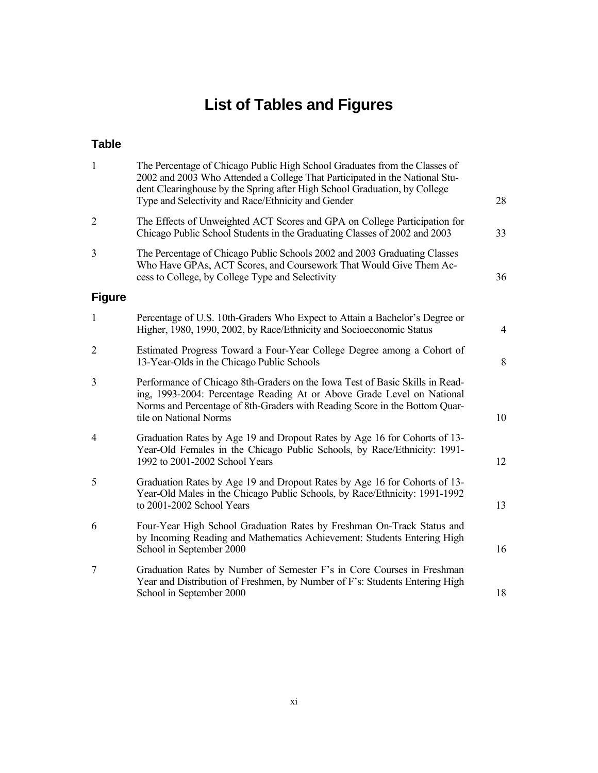# **List of Tables and Figures**

## **Table**

| $\mathbf{1}$   | The Percentage of Chicago Public High School Graduates from the Classes of<br>2002 and 2003 Who Attended a College That Participated in the National Stu-<br>dent Clearinghouse by the Spring after High School Graduation, by College<br>Type and Selectivity and Race/Ethnicity and Gender | 28             |
|----------------|----------------------------------------------------------------------------------------------------------------------------------------------------------------------------------------------------------------------------------------------------------------------------------------------|----------------|
| $\overline{2}$ | The Effects of Unweighted ACT Scores and GPA on College Participation for<br>Chicago Public School Students in the Graduating Classes of 2002 and 2003                                                                                                                                       | 33             |
| 3              | The Percentage of Chicago Public Schools 2002 and 2003 Graduating Classes<br>Who Have GPAs, ACT Scores, and Coursework That Would Give Them Ac-<br>cess to College, by College Type and Selectivity                                                                                          | 36             |
| <b>Figure</b>  |                                                                                                                                                                                                                                                                                              |                |
| $\mathbf{1}$   | Percentage of U.S. 10th-Graders Who Expect to Attain a Bachelor's Degree or<br>Higher, 1980, 1990, 2002, by Race/Ethnicity and Socioeconomic Status                                                                                                                                          | $\overline{4}$ |
| $\overline{2}$ | Estimated Progress Toward a Four-Year College Degree among a Cohort of<br>13-Year-Olds in the Chicago Public Schools                                                                                                                                                                         | 8              |
| 3              | Performance of Chicago 8th-Graders on the Iowa Test of Basic Skills in Read-<br>ing, 1993-2004: Percentage Reading At or Above Grade Level on National<br>Norms and Percentage of 8th-Graders with Reading Score in the Bottom Quar-<br>tile on National Norms                               | 10             |
| 4              | Graduation Rates by Age 19 and Dropout Rates by Age 16 for Cohorts of 13-<br>Year-Old Females in the Chicago Public Schools, by Race/Ethnicity: 1991-<br>1992 to 2001-2002 School Years                                                                                                      | 12             |
| 5              | Graduation Rates by Age 19 and Dropout Rates by Age 16 for Cohorts of 13-<br>Year-Old Males in the Chicago Public Schools, by Race/Ethnicity: 1991-1992<br>to 2001-2002 School Years                                                                                                         | 13             |
| 6              | Four-Year High School Graduation Rates by Freshman On-Track Status and<br>by Incoming Reading and Mathematics Achievement: Students Entering High<br>School in September 2000                                                                                                                | 16             |
| $\tau$         | Graduation Rates by Number of Semester F's in Core Courses in Freshman<br>Year and Distribution of Freshmen, by Number of F's: Students Entering High<br>School in September 2000                                                                                                            | 18             |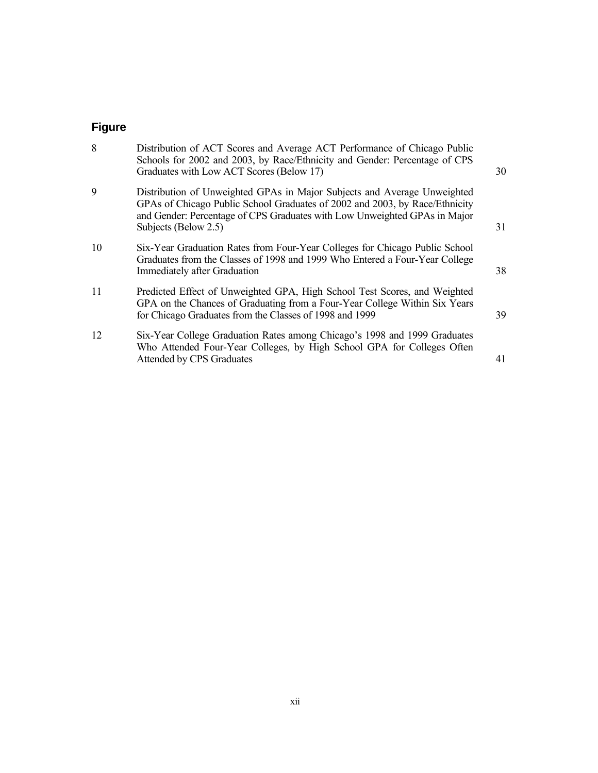| 9<br>Distribution of Unweighted GPAs in Major Subjects and Average Unweighted<br>GPAs of Chicago Public School Graduates of 2002 and 2003, by Race/Ethnicity<br>and Gender: Percentage of CPS Graduates with Low Unweighted GPAs in Major<br>Subjects (Below 2.5)<br>10<br>Six-Year Graduation Rates from Four-Year Colleges for Chicago Public School<br>Graduates from the Classes of 1998 and 1999 Who Entered a Four-Year College<br><b>Immediately after Graduation</b><br>11<br>Predicted Effect of Unweighted GPA, High School Test Scores, and Weighted<br>GPA on the Chances of Graduating from a Four-Year College Within Six Years<br>for Chicago Graduates from the Classes of 1998 and 1999<br>12<br>Six-Year College Graduation Rates among Chicago's 1998 and 1999 Graduates<br>Who Attended Four-Year Colleges, by High School GPA for Colleges Often | 8 | Distribution of ACT Scores and Average ACT Performance of Chicago Public<br>Schools for 2002 and 2003, by Race/Ethnicity and Gender: Percentage of CPS<br>Graduates with Low ACT Scores (Below 17) | 30 |
|-----------------------------------------------------------------------------------------------------------------------------------------------------------------------------------------------------------------------------------------------------------------------------------------------------------------------------------------------------------------------------------------------------------------------------------------------------------------------------------------------------------------------------------------------------------------------------------------------------------------------------------------------------------------------------------------------------------------------------------------------------------------------------------------------------------------------------------------------------------------------|---|----------------------------------------------------------------------------------------------------------------------------------------------------------------------------------------------------|----|
|                                                                                                                                                                                                                                                                                                                                                                                                                                                                                                                                                                                                                                                                                                                                                                                                                                                                       |   |                                                                                                                                                                                                    | 31 |
|                                                                                                                                                                                                                                                                                                                                                                                                                                                                                                                                                                                                                                                                                                                                                                                                                                                                       |   |                                                                                                                                                                                                    | 38 |
|                                                                                                                                                                                                                                                                                                                                                                                                                                                                                                                                                                                                                                                                                                                                                                                                                                                                       |   |                                                                                                                                                                                                    | 39 |
|                                                                                                                                                                                                                                                                                                                                                                                                                                                                                                                                                                                                                                                                                                                                                                                                                                                                       |   | <b>Attended by CPS Graduates</b>                                                                                                                                                                   | 41 |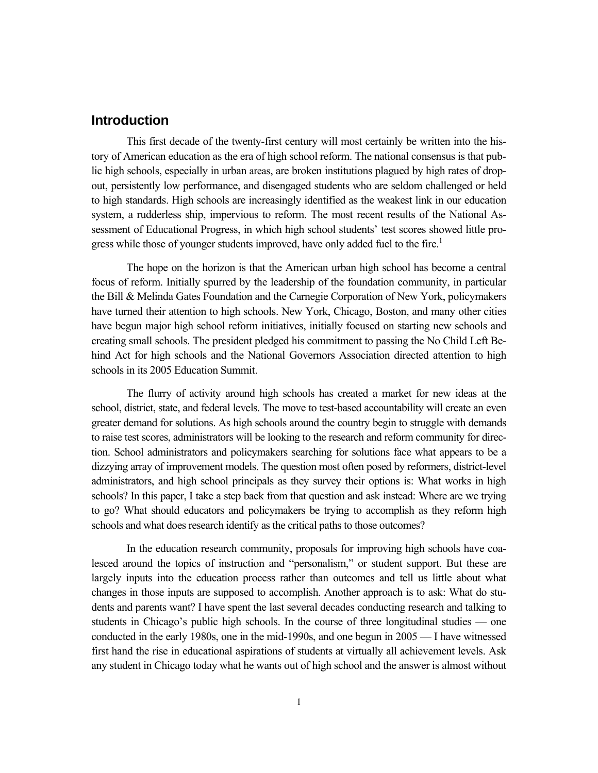### **Introduction**

This first decade of the twenty-first century will most certainly be written into the history of American education as the era of high school reform. The national consensus is that public high schools, especially in urban areas, are broken institutions plagued by high rates of dropout, persistently low performance, and disengaged students who are seldom challenged or held to high standards. High schools are increasingly identified as the weakest link in our education system, a rudderless ship, impervious to reform. The most recent results of the National Assessment of Educational Progress, in which high school students' test scores showed little progress while those of younger students improved, have only added fuel to the fire.<sup>1</sup>

The hope on the horizon is that the American urban high school has become a central focus of reform. Initially spurred by the leadership of the foundation community, in particular the Bill & Melinda Gates Foundation and the Carnegie Corporation of New York, policymakers have turned their attention to high schools. New York, Chicago, Boston, and many other cities have begun major high school reform initiatives, initially focused on starting new schools and creating small schools. The president pledged his commitment to passing the No Child Left Behind Act for high schools and the National Governors Association directed attention to high schools in its 2005 Education Summit.

The flurry of activity around high schools has created a market for new ideas at the school, district, state, and federal levels. The move to test-based accountability will create an even greater demand for solutions. As high schools around the country begin to struggle with demands to raise test scores, administrators will be looking to the research and reform community for direction. School administrators and policymakers searching for solutions face what appears to be a dizzying array of improvement models. The question most often posed by reformers, district-level administrators, and high school principals as they survey their options is: What works in high schools? In this paper, I take a step back from that question and ask instead: Where are we trying to go? What should educators and policymakers be trying to accomplish as they reform high schools and what does research identify as the critical paths to those outcomes?

In the education research community, proposals for improving high schools have coalesced around the topics of instruction and "personalism," or student support. But these are largely inputs into the education process rather than outcomes and tell us little about what changes in those inputs are supposed to accomplish. Another approach is to ask: What do students and parents want? I have spent the last several decades conducting research and talking to students in Chicago's public high schools. In the course of three longitudinal studies — one conducted in the early 1980s, one in the mid-1990s, and one begun in 2005 — I have witnessed first hand the rise in educational aspirations of students at virtually all achievement levels. Ask any student in Chicago today what he wants out of high school and the answer is almost without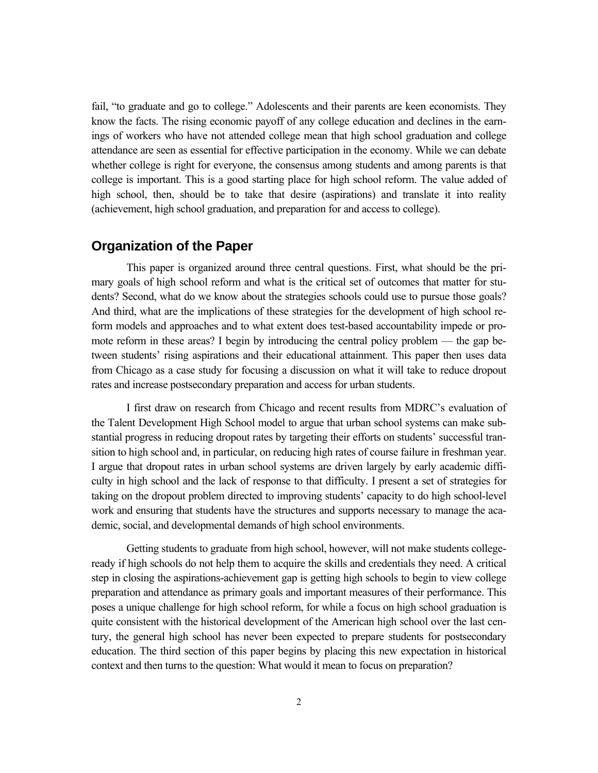fail, "to graduate and go to college." Adolescents and their parents are keen economists. They know the facts. The rising economic payoff of any college education and declines in the earnings of workers who have not attended college mean that high school graduation and college attendance are seen as essential for effective participation in the economy. While we can debate whether college is right for everyone, the consensus among students and among parents is that college is important. This is a good starting place for high school reform. The value added of high school, then, should be to take that desire (aspirations) and translate it into reality (achievement, high school graduation, and preparation for and access to college).

#### **Organization of the Paper**

This paper is organized around three central questions. First, what should be the primary goals of high school reform and what is the critical set of outcomes that matter for students? Second, what do we know about the strategies schools could use to pursue those goals? And third, what are the implications of these strategies for the development of high school reform models and approaches and to what extent does test-based accountability impede or promote reform in these areas? I begin by introducing the central policy problem — the gap between students' rising aspirations and their educational attainment. This paper then uses data from Chicago as a case study for focusing a discussion on what it will take to reduce dropout rates and increase postsecondary preparation and access for urban students.

I first draw on research from Chicago and recent results from MDRC's evaluation of the Talent Development High School model to argue that urban school systems can make substantial progress in reducing dropout rates by targeting their efforts on students' successful transition to high school and, in particular, on reducing high rates of course failure in freshman year. I argue that dropout rates in urban school systems are driven largely by early academic difficulty in high school and the lack of response to that difficulty. I present a set of strategies for taking on the dropout problem directed to improving students' capacity to do high school-level work and ensuring that students have the structures and supports necessary to manage the academic, social, and developmental demands of high school environments.

Getting students to graduate from high school, however, will not make students collegeready if high schools do not help them to acquire the skills and credentials they need. A critical step in closing the aspirations-achievement gap is getting high schools to begin to view college preparation and attendance as primary goals and important measures of their performance. This poses a unique challenge for high school reform, for while a focus on high school graduation is quite consistent with the historical development of the American high school over the last century, the general high school has never been expected to prepare students for postsecondary education. The third section of this paper begins by placing this new expectation in historical context and then turns to the question: What would it mean to focus on preparation?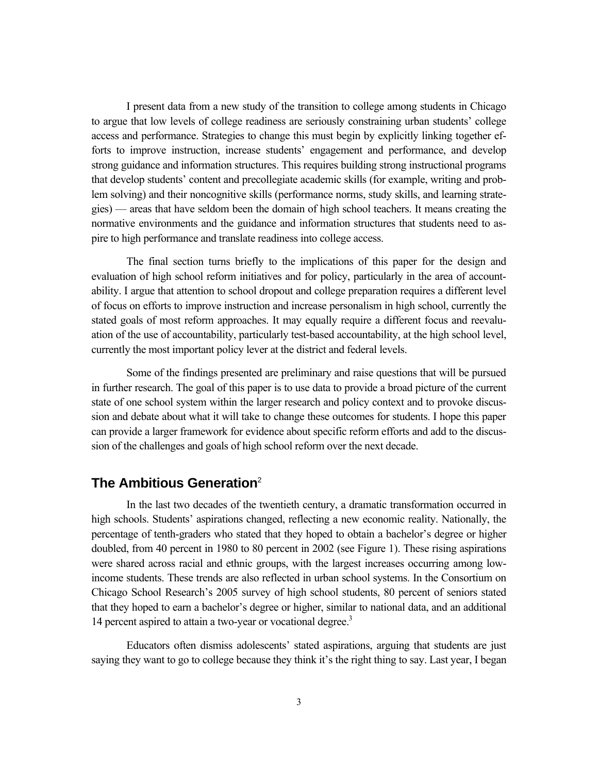I present data from a new study of the transition to college among students in Chicago to argue that low levels of college readiness are seriously constraining urban students' college access and performance. Strategies to change this must begin by explicitly linking together efforts to improve instruction, increase students' engagement and performance, and develop strong guidance and information structures. This requires building strong instructional programs that develop students' content and precollegiate academic skills (for example, writing and problem solving) and their noncognitive skills (performance norms, study skills, and learning strategies) — areas that have seldom been the domain of high school teachers. It means creating the normative environments and the guidance and information structures that students need to aspire to high performance and translate readiness into college access.

The final section turns briefly to the implications of this paper for the design and evaluation of high school reform initiatives and for policy, particularly in the area of accountability. I argue that attention to school dropout and college preparation requires a different level of focus on efforts to improve instruction and increase personalism in high school, currently the stated goals of most reform approaches. It may equally require a different focus and reevaluation of the use of accountability, particularly test-based accountability, at the high school level, currently the most important policy lever at the district and federal levels.

Some of the findings presented are preliminary and raise questions that will be pursued in further research. The goal of this paper is to use data to provide a broad picture of the current state of one school system within the larger research and policy context and to provoke discussion and debate about what it will take to change these outcomes for students. I hope this paper can provide a larger framework for evidence about specific reform efforts and add to the discussion of the challenges and goals of high school reform over the next decade.

### **The Ambitious Generation**<sup>2</sup>

In the last two decades of the twentieth century, a dramatic transformation occurred in high schools. Students' aspirations changed, reflecting a new economic reality. Nationally, the percentage of tenth-graders who stated that they hoped to obtain a bachelor's degree or higher doubled, from 40 percent in 1980 to 80 percent in 2002 (see Figure 1). These rising aspirations were shared across racial and ethnic groups, with the largest increases occurring among lowincome students. These trends are also reflected in urban school systems. In the Consortium on Chicago School Research's 2005 survey of high school students, 80 percent of seniors stated that they hoped to earn a bachelor's degree or higher, similar to national data, and an additional 14 percent aspired to attain a two-year or vocational degree.<sup>3</sup>

Educators often dismiss adolescents' stated aspirations, arguing that students are just saying they want to go to college because they think it's the right thing to say. Last year, I began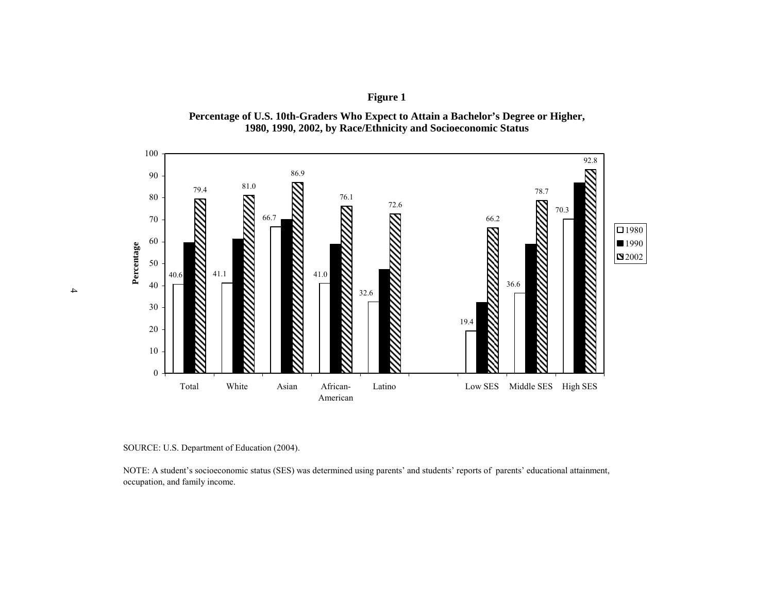

**Percentage of U.S. 10th-Graders Who Expect to Attain a Bachelor's Degree or Higher, 1980, 1990, 2002, by Race/Ethnicity and Socioeconomic Status**



NOTE: A student's socioeconomic status (SES) was determined using parents' and students' reports of parents' educational attainment, occupation, and family income.

4

SOURCE: U.S. Department of Education (2004).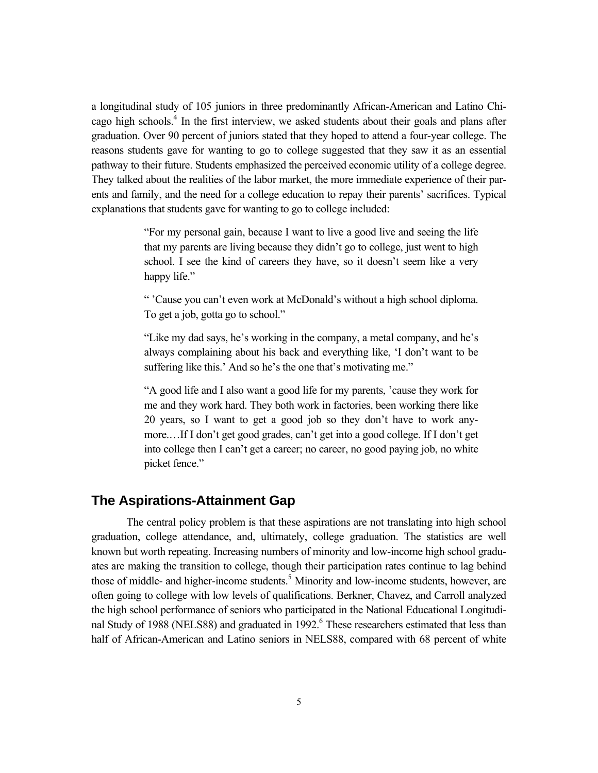a longitudinal study of 105 juniors in three predominantly African-American and Latino Chicago high schools.<sup>4</sup> In the first interview, we asked students about their goals and plans after graduation. Over 90 percent of juniors stated that they hoped to attend a four-year college. The reasons students gave for wanting to go to college suggested that they saw it as an essential pathway to their future. Students emphasized the perceived economic utility of a college degree. They talked about the realities of the labor market, the more immediate experience of their parents and family, and the need for a college education to repay their parents' sacrifices. Typical explanations that students gave for wanting to go to college included:

> "For my personal gain, because I want to live a good live and seeing the life that my parents are living because they didn't go to college, just went to high school. I see the kind of careers they have, so it doesn't seem like a very happy life."

> " 'Cause you can't even work at McDonald's without a high school diploma. To get a job, gotta go to school."

> "Like my dad says, he's working in the company, a metal company, and he's always complaining about his back and everything like, 'I don't want to be suffering like this.' And so he's the one that's motivating me."

> "A good life and I also want a good life for my parents, 'cause they work for me and they work hard. They both work in factories, been working there like 20 years, so I want to get a good job so they don't have to work anymore.…If I don't get good grades, can't get into a good college. If I don't get into college then I can't get a career; no career, no good paying job, no white picket fence."

#### **The Aspirations-Attainment Gap**

The central policy problem is that these aspirations are not translating into high school graduation, college attendance, and, ultimately, college graduation. The statistics are well known but worth repeating. Increasing numbers of minority and low-income high school graduates are making the transition to college, though their participation rates continue to lag behind those of middle- and higher-income students.<sup>5</sup> Minority and low-income students, however, are often going to college with low levels of qualifications. Berkner, Chavez, and Carroll analyzed the high school performance of seniors who participated in the National Educational Longitudinal Study of 1988 (NELS88) and graduated in 1992.<sup>6</sup> These researchers estimated that less than half of African-American and Latino seniors in NELS88, compared with 68 percent of white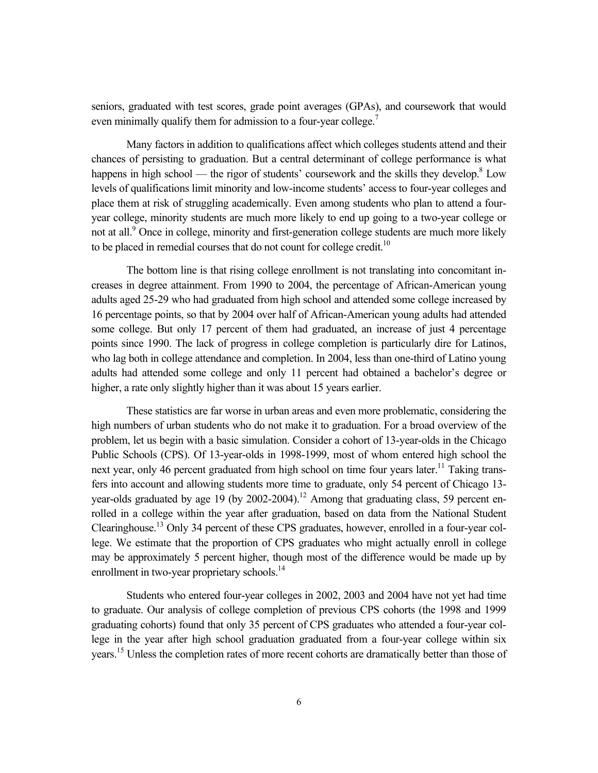seniors, graduated with test scores, grade point averages (GPAs), and coursework that would even minimally qualify them for admission to a four-year college.<sup>7</sup>

Many factors in addition to qualifications affect which colleges students attend and their chances of persisting to graduation. But a central determinant of college performance is what happens in high school — the rigor of students' coursework and the skills they develop.<sup>8</sup> Low levels of qualifications limit minority and low-income students' access to four-year colleges and place them at risk of struggling academically. Even among students who plan to attend a fouryear college, minority students are much more likely to end up going to a two-year college or not at all.<sup>9</sup> Once in college, minority and first-generation college students are much more likely to be placed in remedial courses that do not count for college credit.<sup>10</sup>

The bottom line is that rising college enrollment is not translating into concomitant increases in degree attainment. From 1990 to 2004, the percentage of African-American young adults aged 25-29 who had graduated from high school and attended some college increased by 16 percentage points, so that by 2004 over half of African-American young adults had attended some college. But only 17 percent of them had graduated, an increase of just 4 percentage points since 1990. The lack of progress in college completion is particularly dire for Latinos, who lag both in college attendance and completion. In 2004, less than one-third of Latino young adults had attended some college and only 11 percent had obtained a bachelor's degree or higher, a rate only slightly higher than it was about 15 years earlier.

These statistics are far worse in urban areas and even more problematic, considering the high numbers of urban students who do not make it to graduation. For a broad overview of the problem, let us begin with a basic simulation. Consider a cohort of 13-year-olds in the Chicago Public Schools (CPS). Of 13-year-olds in 1998-1999, most of whom entered high school the next year, only 46 percent graduated from high school on time four years later.<sup>11</sup> Taking transfers into account and allowing students more time to graduate, only 54 percent of Chicago 13 year-olds graduated by age 19 (by 2002-2004).<sup>12</sup> Among that graduating class, 59 percent enrolled in a college within the year after graduation, based on data from the National Student Clearinghouse.13 Only 34 percent of these CPS graduates, however, enrolled in a four-year college. We estimate that the proportion of CPS graduates who might actually enroll in college may be approximately 5 percent higher, though most of the difference would be made up by enrollment in two-year proprietary schools.<sup>14</sup>

Students who entered four-year colleges in 2002, 2003 and 2004 have not yet had time to graduate. Our analysis of college completion of previous CPS cohorts (the 1998 and 1999 graduating cohorts) found that only 35 percent of CPS graduates who attended a four-year college in the year after high school graduation graduated from a four-year college within six years.15 Unless the completion rates of more recent cohorts are dramatically better than those of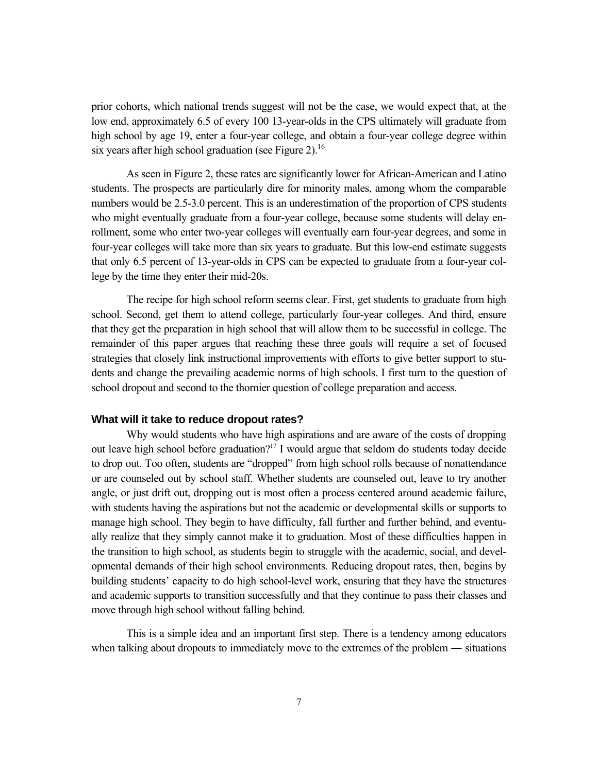prior cohorts, which national trends suggest will not be the case, we would expect that, at the low end, approximately 6.5 of every 100 13-year-olds in the CPS ultimately will graduate from high school by age 19, enter a four-year college, and obtain a four-year college degree within six years after high school graduation (see Figure 2).<sup>16</sup>

As seen in Figure 2, these rates are significantly lower for African-American and Latino students. The prospects are particularly dire for minority males, among whom the comparable numbers would be 2.5-3.0 percent. This is an underestimation of the proportion of CPS students who might eventually graduate from a four-year college, because some students will delay enrollment, some who enter two-year colleges will eventually earn four-year degrees, and some in four-year colleges will take more than six years to graduate. But this low-end estimate suggests that only 6.5 percent of 13-year-olds in CPS can be expected to graduate from a four-year college by the time they enter their mid-20s.

The recipe for high school reform seems clear. First, get students to graduate from high school. Second, get them to attend college, particularly four-year colleges. And third, ensure that they get the preparation in high school that will allow them to be successful in college. The remainder of this paper argues that reaching these three goals will require a set of focused strategies that closely link instructional improvements with efforts to give better support to students and change the prevailing academic norms of high schools. I first turn to the question of school dropout and second to the thornier question of college preparation and access.

#### **What will it take to reduce dropout rates?**

Why would students who have high aspirations and are aware of the costs of dropping out leave high school before graduation?<sup>17</sup> I would argue that seldom do students today decide to drop out. Too often, students are "dropped" from high school rolls because of nonattendance or are counseled out by school staff. Whether students are counseled out, leave to try another angle, or just drift out, dropping out is most often a process centered around academic failure, with students having the aspirations but not the academic or developmental skills or supports to manage high school. They begin to have difficulty, fall further and further behind, and eventually realize that they simply cannot make it to graduation. Most of these difficulties happen in the transition to high school, as students begin to struggle with the academic, social, and developmental demands of their high school environments. Reducing dropout rates, then, begins by building students' capacity to do high school-level work, ensuring that they have the structures and academic supports to transition successfully and that they continue to pass their classes and move through high school without falling behind.

This is a simple idea and an important first step. There is a tendency among educators when talking about dropouts to immediately move to the extremes of the problem — situations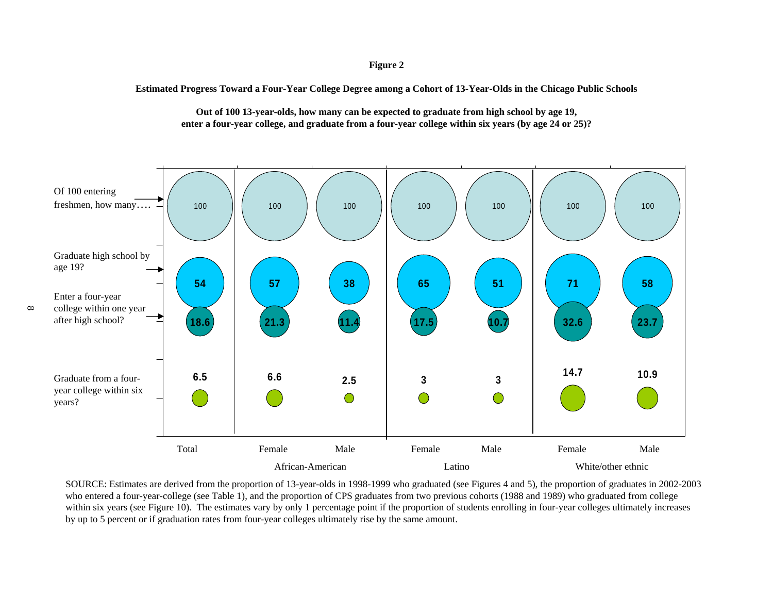**Estimated Progress Toward a Four-Year College Degree among a Cohort of 13-Year-Olds in the Chicago Public Schools** 



**Out of 100 13-year-olds, how many can be expected to graduate from high school by age 19, enter a four-year college, and graduate from a four-year college within six years (by age 24 or 25)?**

SOURCE: Estimates are derived from the proportion of 13-year-olds in 1998-1999 who graduated (see Figures 4 and 5), the proportion of graduates in 2002-2003 who entered a four-year-college (see Table 1), and the proportion of CPS graduates from two previous cohorts (1988 and 1989) who graduated from college within six years (see Figure 10). The estimates vary by only 1 percentage point if the proportion of students enrolling in four-year colleges ultimately increases by up to 5 percent or if graduation rates from four-year colleges ultimately rise by the same amount.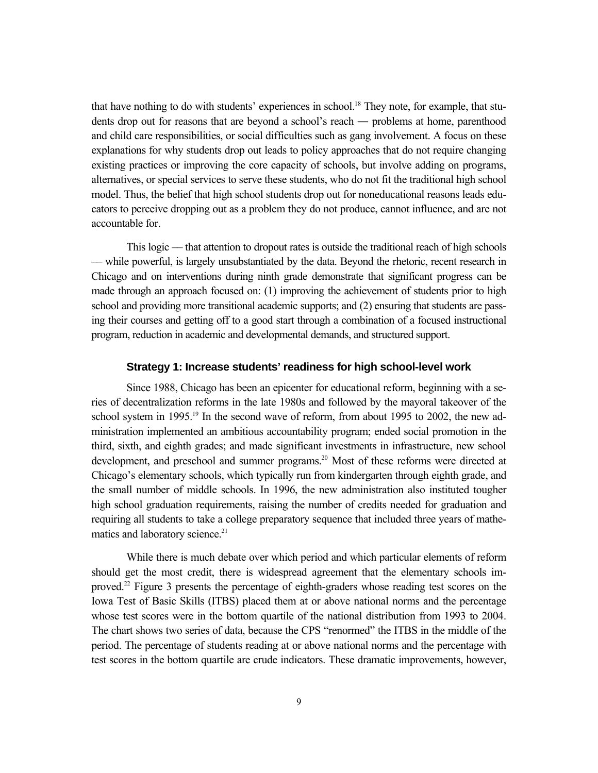that have nothing to do with students' experiences in school.18 They note, for example, that students drop out for reasons that are beyond a school's reach ― problems at home, parenthood and child care responsibilities, or social difficulties such as gang involvement. A focus on these explanations for why students drop out leads to policy approaches that do not require changing existing practices or improving the core capacity of schools, but involve adding on programs, alternatives, or special services to serve these students, who do not fit the traditional high school model. Thus, the belief that high school students drop out for noneducational reasons leads educators to perceive dropping out as a problem they do not produce, cannot influence, and are not accountable for.

This logic –– that attention to dropout rates is outside the traditional reach of high schools –– while powerful, is largely unsubstantiated by the data. Beyond the rhetoric, recent research in Chicago and on interventions during ninth grade demonstrate that significant progress can be made through an approach focused on: (1) improving the achievement of students prior to high school and providing more transitional academic supports; and (2) ensuring that students are passing their courses and getting off to a good start through a combination of a focused instructional program, reduction in academic and developmental demands, and structured support.

#### **Strategy 1: Increase students' readiness for high school-level work**

Since 1988, Chicago has been an epicenter for educational reform, beginning with a series of decentralization reforms in the late 1980s and followed by the mayoral takeover of the school system in 1995.<sup>19</sup> In the second wave of reform, from about 1995 to 2002, the new administration implemented an ambitious accountability program; ended social promotion in the third, sixth, and eighth grades; and made significant investments in infrastructure, new school development, and preschool and summer programs.<sup>20</sup> Most of these reforms were directed at Chicago's elementary schools, which typically run from kindergarten through eighth grade, and the small number of middle schools. In 1996, the new administration also instituted tougher high school graduation requirements, raising the number of credits needed for graduation and requiring all students to take a college preparatory sequence that included three years of mathematics and laboratory science.<sup>21</sup>

While there is much debate over which period and which particular elements of reform should get the most credit, there is widespread agreement that the elementary schools improved.<sup>22</sup> Figure 3 presents the percentage of eighth-graders whose reading test scores on the Iowa Test of Basic Skills (ITBS) placed them at or above national norms and the percentage whose test scores were in the bottom quartile of the national distribution from 1993 to 2004. The chart shows two series of data, because the CPS "renormed" the ITBS in the middle of the period. The percentage of students reading at or above national norms and the percentage with test scores in the bottom quartile are crude indicators. These dramatic improvements, however,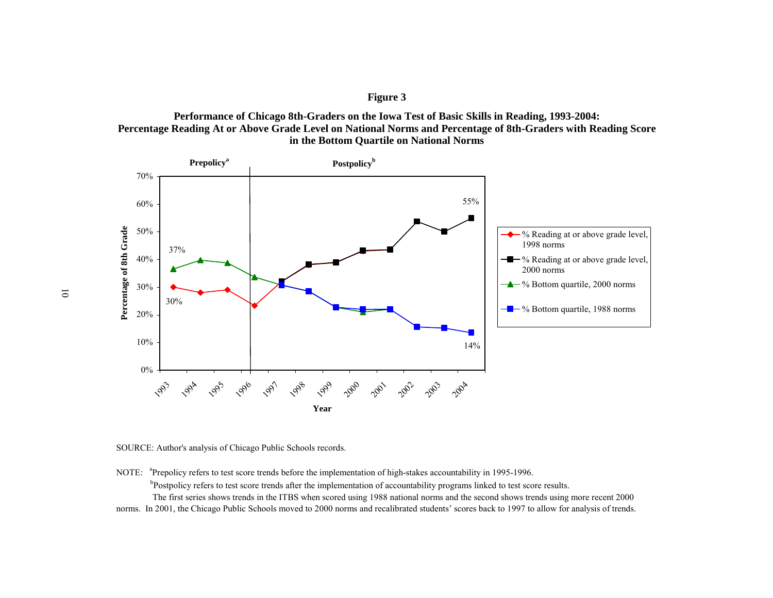



SOURCE: Author's analysis of Chicago Public Schools records.

NOTE: <sup>a</sup>Prepolicy refers to test score trends before the implementation of high-stakes accountability in 1995-1996.

<sup>b</sup>Postpolicy refers to test score trends after the implementation of accountability programs linked to test score results.

 The first series shows trends in the ITBS when scored using 1988 national norms and the second shows trends using more recent 2000 norms. In 2001, the Chicago Public Schools moved to 2000 norms and recalibrated students' scores back to 1997 to allow for analysis of trends.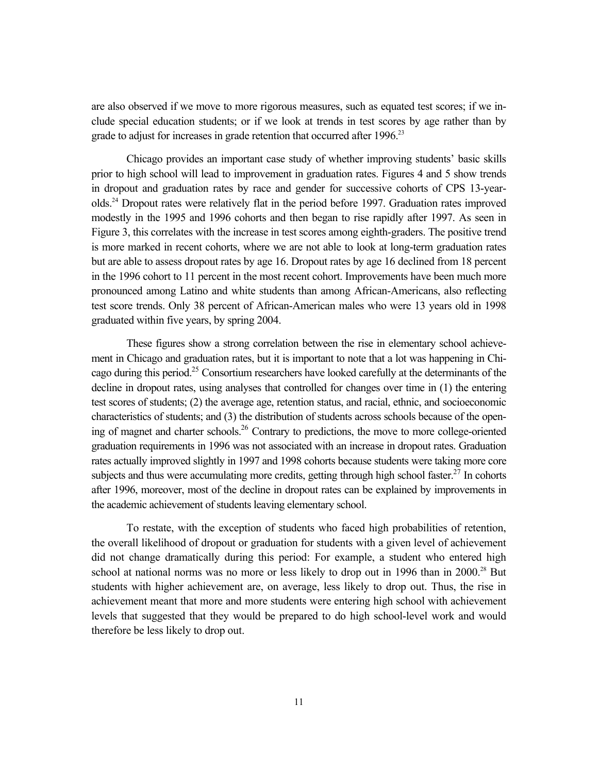are also observed if we move to more rigorous measures, such as equated test scores; if we include special education students; or if we look at trends in test scores by age rather than by grade to adjust for increases in grade retention that occurred after 1996.<sup>23</sup>

Chicago provides an important case study of whether improving students' basic skills prior to high school will lead to improvement in graduation rates. Figures 4 and 5 show trends in dropout and graduation rates by race and gender for successive cohorts of CPS 13-yearolds.24 Dropout rates were relatively flat in the period before 1997. Graduation rates improved modestly in the 1995 and 1996 cohorts and then began to rise rapidly after 1997. As seen in Figure 3, this correlates with the increase in test scores among eighth-graders. The positive trend is more marked in recent cohorts, where we are not able to look at long-term graduation rates but are able to assess dropout rates by age 16. Dropout rates by age 16 declined from 18 percent in the 1996 cohort to 11 percent in the most recent cohort. Improvements have been much more pronounced among Latino and white students than among African-Americans, also reflecting test score trends. Only 38 percent of African-American males who were 13 years old in 1998 graduated within five years, by spring 2004.

These figures show a strong correlation between the rise in elementary school achievement in Chicago and graduation rates, but it is important to note that a lot was happening in Chicago during this period.<sup>25</sup> Consortium researchers have looked carefully at the determinants of the decline in dropout rates, using analyses that controlled for changes over time in (1) the entering test scores of students; (2) the average age, retention status, and racial, ethnic, and socioeconomic characteristics of students; and (3) the distribution of students across schools because of the opening of magnet and charter schools.<sup>26</sup> Contrary to predictions, the move to more college-oriented graduation requirements in 1996 was not associated with an increase in dropout rates. Graduation rates actually improved slightly in 1997 and 1998 cohorts because students were taking more core subjects and thus were accumulating more credits, getting through high school faster.<sup>27</sup> In cohorts after 1996, moreover, most of the decline in dropout rates can be explained by improvements in the academic achievement of students leaving elementary school.

To restate, with the exception of students who faced high probabilities of retention, the overall likelihood of dropout or graduation for students with a given level of achievement did not change dramatically during this period: For example, a student who entered high school at national norms was no more or less likely to drop out in 1996 than in  $2000$ <sup>28</sup> But students with higher achievement are, on average, less likely to drop out. Thus, the rise in achievement meant that more and more students were entering high school with achievement levels that suggested that they would be prepared to do high school-level work and would therefore be less likely to drop out.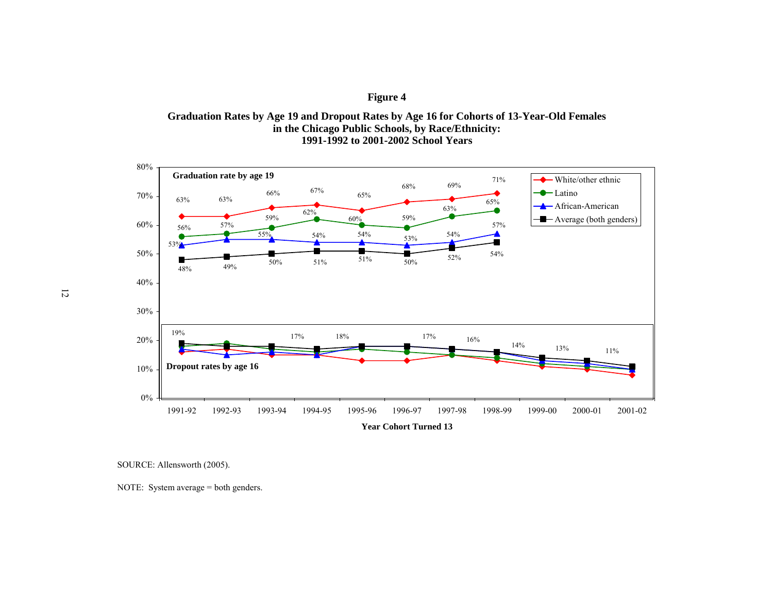**Graduation Rates by Age 19 and Dropout Rates by Age 16 for Cohorts of 13-Year-Old Females in the Chicago Public Schools, by Race/Ethnicity: 1991-1992 to 2001-2002 School Years**



12

SOURCE: Allensworth (2005).

NOTE: System average = both genders.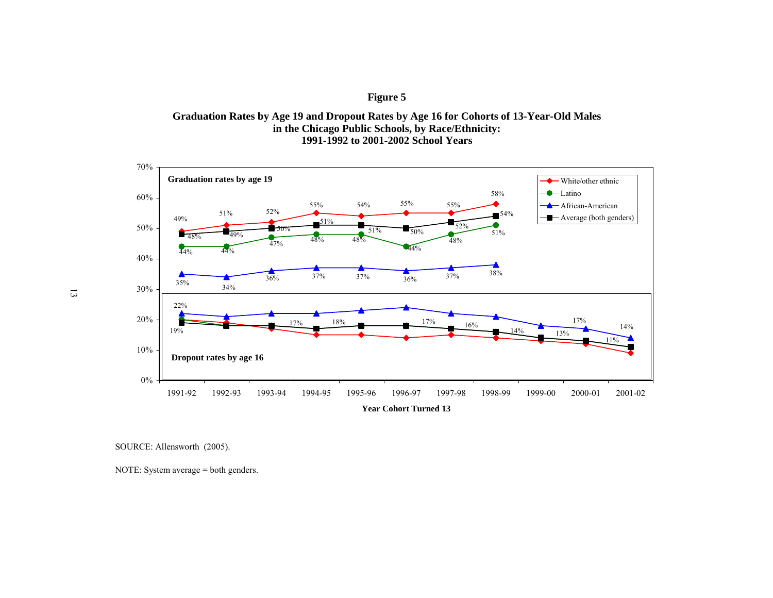**Graduation Rates by Age 19 and Dropout Rates by Age 16 for Cohorts of 13-Year-Old Males in the Chicago Public Schools, by Race/Ethnicity: 1991-1992 to 2001-2002 School Years**



SOURCE: Allensworth (2005).

NOTE: System average = both genders.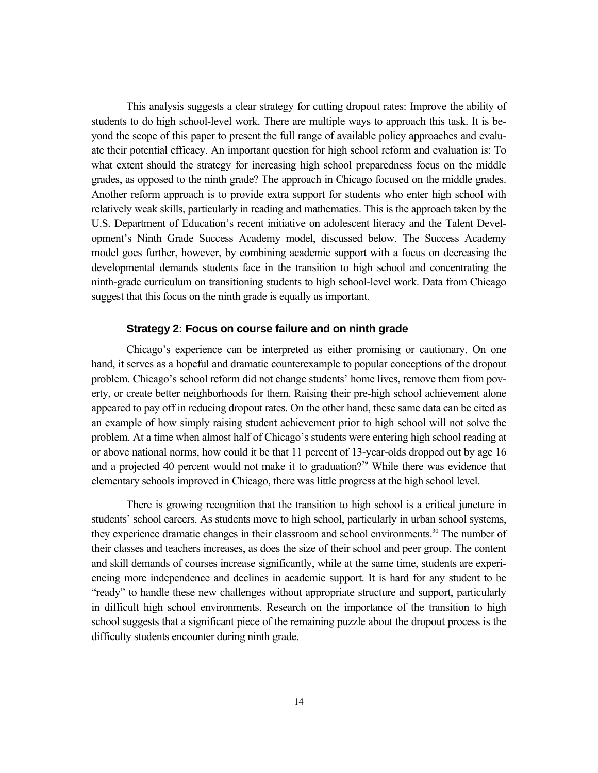This analysis suggests a clear strategy for cutting dropout rates: Improve the ability of students to do high school-level work. There are multiple ways to approach this task. It is beyond the scope of this paper to present the full range of available policy approaches and evaluate their potential efficacy. An important question for high school reform and evaluation is: To what extent should the strategy for increasing high school preparedness focus on the middle grades, as opposed to the ninth grade? The approach in Chicago focused on the middle grades. Another reform approach is to provide extra support for students who enter high school with relatively weak skills, particularly in reading and mathematics. This is the approach taken by the U.S. Department of Education's recent initiative on adolescent literacy and the Talent Development's Ninth Grade Success Academy model, discussed below. The Success Academy model goes further, however, by combining academic support with a focus on decreasing the developmental demands students face in the transition to high school and concentrating the ninth-grade curriculum on transitioning students to high school-level work. Data from Chicago suggest that this focus on the ninth grade is equally as important.

#### **Strategy 2: Focus on course failure and on ninth grade**

Chicago's experience can be interpreted as either promising or cautionary. On one hand, it serves as a hopeful and dramatic counterexample to popular conceptions of the dropout problem. Chicago's school reform did not change students' home lives, remove them from poverty, or create better neighborhoods for them. Raising their pre-high school achievement alone appeared to pay off in reducing dropout rates. On the other hand, these same data can be cited as an example of how simply raising student achievement prior to high school will not solve the problem. At a time when almost half of Chicago's students were entering high school reading at or above national norms, how could it be that 11 percent of 13-year-olds dropped out by age 16 and a projected 40 percent would not make it to graduation?<sup>29</sup> While there was evidence that elementary schools improved in Chicago, there was little progress at the high school level.

There is growing recognition that the transition to high school is a critical juncture in students' school careers. As students move to high school, particularly in urban school systems, they experience dramatic changes in their classroom and school environments.<sup>30</sup> The number of their classes and teachers increases, as does the size of their school and peer group. The content and skill demands of courses increase significantly, while at the same time, students are experiencing more independence and declines in academic support. It is hard for any student to be "ready" to handle these new challenges without appropriate structure and support, particularly in difficult high school environments. Research on the importance of the transition to high school suggests that a significant piece of the remaining puzzle about the dropout process is the difficulty students encounter during ninth grade.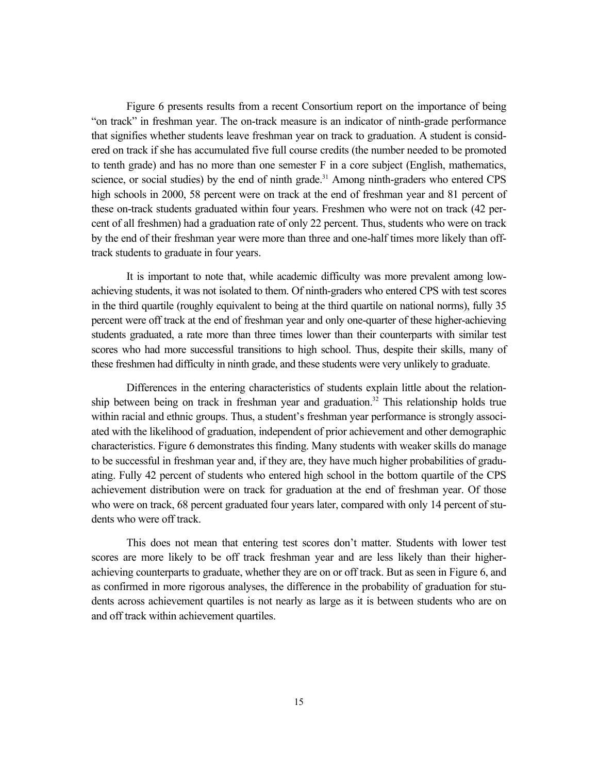Figure 6 presents results from a recent Consortium report on the importance of being "on track" in freshman year. The on-track measure is an indicator of ninth-grade performance that signifies whether students leave freshman year on track to graduation. A student is considered on track if she has accumulated five full course credits (the number needed to be promoted to tenth grade) and has no more than one semester F in a core subject (English, mathematics, science, or social studies) by the end of ninth grade.<sup>31</sup> Among ninth-graders who entered CPS high schools in 2000, 58 percent were on track at the end of freshman year and 81 percent of these on-track students graduated within four years. Freshmen who were not on track (42 percent of all freshmen) had a graduation rate of only 22 percent. Thus, students who were on track by the end of their freshman year were more than three and one-half times more likely than offtrack students to graduate in four years.

It is important to note that, while academic difficulty was more prevalent among lowachieving students, it was not isolated to them. Of ninth-graders who entered CPS with test scores in the third quartile (roughly equivalent to being at the third quartile on national norms), fully 35 percent were off track at the end of freshman year and only one-quarter of these higher-achieving students graduated, a rate more than three times lower than their counterparts with similar test scores who had more successful transitions to high school. Thus, despite their skills, many of these freshmen had difficulty in ninth grade, and these students were very unlikely to graduate.

Differences in the entering characteristics of students explain little about the relationship between being on track in freshman year and graduation.<sup>32</sup> This relationship holds true within racial and ethnic groups. Thus, a student's freshman year performance is strongly associated with the likelihood of graduation, independent of prior achievement and other demographic characteristics. Figure 6 demonstrates this finding. Many students with weaker skills do manage to be successful in freshman year and, if they are, they have much higher probabilities of graduating. Fully 42 percent of students who entered high school in the bottom quartile of the CPS achievement distribution were on track for graduation at the end of freshman year. Of those who were on track, 68 percent graduated four years later, compared with only 14 percent of students who were off track.

This does not mean that entering test scores don't matter. Students with lower test scores are more likely to be off track freshman year and are less likely than their higherachieving counterparts to graduate, whether they are on or off track. But as seen in Figure 6, and as confirmed in more rigorous analyses, the difference in the probability of graduation for students across achievement quartiles is not nearly as large as it is between students who are on and off track within achievement quartiles.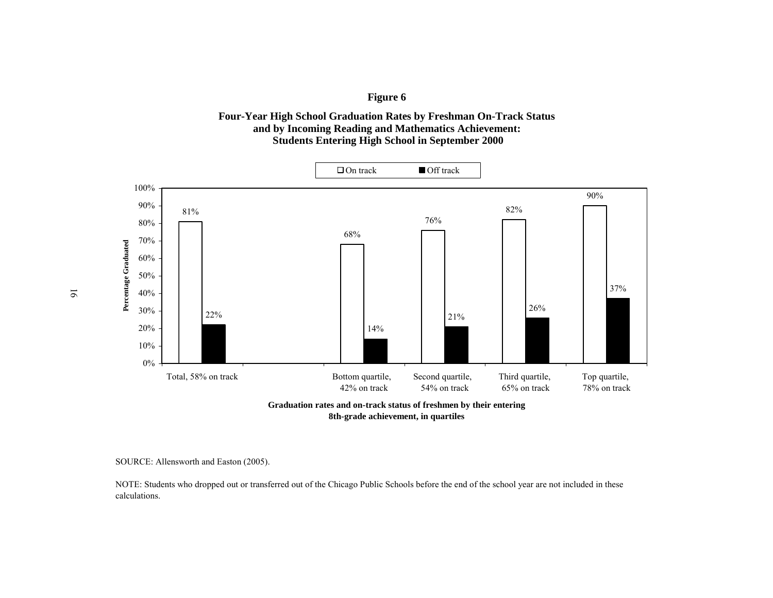



SOURCE: Allensworth and Easton (2005).

NOTE: Students who dropped out or transferred out of the Chicago Public Schools before the end of the school year are not included in these calculations.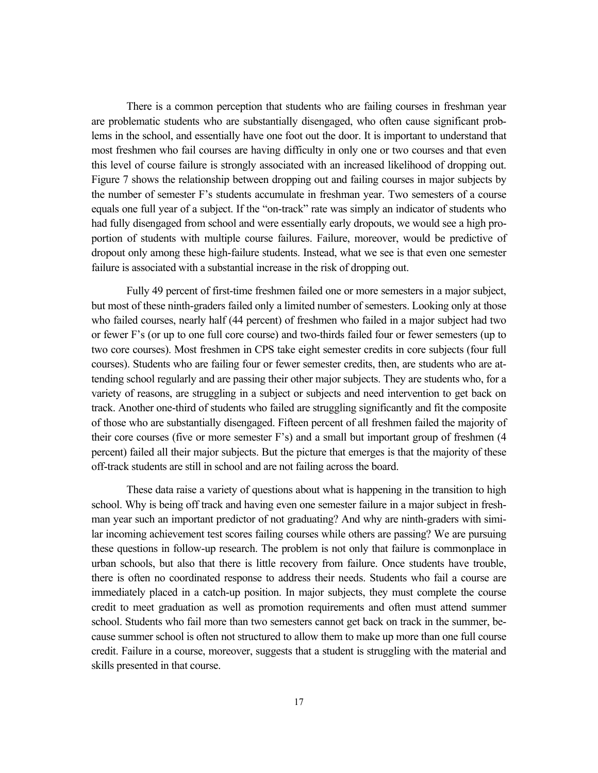There is a common perception that students who are failing courses in freshman year are problematic students who are substantially disengaged, who often cause significant problems in the school, and essentially have one foot out the door. It is important to understand that most freshmen who fail courses are having difficulty in only one or two courses and that even this level of course failure is strongly associated with an increased likelihood of dropping out. Figure 7 shows the relationship between dropping out and failing courses in major subjects by the number of semester F's students accumulate in freshman year. Two semesters of a course equals one full year of a subject. If the "on-track" rate was simply an indicator of students who had fully disengaged from school and were essentially early dropouts, we would see a high proportion of students with multiple course failures. Failure, moreover, would be predictive of dropout only among these high-failure students. Instead, what we see is that even one semester failure is associated with a substantial increase in the risk of dropping out.

Fully 49 percent of first-time freshmen failed one or more semesters in a major subject, but most of these ninth-graders failed only a limited number of semesters. Looking only at those who failed courses, nearly half (44 percent) of freshmen who failed in a major subject had two or fewer F's (or up to one full core course) and two-thirds failed four or fewer semesters (up to two core courses). Most freshmen in CPS take eight semester credits in core subjects (four full courses). Students who are failing four or fewer semester credits, then, are students who are attending school regularly and are passing their other major subjects. They are students who, for a variety of reasons, are struggling in a subject or subjects and need intervention to get back on track. Another one-third of students who failed are struggling significantly and fit the composite of those who are substantially disengaged. Fifteen percent of all freshmen failed the majority of their core courses (five or more semester F's) and a small but important group of freshmen (4 percent) failed all their major subjects. But the picture that emerges is that the majority of these off-track students are still in school and are not failing across the board.

These data raise a variety of questions about what is happening in the transition to high school. Why is being off track and having even one semester failure in a major subject in freshman year such an important predictor of not graduating? And why are ninth-graders with similar incoming achievement test scores failing courses while others are passing? We are pursuing these questions in follow-up research. The problem is not only that failure is commonplace in urban schools, but also that there is little recovery from failure. Once students have trouble, there is often no coordinated response to address their needs. Students who fail a course are immediately placed in a catch-up position. In major subjects, they must complete the course credit to meet graduation as well as promotion requirements and often must attend summer school. Students who fail more than two semesters cannot get back on track in the summer, because summer school is often not structured to allow them to make up more than one full course credit. Failure in a course, moreover, suggests that a student is struggling with the material and skills presented in that course.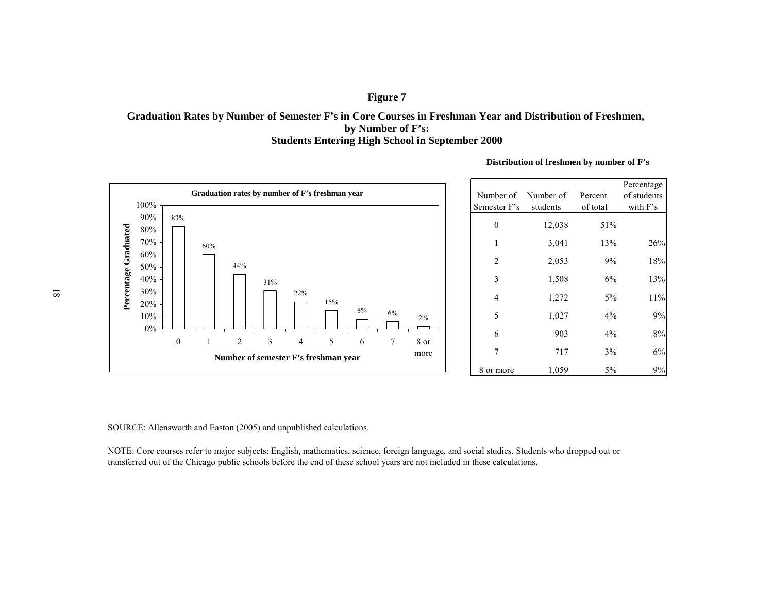#### **Graduation Rates by Number of Semester F's in Core Courses in Freshman Year and Distribution of Freshmen, Students Entering High School in September 2000 by Number of F's:**



**Distribution of freshmen by number of F's**

SOURCE: Allensworth and Easton (2005) and unpublished calculations.

NOTE: Core courses refer to major subjects: English, mathematics, science, foreign language, and social studies. Students who dropped out or transferred out of the Chicago public schools before the end of these school years are not included in these calculations.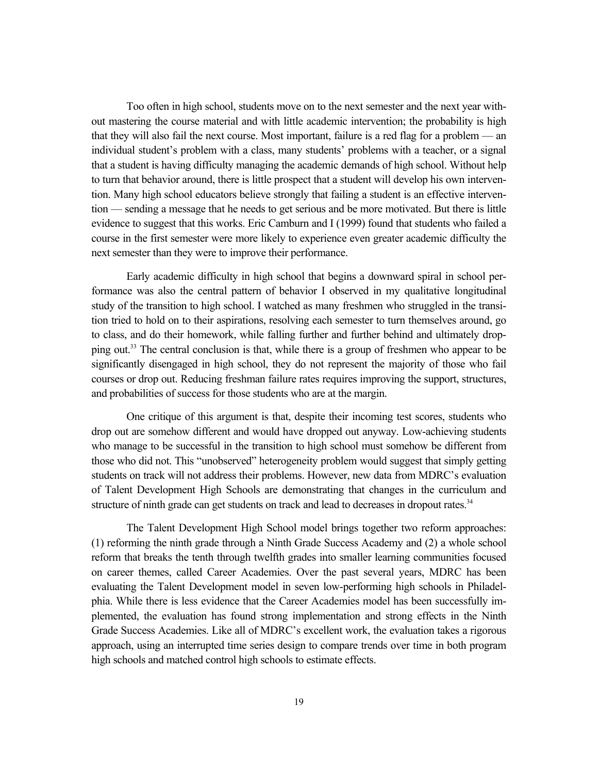Too often in high school, students move on to the next semester and the next year without mastering the course material and with little academic intervention; the probability is high that they will also fail the next course. Most important, failure is a red flag for a problem — an individual student's problem with a class, many students' problems with a teacher, or a signal that a student is having difficulty managing the academic demands of high school. Without help to turn that behavior around, there is little prospect that a student will develop his own intervention. Many high school educators believe strongly that failing a student is an effective intervention — sending a message that he needs to get serious and be more motivated. But there is little evidence to suggest that this works. Eric Camburn and I (1999) found that students who failed a course in the first semester were more likely to experience even greater academic difficulty the next semester than they were to improve their performance.

Early academic difficulty in high school that begins a downward spiral in school performance was also the central pattern of behavior I observed in my qualitative longitudinal study of the transition to high school. I watched as many freshmen who struggled in the transition tried to hold on to their aspirations, resolving each semester to turn themselves around, go to class, and do their homework, while falling further and further behind and ultimately dropping out.<sup>33</sup> The central conclusion is that, while there is a group of freshmen who appear to be significantly disengaged in high school, they do not represent the majority of those who fail courses or drop out. Reducing freshman failure rates requires improving the support, structures, and probabilities of success for those students who are at the margin.

One critique of this argument is that, despite their incoming test scores, students who drop out are somehow different and would have dropped out anyway. Low-achieving students who manage to be successful in the transition to high school must somehow be different from those who did not. This "unobserved" heterogeneity problem would suggest that simply getting students on track will not address their problems. However, new data from MDRC's evaluation of Talent Development High Schools are demonstrating that changes in the curriculum and structure of ninth grade can get students on track and lead to decreases in dropout rates.<sup>34</sup>

The Talent Development High School model brings together two reform approaches: (1) reforming the ninth grade through a Ninth Grade Success Academy and (2) a whole school reform that breaks the tenth through twelfth grades into smaller learning communities focused on career themes, called Career Academies. Over the past several years, MDRC has been evaluating the Talent Development model in seven low-performing high schools in Philadelphia. While there is less evidence that the Career Academies model has been successfully implemented, the evaluation has found strong implementation and strong effects in the Ninth Grade Success Academies. Like all of MDRC's excellent work, the evaluation takes a rigorous approach, using an interrupted time series design to compare trends over time in both program high schools and matched control high schools to estimate effects.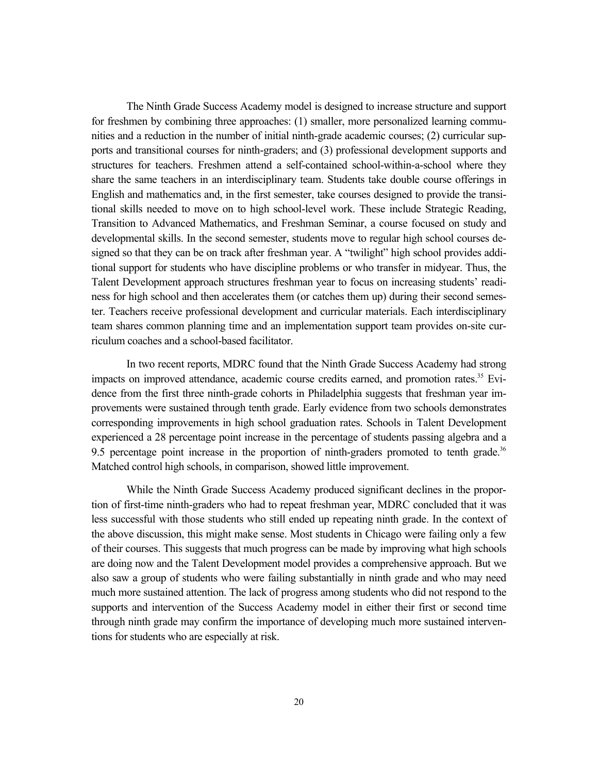The Ninth Grade Success Academy model is designed to increase structure and support for freshmen by combining three approaches: (1) smaller, more personalized learning communities and a reduction in the number of initial ninth-grade academic courses; (2) curricular supports and transitional courses for ninth-graders; and (3) professional development supports and structures for teachers. Freshmen attend a self-contained school-within-a-school where they share the same teachers in an interdisciplinary team. Students take double course offerings in English and mathematics and, in the first semester, take courses designed to provide the transitional skills needed to move on to high school-level work. These include Strategic Reading, Transition to Advanced Mathematics, and Freshman Seminar, a course focused on study and developmental skills. In the second semester, students move to regular high school courses designed so that they can be on track after freshman year. A "twilight" high school provides additional support for students who have discipline problems or who transfer in midyear. Thus, the Talent Development approach structures freshman year to focus on increasing students' readiness for high school and then accelerates them (or catches them up) during their second semester. Teachers receive professional development and curricular materials. Each interdisciplinary team shares common planning time and an implementation support team provides on-site curriculum coaches and a school-based facilitator.

In two recent reports, MDRC found that the Ninth Grade Success Academy had strong impacts on improved attendance, academic course credits earned, and promotion rates.<sup>35</sup> Evidence from the first three ninth-grade cohorts in Philadelphia suggests that freshman year improvements were sustained through tenth grade. Early evidence from two schools demonstrates corresponding improvements in high school graduation rates. Schools in Talent Development experienced a 28 percentage point increase in the percentage of students passing algebra and a 9.5 percentage point increase in the proportion of ninth-graders promoted to tenth grade.<sup>36</sup> Matched control high schools, in comparison, showed little improvement.

While the Ninth Grade Success Academy produced significant declines in the proportion of first-time ninth-graders who had to repeat freshman year, MDRC concluded that it was less successful with those students who still ended up repeating ninth grade. In the context of the above discussion, this might make sense. Most students in Chicago were failing only a few of their courses. This suggests that much progress can be made by improving what high schools are doing now and the Talent Development model provides a comprehensive approach. But we also saw a group of students who were failing substantially in ninth grade and who may need much more sustained attention. The lack of progress among students who did not respond to the supports and intervention of the Success Academy model in either their first or second time through ninth grade may confirm the importance of developing much more sustained interventions for students who are especially at risk.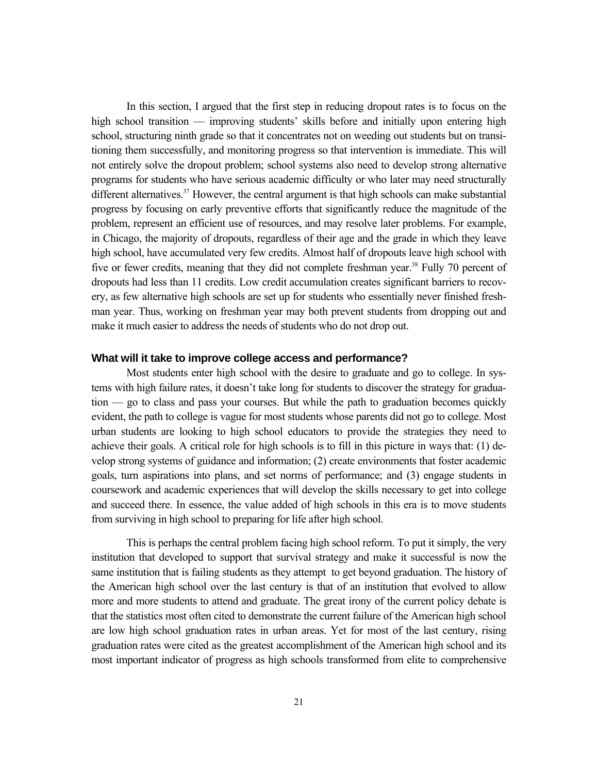In this section, I argued that the first step in reducing dropout rates is to focus on the high school transition — improving students' skills before and initially upon entering high school, structuring ninth grade so that it concentrates not on weeding out students but on transitioning them successfully, and monitoring progress so that intervention is immediate. This will not entirely solve the dropout problem; school systems also need to develop strong alternative programs for students who have serious academic difficulty or who later may need structurally different alternatives.<sup>37</sup> However, the central argument is that high schools can make substantial progress by focusing on early preventive efforts that significantly reduce the magnitude of the problem, represent an efficient use of resources, and may resolve later problems. For example, in Chicago, the majority of dropouts, regardless of their age and the grade in which they leave high school, have accumulated very few credits. Almost half of dropouts leave high school with five or fewer credits, meaning that they did not complete freshman year.<sup>38</sup> Fully 70 percent of dropouts had less than 11 credits. Low credit accumulation creates significant barriers to recovery, as few alternative high schools are set up for students who essentially never finished freshman year. Thus, working on freshman year may both prevent students from dropping out and make it much easier to address the needs of students who do not drop out.

#### **What will it take to improve college access and performance?**

Most students enter high school with the desire to graduate and go to college. In systems with high failure rates, it doesn't take long for students to discover the strategy for graduation — go to class and pass your courses. But while the path to graduation becomes quickly evident, the path to college is vague for most students whose parents did not go to college. Most urban students are looking to high school educators to provide the strategies they need to achieve their goals. A critical role for high schools is to fill in this picture in ways that: (1) develop strong systems of guidance and information; (2) create environments that foster academic goals, turn aspirations into plans, and set norms of performance; and (3) engage students in coursework and academic experiences that will develop the skills necessary to get into college and succeed there. In essence, the value added of high schools in this era is to move students from surviving in high school to preparing for life after high school.

This is perhaps the central problem facing high school reform. To put it simply, the very institution that developed to support that survival strategy and make it successful is now the same institution that is failing students as they attempt to get beyond graduation. The history of the American high school over the last century is that of an institution that evolved to allow more and more students to attend and graduate. The great irony of the current policy debate is that the statistics most often cited to demonstrate the current failure of the American high school are low high school graduation rates in urban areas. Yet for most of the last century, rising graduation rates were cited as the greatest accomplishment of the American high school and its most important indicator of progress as high schools transformed from elite to comprehensive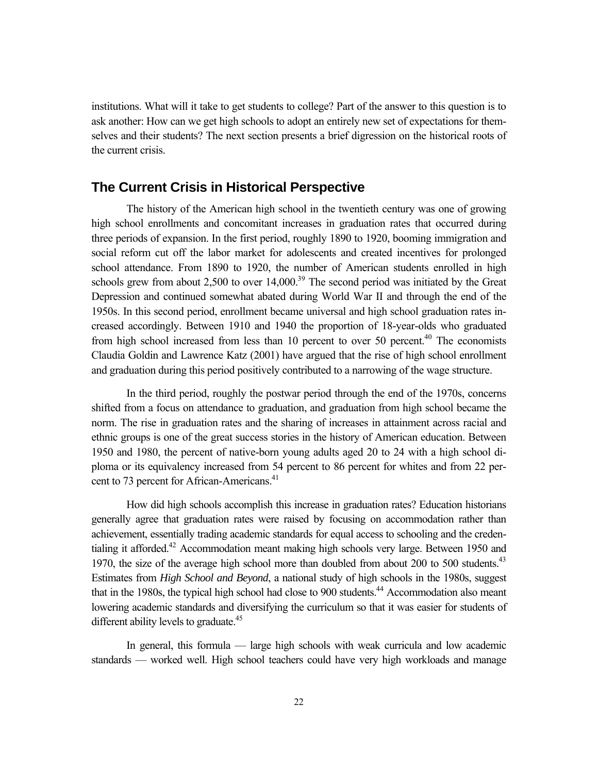institutions. What will it take to get students to college? Part of the answer to this question is to ask another: How can we get high schools to adopt an entirely new set of expectations for themselves and their students? The next section presents a brief digression on the historical roots of the current crisis.

#### **The Current Crisis in Historical Perspective**

The history of the American high school in the twentieth century was one of growing high school enrollments and concomitant increases in graduation rates that occurred during three periods of expansion. In the first period, roughly 1890 to 1920, booming immigration and social reform cut off the labor market for adolescents and created incentives for prolonged school attendance. From 1890 to 1920, the number of American students enrolled in high schools grew from about 2,500 to over  $14,000$ .<sup>39</sup> The second period was initiated by the Great Depression and continued somewhat abated during World War II and through the end of the 1950s. In this second period, enrollment became universal and high school graduation rates increased accordingly. Between 1910 and 1940 the proportion of 18-year-olds who graduated from high school increased from less than 10 percent to over 50 percent.<sup>40</sup> The economists Claudia Goldin and Lawrence Katz (2001) have argued that the rise of high school enrollment and graduation during this period positively contributed to a narrowing of the wage structure.

In the third period, roughly the postwar period through the end of the 1970s, concerns shifted from a focus on attendance to graduation, and graduation from high school became the norm. The rise in graduation rates and the sharing of increases in attainment across racial and ethnic groups is one of the great success stories in the history of American education. Between 1950 and 1980, the percent of native-born young adults aged 20 to 24 with a high school diploma or its equivalency increased from 54 percent to 86 percent for whites and from 22 percent to 73 percent for African-Americans.<sup>41</sup>

How did high schools accomplish this increase in graduation rates? Education historians generally agree that graduation rates were raised by focusing on accommodation rather than achievement, essentially trading academic standards for equal access to schooling and the credentialing it afforded.<sup>42</sup> Accommodation meant making high schools very large. Between 1950 and 1970, the size of the average high school more than doubled from about 200 to 500 students.<sup>43</sup> Estimates from *High School and Beyond*, a national study of high schools in the 1980s, suggest that in the 1980s, the typical high school had close to 900 students.<sup>44</sup> Accommodation also meant lowering academic standards and diversifying the curriculum so that it was easier for students of different ability levels to graduate.<sup>45</sup>

In general, this formula — large high schools with weak curricula and low academic standards — worked well. High school teachers could have very high workloads and manage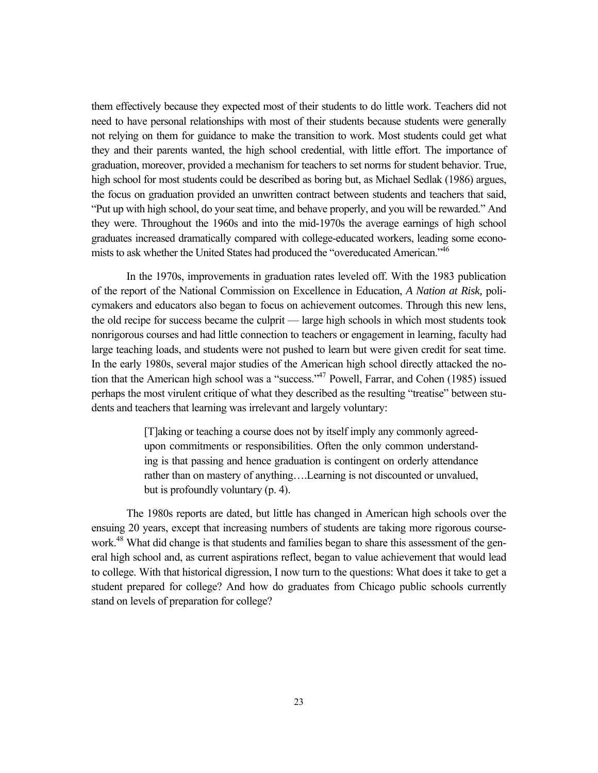them effectively because they expected most of their students to do little work. Teachers did not need to have personal relationships with most of their students because students were generally not relying on them for guidance to make the transition to work. Most students could get what they and their parents wanted, the high school credential, with little effort. The importance of graduation, moreover, provided a mechanism for teachers to set norms for student behavior. True, high school for most students could be described as boring but, as Michael Sedlak (1986) argues, the focus on graduation provided an unwritten contract between students and teachers that said, "Put up with high school, do your seat time, and behave properly, and you will be rewarded." And they were. Throughout the 1960s and into the mid-1970s the average earnings of high school graduates increased dramatically compared with college-educated workers, leading some economists to ask whether the United States had produced the "overeducated American."<sup>46</sup>

In the 1970s, improvements in graduation rates leveled off. With the 1983 publication of the report of the National Commission on Excellence in Education, *A Nation at Risk,* policymakers and educators also began to focus on achievement outcomes. Through this new lens, the old recipe for success became the culprit — large high schools in which most students took nonrigorous courses and had little connection to teachers or engagement in learning, faculty had large teaching loads, and students were not pushed to learn but were given credit for seat time. In the early 1980s, several major studies of the American high school directly attacked the notion that the American high school was a "success."<sup>47</sup> Powell, Farrar, and Cohen (1985) issued perhaps the most virulent critique of what they described as the resulting "treatise" between students and teachers that learning was irrelevant and largely voluntary:

> [T]aking or teaching a course does not by itself imply any commonly agreedupon commitments or responsibilities. Often the only common understanding is that passing and hence graduation is contingent on orderly attendance rather than on mastery of anything….Learning is not discounted or unvalued, but is profoundly voluntary (p. 4).

The 1980s reports are dated, but little has changed in American high schools over the ensuing 20 years, except that increasing numbers of students are taking more rigorous coursework.<sup>48</sup> What did change is that students and families began to share this assessment of the general high school and, as current aspirations reflect, began to value achievement that would lead to college. With that historical digression, I now turn to the questions: What does it take to get a student prepared for college? And how do graduates from Chicago public schools currently stand on levels of preparation for college?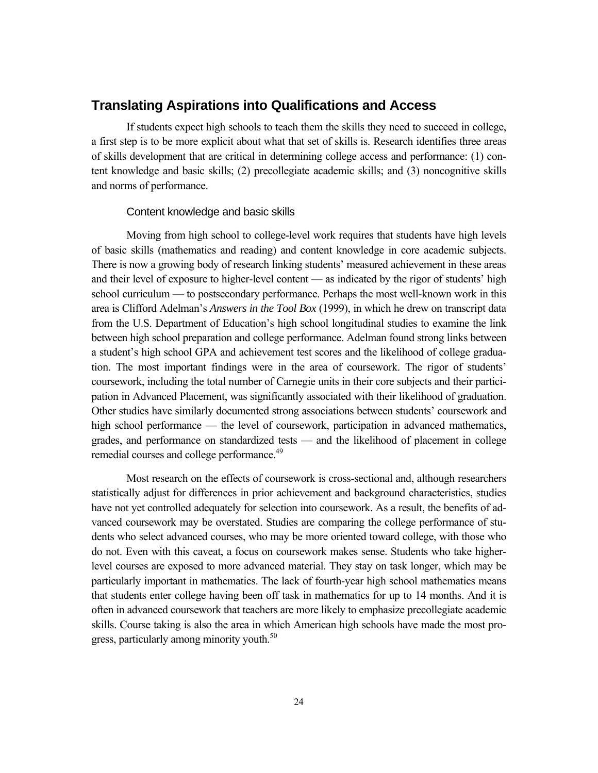#### **Translating Aspirations into Qualifications and Access**

If students expect high schools to teach them the skills they need to succeed in college, a first step is to be more explicit about what that set of skills is. Research identifies three areas of skills development that are critical in determining college access and performance: (1) content knowledge and basic skills; (2) precollegiate academic skills; and (3) noncognitive skills and norms of performance.

#### Content knowledge and basic skills

Moving from high school to college-level work requires that students have high levels of basic skills (mathematics and reading) and content knowledge in core academic subjects. There is now a growing body of research linking students' measured achievement in these areas and their level of exposure to higher-level content — as indicated by the rigor of students' high school curriculum — to postsecondary performance. Perhaps the most well-known work in this area is Clifford Adelman's *Answers in the Tool Box* (1999), in which he drew on transcript data from the U.S. Department of Education's high school longitudinal studies to examine the link between high school preparation and college performance. Adelman found strong links between a student's high school GPA and achievement test scores and the likelihood of college graduation. The most important findings were in the area of coursework. The rigor of students' coursework, including the total number of Carnegie units in their core subjects and their participation in Advanced Placement, was significantly associated with their likelihood of graduation. Other studies have similarly documented strong associations between students' coursework and high school performance — the level of coursework, participation in advanced mathematics, grades, and performance on standardized tests — and the likelihood of placement in college remedial courses and college performance.<sup>49</sup>

Most research on the effects of coursework is cross-sectional and, although researchers statistically adjust for differences in prior achievement and background characteristics, studies have not yet controlled adequately for selection into coursework. As a result, the benefits of advanced coursework may be overstated. Studies are comparing the college performance of students who select advanced courses, who may be more oriented toward college, with those who do not. Even with this caveat, a focus on coursework makes sense. Students who take higherlevel courses are exposed to more advanced material. They stay on task longer, which may be particularly important in mathematics. The lack of fourth-year high school mathematics means that students enter college having been off task in mathematics for up to 14 months. And it is often in advanced coursework that teachers are more likely to emphasize precollegiate academic skills. Course taking is also the area in which American high schools have made the most progress, particularly among minority youth.<sup>50</sup>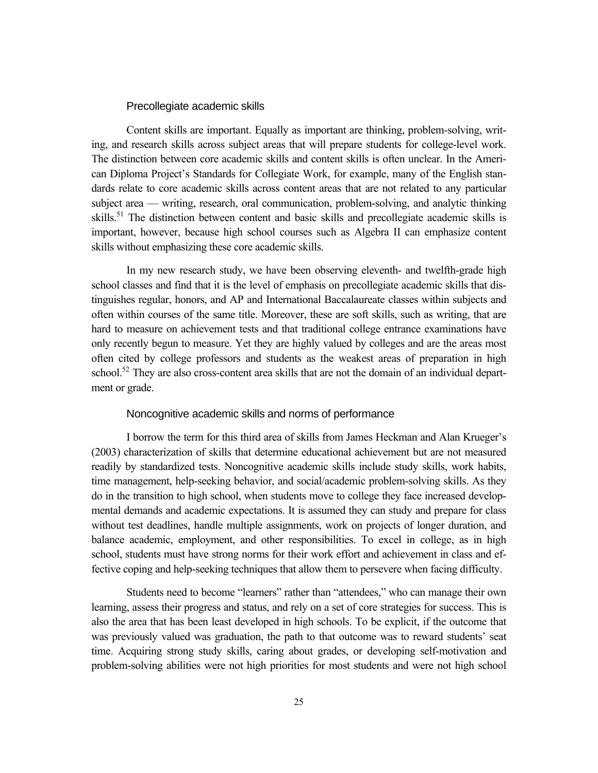#### Precollegiate academic skills

Content skills are important. Equally as important are thinking, problem-solving, writing, and research skills across subject areas that will prepare students for college-level work. The distinction between core academic skills and content skills is often unclear. In the American Diploma Project's Standards for Collegiate Work, for example, many of the English standards relate to core academic skills across content areas that are not related to any particular subject area — writing, research, oral communication, problem-solving, and analytic thinking skills.<sup>51</sup> The distinction between content and basic skills and precollegiate academic skills is important, however, because high school courses such as Algebra II can emphasize content skills without emphasizing these core academic skills.

In my new research study, we have been observing eleventh- and twelfth-grade high school classes and find that it is the level of emphasis on precollegiate academic skills that distinguishes regular, honors, and AP and International Baccalaureate classes within subjects and often within courses of the same title. Moreover, these are soft skills, such as writing, that are hard to measure on achievement tests and that traditional college entrance examinations have only recently begun to measure. Yet they are highly valued by colleges and are the areas most often cited by college professors and students as the weakest areas of preparation in high school.<sup>52</sup> They are also cross-content area skills that are not the domain of an individual department or grade.

### Noncognitive academic skills and norms of performance

I borrow the term for this third area of skills from James Heckman and Alan Krueger's (2003) characterization of skills that determine educational achievement but are not measured readily by standardized tests. Noncognitive academic skills include study skills, work habits, time management, help-seeking behavior, and social/academic problem-solving skills. As they do in the transition to high school, when students move to college they face increased developmental demands and academic expectations. It is assumed they can study and prepare for class without test deadlines, handle multiple assignments, work on projects of longer duration, and balance academic, employment, and other responsibilities. To excel in college, as in high school, students must have strong norms for their work effort and achievement in class and effective coping and help-seeking techniques that allow them to persevere when facing difficulty.

Students need to become "learners" rather than "attendees," who can manage their own learning, assess their progress and status, and rely on a set of core strategies for success. This is also the area that has been least developed in high schools. To be explicit, if the outcome that was previously valued was graduation, the path to that outcome was to reward students' seat time. Acquiring strong study skills, caring about grades, or developing self-motivation and problem-solving abilities were not high priorities for most students and were not high school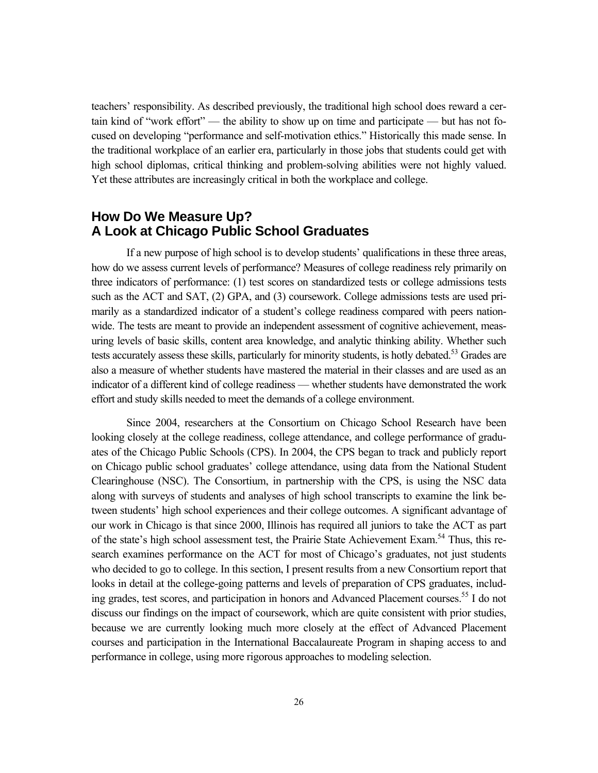teachers' responsibility. As described previously, the traditional high school does reward a certain kind of "work effort" — the ability to show up on time and participate — but has not focused on developing "performance and self-motivation ethics." Historically this made sense. In the traditional workplace of an earlier era, particularly in those jobs that students could get with high school diplomas, critical thinking and problem-solving abilities were not highly valued. Yet these attributes are increasingly critical in both the workplace and college.

## **How Do We Measure Up? A Look at Chicago Public School Graduates**

If a new purpose of high school is to develop students' qualifications in these three areas, how do we assess current levels of performance? Measures of college readiness rely primarily on three indicators of performance: (1) test scores on standardized tests or college admissions tests such as the ACT and SAT, (2) GPA, and (3) coursework. College admissions tests are used primarily as a standardized indicator of a student's college readiness compared with peers nationwide. The tests are meant to provide an independent assessment of cognitive achievement, measuring levels of basic skills, content area knowledge, and analytic thinking ability. Whether such tests accurately assess these skills, particularly for minority students, is hotly debated.<sup>53</sup> Grades are also a measure of whether students have mastered the material in their classes and are used as an indicator of a different kind of college readiness — whether students have demonstrated the work effort and study skills needed to meet the demands of a college environment.

Since 2004, researchers at the Consortium on Chicago School Research have been looking closely at the college readiness, college attendance, and college performance of graduates of the Chicago Public Schools (CPS). In 2004, the CPS began to track and publicly report on Chicago public school graduates' college attendance, using data from the National Student Clearinghouse (NSC). The Consortium, in partnership with the CPS, is using the NSC data along with surveys of students and analyses of high school transcripts to examine the link between students' high school experiences and their college outcomes. A significant advantage of our work in Chicago is that since 2000, Illinois has required all juniors to take the ACT as part of the state's high school assessment test, the Prairie State Achievement Exam.<sup>54</sup> Thus, this research examines performance on the ACT for most of Chicago's graduates, not just students who decided to go to college. In this section, I present results from a new Consortium report that looks in detail at the college-going patterns and levels of preparation of CPS graduates, including grades, test scores, and participation in honors and Advanced Placement courses.<sup>55</sup> I do not discuss our findings on the impact of coursework, which are quite consistent with prior studies, because we are currently looking much more closely at the effect of Advanced Placement courses and participation in the International Baccalaureate Program in shaping access to and performance in college, using more rigorous approaches to modeling selection.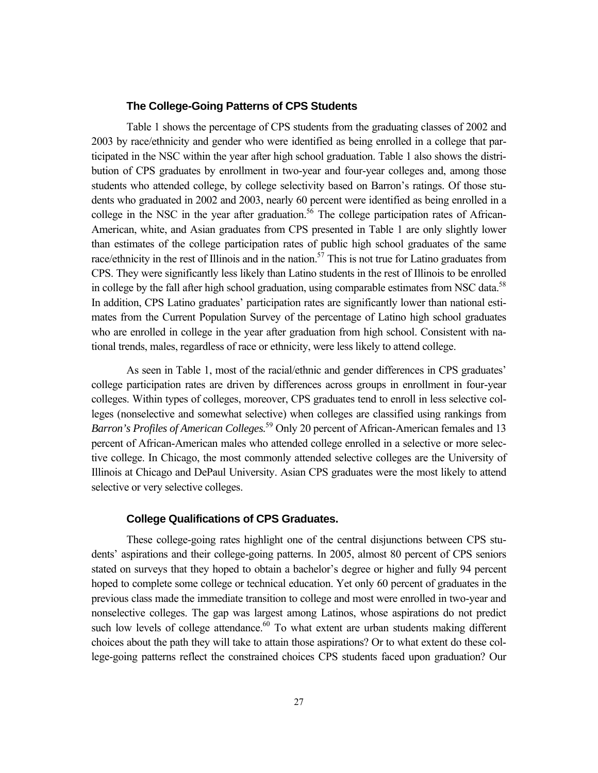#### **The College-Going Patterns of CPS Students**

Table 1 shows the percentage of CPS students from the graduating classes of 2002 and 2003 by race/ethnicity and gender who were identified as being enrolled in a college that participated in the NSC within the year after high school graduation. Table 1 also shows the distribution of CPS graduates by enrollment in two-year and four-year colleges and, among those students who attended college, by college selectivity based on Barron's ratings. Of those students who graduated in 2002 and 2003, nearly 60 percent were identified as being enrolled in a college in the NSC in the year after graduation.<sup>56</sup> The college participation rates of African-American, white, and Asian graduates from CPS presented in Table 1 are only slightly lower than estimates of the college participation rates of public high school graduates of the same race/ethnicity in the rest of Illinois and in the nation.<sup>57</sup> This is not true for Latino graduates from CPS. They were significantly less likely than Latino students in the rest of Illinois to be enrolled in college by the fall after high school graduation, using comparable estimates from NSC data.<sup>58</sup> In addition, CPS Latino graduates' participation rates are significantly lower than national estimates from the Current Population Survey of the percentage of Latino high school graduates who are enrolled in college in the year after graduation from high school. Consistent with national trends, males, regardless of race or ethnicity, were less likely to attend college.

As seen in Table 1, most of the racial/ethnic and gender differences in CPS graduates' college participation rates are driven by differences across groups in enrollment in four-year colleges. Within types of colleges, moreover, CPS graduates tend to enroll in less selective colleges (nonselective and somewhat selective) when colleges are classified using rankings from *Barron's Profiles of American Colleges.*59 Only 20 percent of African-American females and 13 percent of African-American males who attended college enrolled in a selective or more selective college. In Chicago, the most commonly attended selective colleges are the University of Illinois at Chicago and DePaul University. Asian CPS graduates were the most likely to attend selective or very selective colleges.

#### **College Qualifications of CPS Graduates.**

These college-going rates highlight one of the central disjunctions between CPS students' aspirations and their college-going patterns. In 2005, almost 80 percent of CPS seniors stated on surveys that they hoped to obtain a bachelor's degree or higher and fully 94 percent hoped to complete some college or technical education. Yet only 60 percent of graduates in the previous class made the immediate transition to college and most were enrolled in two-year and nonselective colleges. The gap was largest among Latinos, whose aspirations do not predict such low levels of college attendance.<sup>60</sup> To what extent are urban students making different choices about the path they will take to attain those aspirations? Or to what extent do these college-going patterns reflect the constrained choices CPS students faced upon graduation? Our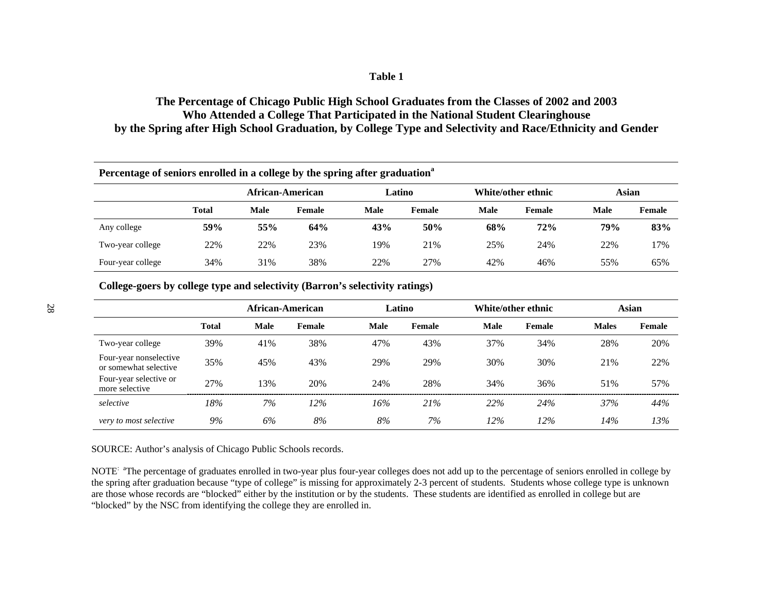### **Table 1**

## **The Percentage of Chicago Public High School Graduates from the Classes of 2002 and 2003 Who Attended a College That Participated in the National Student Clearinghouse by the Spring after High School Graduation, by College Type and Selectivity and Race/Ethnicity and Gender**

| Percentage of seniors enrolled in a college by the spring after graduation <sup>a</sup> |              |                  |        |             |        |             |                    |       |               |  |  |
|-----------------------------------------------------------------------------------------|--------------|------------------|--------|-------------|--------|-------------|--------------------|-------|---------------|--|--|
|                                                                                         |              | African-American |        |             | Latino |             | White/other ethnic | Asian |               |  |  |
|                                                                                         | <b>Total</b> | <b>Male</b>      | Female | <b>Male</b> | Female | <b>Male</b> | <b>Female</b>      | Male  | <b>Female</b> |  |  |
| Any college                                                                             | 59%          | 55%              | 64%    | 43%         | 50%    | 68%         | 72%                | 79%   | 83%           |  |  |
| Two-year college                                                                        | 22%          | 22%              | 23%    | 19%         | 21\%   | 25%         | 24%                | 22%   | 17%           |  |  |
| Four-year college                                                                       | 34%          | 31%              | 38%    | 22%         | 27%    | 42%         | 46%                | 55%   | 65%           |  |  |

**College-goers by college type and selectivity (Barron's selectivity ratings)**

|                                                 |              |             | African-American |      | Latino | White/other ethnic |        |              | Asian  |
|-------------------------------------------------|--------------|-------------|------------------|------|--------|--------------------|--------|--------------|--------|
|                                                 | <b>Total</b> | <b>Male</b> | Female           | Male | Female | Male               | Female | <b>Males</b> | Female |
| Two-year college                                | 39%          | 41%         | 38%              | 47%  | 43%    | 37%                | 34%    | 28%          | 20%    |
| Four-year nonselective<br>or somewhat selective | 35%          | 45%         | 43%              | 29%  | 29%    | 30%                | 30%    | 21%          | 22%    |
| Four-year selective or<br>more selective        | 27%          | 13%         | 20%              | 24%  | 28%    | 34%                | 36%    | 51%          | 57%    |
| selective                                       | 18%          | 7%          | 12%              | 16%  | 21%    | 22%                | 24%    | 37%          | 44%    |
| very to most selective                          | 9%           | 6%          | 8%               | 8%   | 7%     | 12%                | 12%    | 14%          | 13%    |

SOURCE: Author's analysis of Chicago Public Schools records.

NOTE<sup>: a</sup>The percentage of graduates enrolled in two-year plus four-year colleges does not add up to the percentage of seniors enrolled in college by the spring after graduation because "type of college" is missing for approximately 2-3 percent of students. Students whose college type is unknown are those whose records are "blocked" either by the institution or by the students. These students are identified as enrolled in college but are "blocked" by the NSC from identifying the college they are enrolled in.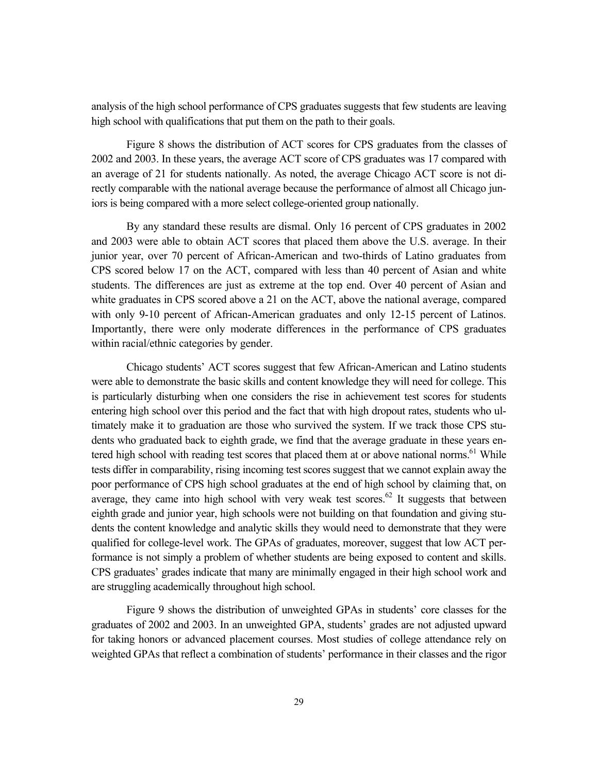analysis of the high school performance of CPS graduates suggests that few students are leaving high school with qualifications that put them on the path to their goals.

Figure 8 shows the distribution of ACT scores for CPS graduates from the classes of 2002 and 2003. In these years, the average ACT score of CPS graduates was 17 compared with an average of 21 for students nationally. As noted, the average Chicago ACT score is not directly comparable with the national average because the performance of almost all Chicago juniors is being compared with a more select college-oriented group nationally.

By any standard these results are dismal. Only 16 percent of CPS graduates in 2002 and 2003 were able to obtain ACT scores that placed them above the U.S. average. In their junior year, over 70 percent of African-American and two-thirds of Latino graduates from CPS scored below 17 on the ACT, compared with less than 40 percent of Asian and white students. The differences are just as extreme at the top end. Over 40 percent of Asian and white graduates in CPS scored above a 21 on the ACT, above the national average, compared with only 9-10 percent of African-American graduates and only 12-15 percent of Latinos. Importantly, there were only moderate differences in the performance of CPS graduates within racial/ethnic categories by gender.

Chicago students' ACT scores suggest that few African-American and Latino students were able to demonstrate the basic skills and content knowledge they will need for college. This is particularly disturbing when one considers the rise in achievement test scores for students entering high school over this period and the fact that with high dropout rates, students who ultimately make it to graduation are those who survived the system. If we track those CPS students who graduated back to eighth grade, we find that the average graduate in these years entered high school with reading test scores that placed them at or above national norms.<sup>61</sup> While tests differ in comparability, rising incoming test scores suggest that we cannot explain away the poor performance of CPS high school graduates at the end of high school by claiming that, on average, they came into high school with very weak test scores.<sup>62</sup> It suggests that between eighth grade and junior year, high schools were not building on that foundation and giving students the content knowledge and analytic skills they would need to demonstrate that they were qualified for college-level work. The GPAs of graduates, moreover, suggest that low ACT performance is not simply a problem of whether students are being exposed to content and skills. CPS graduates' grades indicate that many are minimally engaged in their high school work and are struggling academically throughout high school.

Figure 9 shows the distribution of unweighted GPAs in students' core classes for the graduates of 2002 and 2003. In an unweighted GPA, students' grades are not adjusted upward for taking honors or advanced placement courses. Most studies of college attendance rely on weighted GPAs that reflect a combination of students' performance in their classes and the rigor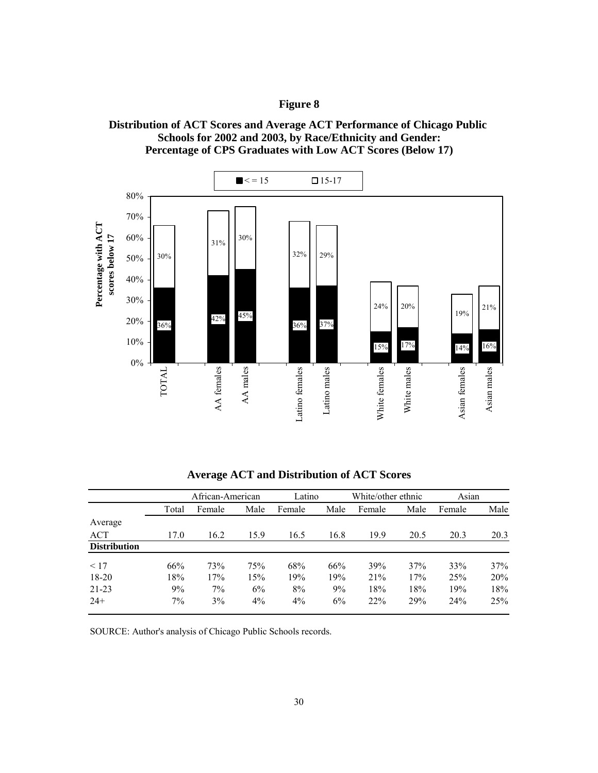### **Figure 8**





|                     | African-American |        |      | Latino |      | White/other ethnic |      | Asian  |      |
|---------------------|------------------|--------|------|--------|------|--------------------|------|--------|------|
|                     | Total            | Female | Male | Female | Male | Female             | Male | Female | Male |
| Average             |                  |        |      |        |      |                    |      |        |      |
| ACT                 | 17.0             | 16.2   | 15.9 | 16.5   | 16.8 | 19.9               | 20.5 | 20.3   | 20.3 |
| <b>Distribution</b> |                  |        |      |        |      |                    |      |        |      |
| < 17                | 66%              | 73%    | 75%  | 68%    | 66%  | 39%                | 37%  | 33%    | 37%  |
| 18-20               | 18%              | 17%    | 15%  | 19%    | 19%  | 21%                | 17%  | 25%    | 20%  |
| $21 - 23$           | 9%               | 7%     | 6%   | 8%     | 9%   | 18%                | 18%  | 19%    | 18%  |
| $24+$               | 7%               | 3%     | 4%   | 4%     | 6%   | 22%                | 29%  | 24%    | 25%  |

**Average ACT and Distribution of ACT Scores**

SOURCE: Author's analysis of Chicago Public Schools records.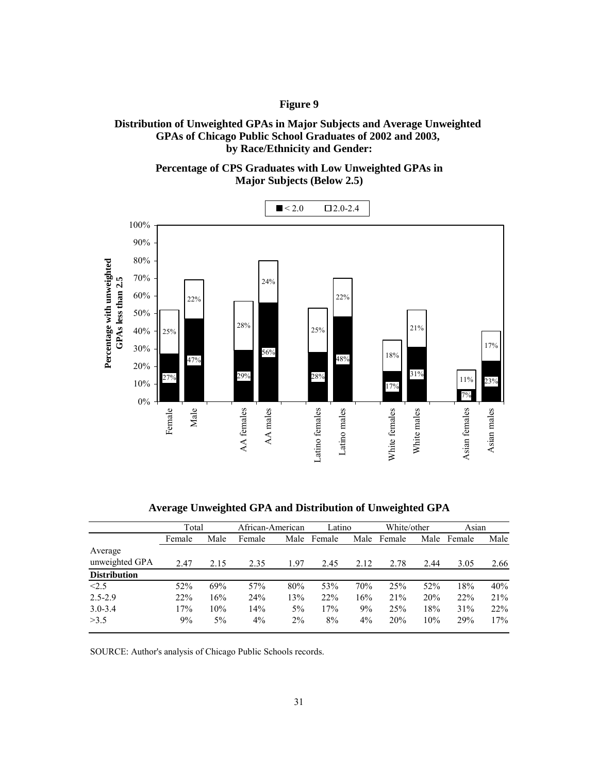### **Figure 9**

**GPAs of Chicago Public School Graduates of 2002 and 2003, by Race/Ethnicity and Gender: Distribution of Unweighted GPAs in Major Subjects and Average Unweighted** 

> **Major Subjects (Below 2.5) Percentage of CPS Graduates with Low Unweighted GPAs in**



**Average Unweighted GPA and Distribution of Unweighted GPA**

|                     | Total  |       | African-American |       | Latino |       | White/other |      | Asian  |      |
|---------------------|--------|-------|------------------|-------|--------|-------|-------------|------|--------|------|
|                     | Female | Male  | Female           | Male  | Female | Male  | Female      | Male | Female | Male |
| Average             |        |       |                  |       |        |       |             |      |        |      |
| unweighted GPA      | 2.47   | 2.15  | 2.35             | 1.97  | 2.45   | 2.12  | 2.78        | 2.44 | 3.05   | 2.66 |
| <b>Distribution</b> |        |       |                  |       |        |       |             |      |        |      |
| < 2.5               | 52%    | 69%   | 57%              | 80%   | 53%    | 70%   | 25%         | 52%  | 18%    | 40%  |
| $2.5 - 2.9$         | 22%    | 16%   | 24%              | 13%   | 22%    | 16%   | 21%         | 20%  | 22%    | 21%  |
| $3.0 - 3.4$         | 17%    | 10%   | 14%              | 5%    | 17%    | 9%    | 25%         | 18%  | 31%    | 22%  |
| >3.5                | 9%     | $5\%$ | $4\%$            | $2\%$ | 8%     | $4\%$ | 20%         | 10%  | 29%    | 17%  |

SOURCE: Author's analysis of Chicago Public Schools records.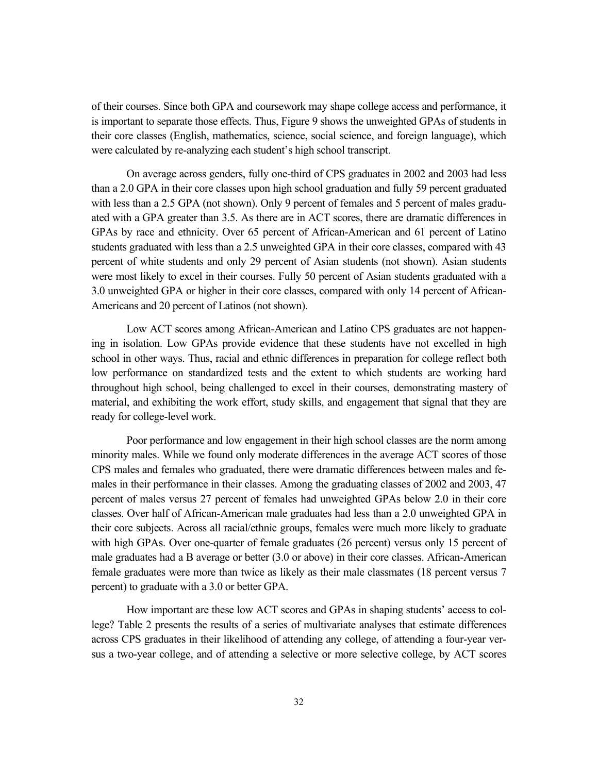of their courses. Since both GPA and coursework may shape college access and performance, it is important to separate those effects. Thus, Figure 9 shows the unweighted GPAs of students in their core classes (English, mathematics, science, social science, and foreign language), which were calculated by re-analyzing each student's high school transcript.

On average across genders, fully one-third of CPS graduates in 2002 and 2003 had less than a 2.0 GPA in their core classes upon high school graduation and fully 59 percent graduated with less than a 2.5 GPA (not shown). Only 9 percent of females and 5 percent of males graduated with a GPA greater than 3.5. As there are in ACT scores, there are dramatic differences in GPAs by race and ethnicity. Over 65 percent of African-American and 61 percent of Latino students graduated with less than a 2.5 unweighted GPA in their core classes, compared with 43 percent of white students and only 29 percent of Asian students (not shown). Asian students were most likely to excel in their courses. Fully 50 percent of Asian students graduated with a 3.0 unweighted GPA or higher in their core classes, compared with only 14 percent of African-Americans and 20 percent of Latinos (not shown).

Low ACT scores among African-American and Latino CPS graduates are not happening in isolation. Low GPAs provide evidence that these students have not excelled in high school in other ways. Thus, racial and ethnic differences in preparation for college reflect both low performance on standardized tests and the extent to which students are working hard throughout high school, being challenged to excel in their courses, demonstrating mastery of material, and exhibiting the work effort, study skills, and engagement that signal that they are ready for college-level work.

Poor performance and low engagement in their high school classes are the norm among minority males. While we found only moderate differences in the average ACT scores of those CPS males and females who graduated, there were dramatic differences between males and females in their performance in their classes. Among the graduating classes of 2002 and 2003, 47 percent of males versus 27 percent of females had unweighted GPAs below 2.0 in their core classes. Over half of African-American male graduates had less than a 2.0 unweighted GPA in their core subjects. Across all racial/ethnic groups, females were much more likely to graduate with high GPAs. Over one-quarter of female graduates (26 percent) versus only 15 percent of male graduates had a B average or better (3.0 or above) in their core classes. African-American female graduates were more than twice as likely as their male classmates (18 percent versus 7 percent) to graduate with a 3.0 or better GPA.

How important are these low ACT scores and GPAs in shaping students' access to college? Table 2 presents the results of a series of multivariate analyses that estimate differences across CPS graduates in their likelihood of attending any college, of attending a four-year versus a two-year college, and of attending a selective or more selective college, by ACT scores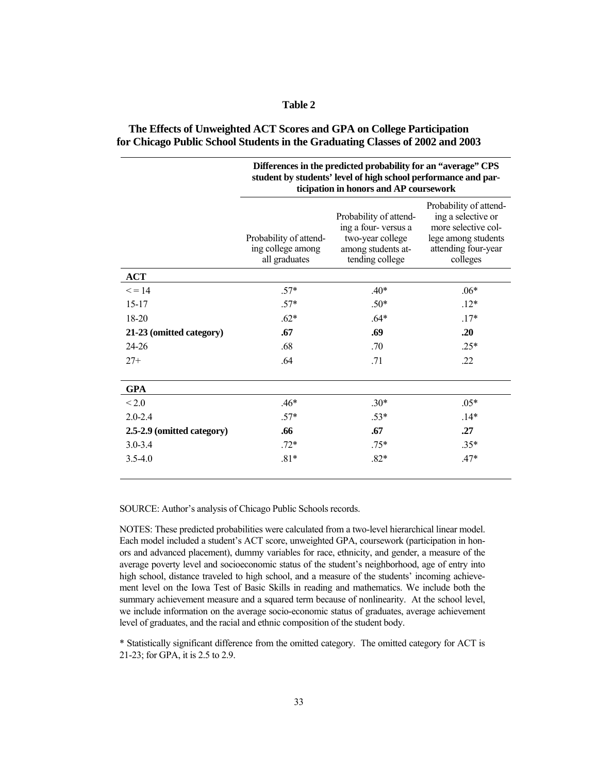|--|--|

| The Effects of Unweighted ACT Scores and GPA on College Participation         |  |
|-------------------------------------------------------------------------------|--|
| for Chicago Public School Students in the Graduating Classes of 2002 and 2003 |  |

|                            | Differences in the predicted probability for an "average" CPS<br>student by students' level of high school performance and par-<br>ticipation in honors and AP coursework |                                                                                                            |                                                                                                                               |  |  |  |  |  |  |
|----------------------------|---------------------------------------------------------------------------------------------------------------------------------------------------------------------------|------------------------------------------------------------------------------------------------------------|-------------------------------------------------------------------------------------------------------------------------------|--|--|--|--|--|--|
|                            | Probability of attend-<br>ing college among<br>all graduates                                                                                                              | Probability of attend-<br>ing a four-versus a<br>two-year college<br>among students at-<br>tending college | Probability of attend-<br>ing a selective or<br>more selective col-<br>lege among students<br>attending four-year<br>colleges |  |  |  |  |  |  |
| <b>ACT</b>                 |                                                                                                                                                                           |                                                                                                            |                                                                                                                               |  |  |  |  |  |  |
| $\leq$ = 14                | $.57*$                                                                                                                                                                    | $.40*$                                                                                                     | $.06*$                                                                                                                        |  |  |  |  |  |  |
| $15 - 17$                  | $.57*$                                                                                                                                                                    | $.50*$                                                                                                     | $12*$                                                                                                                         |  |  |  |  |  |  |
| 18-20                      | $.62*$                                                                                                                                                                    | $.64*$                                                                                                     | $.17*$                                                                                                                        |  |  |  |  |  |  |
| 21-23 (omitted category)   | .67                                                                                                                                                                       | .69                                                                                                        | .20                                                                                                                           |  |  |  |  |  |  |
| 24-26                      | .68                                                                                                                                                                       | .70                                                                                                        | $.25*$                                                                                                                        |  |  |  |  |  |  |
| $27+$                      | .64                                                                                                                                                                       | .71                                                                                                        | .22                                                                                                                           |  |  |  |  |  |  |
| <b>GPA</b>                 |                                                                                                                                                                           |                                                                                                            |                                                                                                                               |  |  |  |  |  |  |
| ${}_{\leq 2.0}$            | $.46*$                                                                                                                                                                    | $.30*$                                                                                                     | $.05*$                                                                                                                        |  |  |  |  |  |  |
| $2.0 - 2.4$                | $.57*$                                                                                                                                                                    | $.53*$                                                                                                     | $.14*$                                                                                                                        |  |  |  |  |  |  |
| 2.5-2.9 (omitted category) | .66                                                                                                                                                                       | .67                                                                                                        | .27                                                                                                                           |  |  |  |  |  |  |
| $3.0 - 3.4$                | $.72*$                                                                                                                                                                    | $.75*$                                                                                                     | $.35*$                                                                                                                        |  |  |  |  |  |  |
| $3.5 - 4.0$                | $.81*$                                                                                                                                                                    | $.82*$                                                                                                     | $.47*$                                                                                                                        |  |  |  |  |  |  |

SOURCE: Author's analysis of Chicago Public Schools records.

NOTES: These predicted probabilities were calculated from a two-level hierarchical linear model. Each model included a student's ACT score, unweighted GPA, coursework (participation in honors and advanced placement), dummy variables for race, ethnicity, and gender, a measure of the average poverty level and socioeconomic status of the student's neighborhood, age of entry into high school, distance traveled to high school, and a measure of the students' incoming achievement level on the Iowa Test of Basic Skills in reading and mathematics. We include both the summary achievement measure and a squared term because of nonlinearity. At the school level, we include information on the average socio-economic status of graduates, average achievement level of graduates, and the racial and ethnic composition of the student body.

\* Statistically significant difference from the omitted category. The omitted category for ACT is 21-23; for GPA, it is 2.5 to 2.9.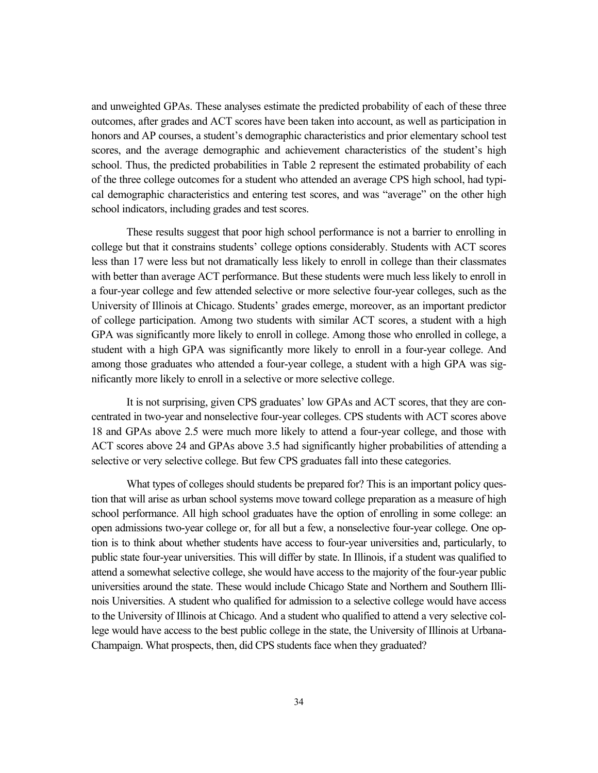and unweighted GPAs. These analyses estimate the predicted probability of each of these three outcomes, after grades and ACT scores have been taken into account, as well as participation in honors and AP courses, a student's demographic characteristics and prior elementary school test scores, and the average demographic and achievement characteristics of the student's high school. Thus, the predicted probabilities in Table 2 represent the estimated probability of each of the three college outcomes for a student who attended an average CPS high school, had typical demographic characteristics and entering test scores, and was "average" on the other high school indicators, including grades and test scores.

These results suggest that poor high school performance is not a barrier to enrolling in college but that it constrains students' college options considerably. Students with ACT scores less than 17 were less but not dramatically less likely to enroll in college than their classmates with better than average ACT performance. But these students were much less likely to enroll in a four-year college and few attended selective or more selective four-year colleges, such as the University of Illinois at Chicago. Students' grades emerge, moreover, as an important predictor of college participation. Among two students with similar ACT scores, a student with a high GPA was significantly more likely to enroll in college. Among those who enrolled in college, a student with a high GPA was significantly more likely to enroll in a four-year college. And among those graduates who attended a four-year college, a student with a high GPA was significantly more likely to enroll in a selective or more selective college.

It is not surprising, given CPS graduates' low GPAs and ACT scores, that they are concentrated in two-year and nonselective four-year colleges. CPS students with ACT scores above 18 and GPAs above 2.5 were much more likely to attend a four-year college, and those with ACT scores above 24 and GPAs above 3.5 had significantly higher probabilities of attending a selective or very selective college. But few CPS graduates fall into these categories.

What types of colleges should students be prepared for? This is an important policy question that will arise as urban school systems move toward college preparation as a measure of high school performance. All high school graduates have the option of enrolling in some college: an open admissions two-year college or, for all but a few, a nonselective four-year college. One option is to think about whether students have access to four-year universities and, particularly, to public state four-year universities. This will differ by state. In Illinois, if a student was qualified to attend a somewhat selective college, she would have access to the majority of the four-year public universities around the state. These would include Chicago State and Northern and Southern Illinois Universities. A student who qualified for admission to a selective college would have access to the University of Illinois at Chicago. And a student who qualified to attend a very selective college would have access to the best public college in the state, the University of Illinois at Urbana-Champaign. What prospects, then, did CPS students face when they graduated?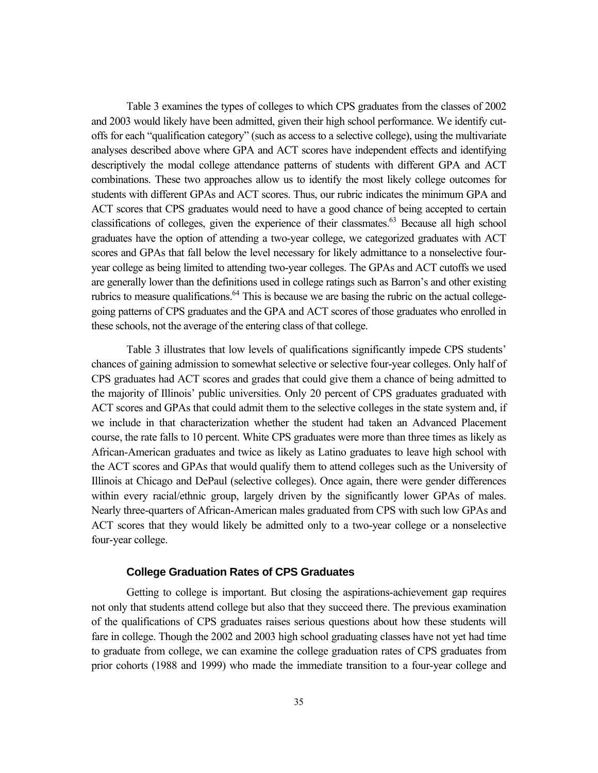Table 3 examines the types of colleges to which CPS graduates from the classes of 2002 and 2003 would likely have been admitted, given their high school performance. We identify cutoffs for each "qualification category" (such as access to a selective college), using the multivariate analyses described above where GPA and ACT scores have independent effects and identifying descriptively the modal college attendance patterns of students with different GPA and ACT combinations. These two approaches allow us to identify the most likely college outcomes for students with different GPAs and ACT scores. Thus, our rubric indicates the minimum GPA and ACT scores that CPS graduates would need to have a good chance of being accepted to certain classifications of colleges, given the experience of their classmates.<sup>63</sup> Because all high school graduates have the option of attending a two-year college, we categorized graduates with ACT scores and GPAs that fall below the level necessary for likely admittance to a nonselective fouryear college as being limited to attending two-year colleges. The GPAs and ACT cutoffs we used are generally lower than the definitions used in college ratings such as Barron's and other existing rubrics to measure qualifications.<sup>64</sup> This is because we are basing the rubric on the actual collegegoing patterns of CPS graduates and the GPA and ACT scores of those graduates who enrolled in these schools, not the average of the entering class of that college.

Table 3 illustrates that low levels of qualifications significantly impede CPS students' chances of gaining admission to somewhat selective or selective four-year colleges. Only half of CPS graduates had ACT scores and grades that could give them a chance of being admitted to the majority of Illinois' public universities. Only 20 percent of CPS graduates graduated with ACT scores and GPAs that could admit them to the selective colleges in the state system and, if we include in that characterization whether the student had taken an Advanced Placement course, the rate falls to 10 percent. White CPS graduates were more than three times as likely as African-American graduates and twice as likely as Latino graduates to leave high school with the ACT scores and GPAs that would qualify them to attend colleges such as the University of Illinois at Chicago and DePaul (selective colleges). Once again, there were gender differences within every racial/ethnic group, largely driven by the significantly lower GPAs of males. Nearly three-quarters of African-American males graduated from CPS with such low GPAs and ACT scores that they would likely be admitted only to a two-year college or a nonselective four-year college.

#### **College Graduation Rates of CPS Graduates**

Getting to college is important. But closing the aspirations-achievement gap requires not only that students attend college but also that they succeed there. The previous examination of the qualifications of CPS graduates raises serious questions about how these students will fare in college. Though the 2002 and 2003 high school graduating classes have not yet had time to graduate from college, we can examine the college graduation rates of CPS graduates from prior cohorts (1988 and 1999) who made the immediate transition to a four-year college and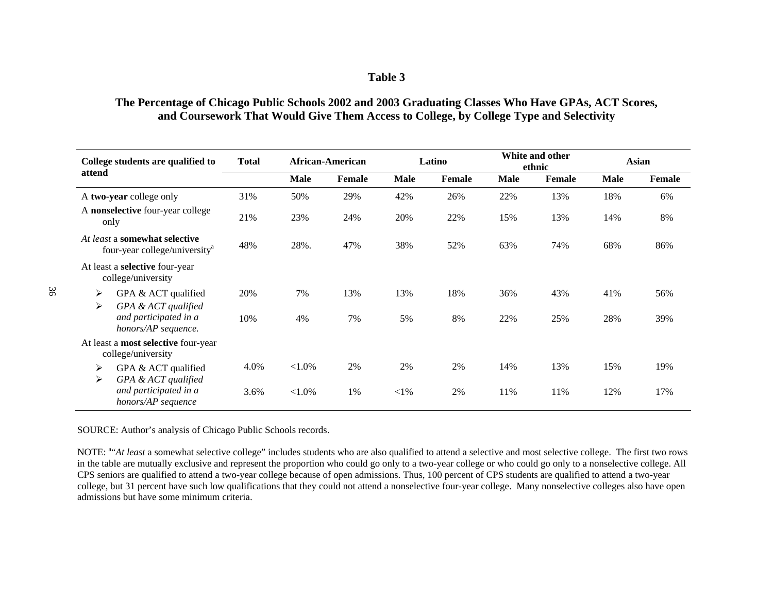#### **Table 3**

## **The Percentage of Chicago Public Schools 2002 and 2003 Graduating Classes Who Have GPAs, ACT Scores, and Coursework That Would Give Them Access to College, by College Type and Selectivity**

| College students are qualified to                                          | <b>Total</b> | <b>African-American</b> |        | Latino |        | White and other<br>ethnic |               | <b>Asian</b> |        |
|----------------------------------------------------------------------------|--------------|-------------------------|--------|--------|--------|---------------------------|---------------|--------------|--------|
| attend                                                                     |              | Male                    | Female | Male   | Female | <b>Male</b>               | <b>Female</b> | <b>Male</b>  | Female |
| A two-year college only                                                    | 31%          | 50%                     | 29%    | 42%    | 26%    | 22%                       | 13%           | 18%          | 6%     |
| A nonselective four-year college<br>only                                   | 21%          | 23%                     | 24%    | 20%    | 22%    | 15%                       | 13%           | 14%          | 8%     |
| At least a somewhat selective<br>four-year college/university <sup>a</sup> | 48%          | 28%.                    | 47%    | 38%    | 52%    | 63%                       | 74%           | 68%          | 86%    |
| At least a <b>selective</b> four-year<br>college/university                |              |                         |        |        |        |                           |               |              |        |
| ➤<br>GPA & ACT qualified<br>GPA & ACT qualified<br>➤                       | 20%          | 7%                      | 13%    | 13%    | 18%    | 36%                       | 43%           | 41%          | 56%    |
| and participated in a<br>honors/AP sequence.                               | 10%          | 4%                      | 7%     | 5%     | 8%     | 22%                       | 25%           | 28%          | 39%    |
| At least a <b>most selective</b> four-year<br>college/university           |              |                         |        |        |        |                           |               |              |        |
| GPA & ACT qualified<br>➤<br>GPA & ACT qualified<br>➤                       | 4.0%         | ${<}1.0\%$              | 2%     | 2%     | 2%     | 14%                       | 13%           | 15%          | 19%    |
| and participated in a<br>honors/AP sequence                                | 3.6%         | ${<}1.0\%$              | 1%     | $<$ 1% | 2%     | 11%                       | 11%           | 12%          | 17%    |

SOURCE: Author's analysis of Chicago Public Schools records.

NOTE: <sup>a</sup>"At least a somewhat selective college" includes students who are also qualified to attend a selective and most selective college. The first two rows in the table are mutually exclusive and represent the proportion who could go only to a two-year college or who could go only to a nonselective college. All CPS seniors are qualified to attend a two-year college because of open admissions. Thus, 100 percent of CPS students are qualified to attend a two-year college, but 31 percent have such low qualifications that they could not attend a nonselective four-year college. Many nonselective colleges also have open admissions but have some minimum criteria.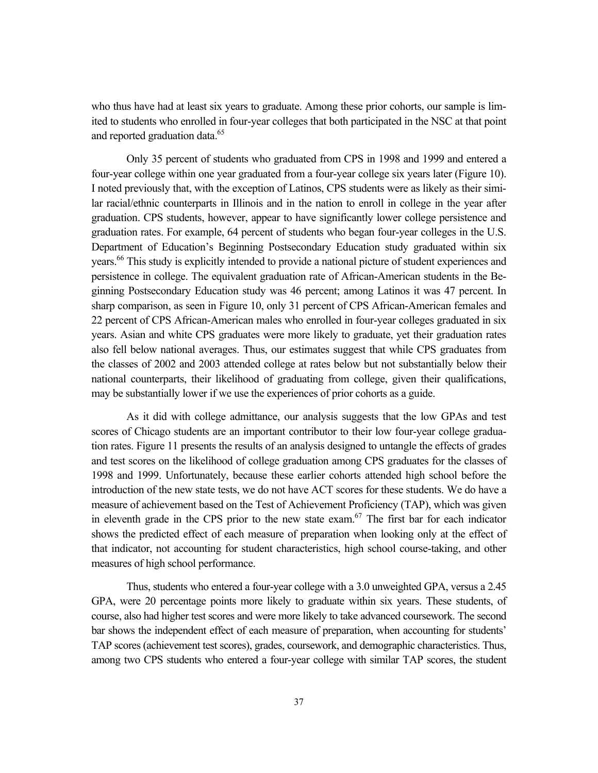who thus have had at least six years to graduate. Among these prior cohorts, our sample is limited to students who enrolled in four-year colleges that both participated in the NSC at that point and reported graduation data.<sup>65</sup>

Only 35 percent of students who graduated from CPS in 1998 and 1999 and entered a four-year college within one year graduated from a four-year college six years later (Figure 10). I noted previously that, with the exception of Latinos, CPS students were as likely as their similar racial/ethnic counterparts in Illinois and in the nation to enroll in college in the year after graduation. CPS students, however, appear to have significantly lower college persistence and graduation rates. For example, 64 percent of students who began four-year colleges in the U.S. Department of Education's Beginning Postsecondary Education study graduated within six years.<sup>66</sup> This study is explicitly intended to provide a national picture of student experiences and persistence in college. The equivalent graduation rate of African-American students in the Beginning Postsecondary Education study was 46 percent; among Latinos it was 47 percent. In sharp comparison, as seen in Figure 10, only 31 percent of CPS African-American females and 22 percent of CPS African-American males who enrolled in four-year colleges graduated in six years. Asian and white CPS graduates were more likely to graduate, yet their graduation rates also fell below national averages. Thus, our estimates suggest that while CPS graduates from the classes of 2002 and 2003 attended college at rates below but not substantially below their national counterparts, their likelihood of graduating from college, given their qualifications, may be substantially lower if we use the experiences of prior cohorts as a guide.

As it did with college admittance, our analysis suggests that the low GPAs and test scores of Chicago students are an important contributor to their low four-year college graduation rates. Figure 11 presents the results of an analysis designed to untangle the effects of grades and test scores on the likelihood of college graduation among CPS graduates for the classes of 1998 and 1999. Unfortunately, because these earlier cohorts attended high school before the introduction of the new state tests, we do not have ACT scores for these students. We do have a measure of achievement based on the Test of Achievement Proficiency (TAP), which was given in eleventh grade in the CPS prior to the new state exam.<sup>67</sup> The first bar for each indicator shows the predicted effect of each measure of preparation when looking only at the effect of that indicator, not accounting for student characteristics, high school course-taking, and other measures of high school performance.

Thus, students who entered a four-year college with a 3.0 unweighted GPA, versus a 2.45 GPA, were 20 percentage points more likely to graduate within six years. These students, of course, also had higher test scores and were more likely to take advanced coursework. The second bar shows the independent effect of each measure of preparation, when accounting for students' TAP scores (achievement test scores), grades, coursework, and demographic characteristics. Thus, among two CPS students who entered a four-year college with similar TAP scores, the student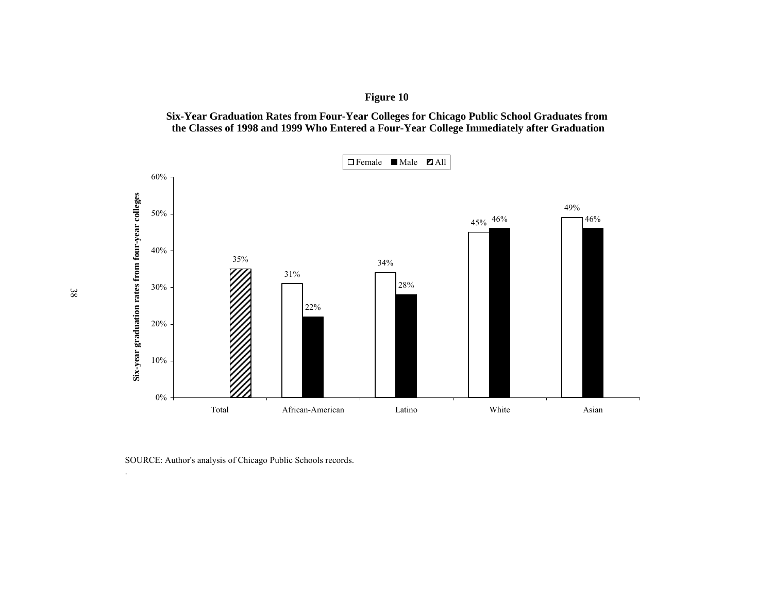**Figure 10**

**Six-Year Graduation Rates from Four-Year Colleges for Chicago Public School Graduates from the Classes of 1998 and 1999 Who Entered a Four-Year College Immediately after Graduation**



SOURCE: Author's analysis of Chicago Public Schools records.

38

.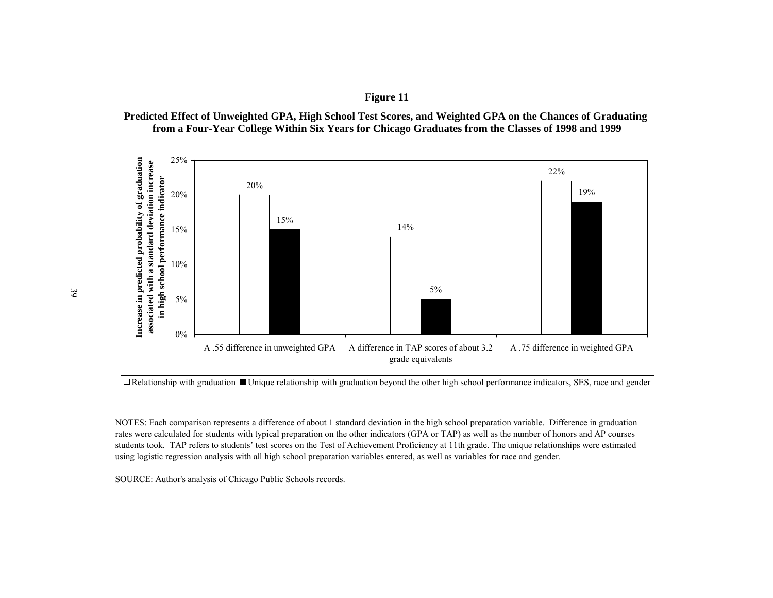**Figure 11**





 $\Box$  Relationship with graduation  $\Box$  Unique relationship with graduation beyond the other high school performance indicators, SES, race and gender

NOTES: Each comparison represents a difference of about 1 standard deviation in the high school preparation variable. Difference in graduation rates were calculated for students with typical preparation on the other indicators (GPA or TAP) as well as the number of honors and AP courses students took. TAP refers to students' test scores on the Test of Achievement Proficiency at 11th grade. The unique relationships were estimated using logistic regression analysis with all high school preparation variables entered, as well as variables for race and gender.

SOURCE: Author's analysis of Chicago Public Schools records.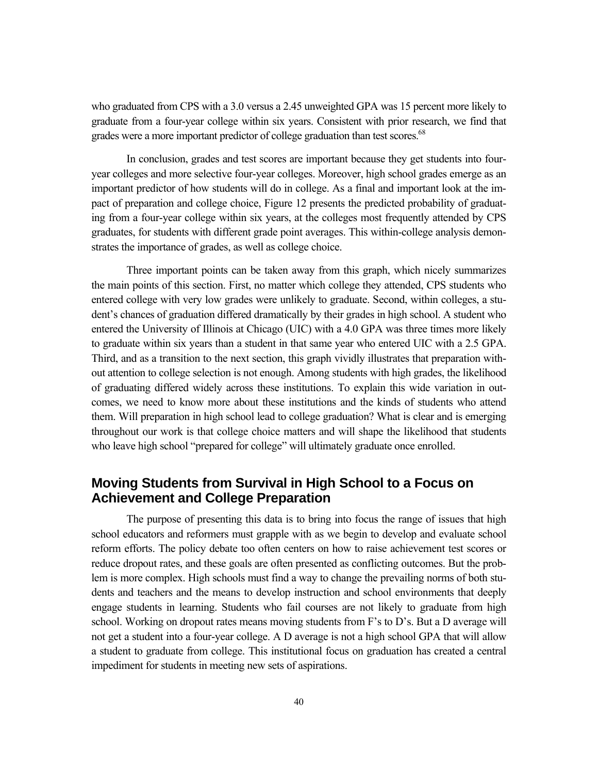who graduated from CPS with a 3.0 versus a 2.45 unweighted GPA was 15 percent more likely to graduate from a four-year college within six years. Consistent with prior research, we find that grades were a more important predictor of college graduation than test scores.<sup>68</sup>

In conclusion, grades and test scores are important because they get students into fouryear colleges and more selective four-year colleges. Moreover, high school grades emerge as an important predictor of how students will do in college. As a final and important look at the impact of preparation and college choice, Figure 12 presents the predicted probability of graduating from a four-year college within six years, at the colleges most frequently attended by CPS graduates, for students with different grade point averages. This within-college analysis demonstrates the importance of grades, as well as college choice.

Three important points can be taken away from this graph, which nicely summarizes the main points of this section. First, no matter which college they attended, CPS students who entered college with very low grades were unlikely to graduate. Second, within colleges, a student's chances of graduation differed dramatically by their grades in high school. A student who entered the University of Illinois at Chicago (UIC) with a 4.0 GPA was three times more likely to graduate within six years than a student in that same year who entered UIC with a 2.5 GPA. Third, and as a transition to the next section, this graph vividly illustrates that preparation without attention to college selection is not enough. Among students with high grades, the likelihood of graduating differed widely across these institutions. To explain this wide variation in outcomes, we need to know more about these institutions and the kinds of students who attend them. Will preparation in high school lead to college graduation? What is clear and is emerging throughout our work is that college choice matters and will shape the likelihood that students who leave high school "prepared for college" will ultimately graduate once enrolled.

## **Moving Students from Survival in High School to a Focus on Achievement and College Preparation**

The purpose of presenting this data is to bring into focus the range of issues that high school educators and reformers must grapple with as we begin to develop and evaluate school reform efforts. The policy debate too often centers on how to raise achievement test scores or reduce dropout rates, and these goals are often presented as conflicting outcomes. But the problem is more complex. High schools must find a way to change the prevailing norms of both students and teachers and the means to develop instruction and school environments that deeply engage students in learning. Students who fail courses are not likely to graduate from high school. Working on dropout rates means moving students from F's to D's. But a D average will not get a student into a four-year college. A D average is not a high school GPA that will allow a student to graduate from college. This institutional focus on graduation has created a central impediment for students in meeting new sets of aspirations.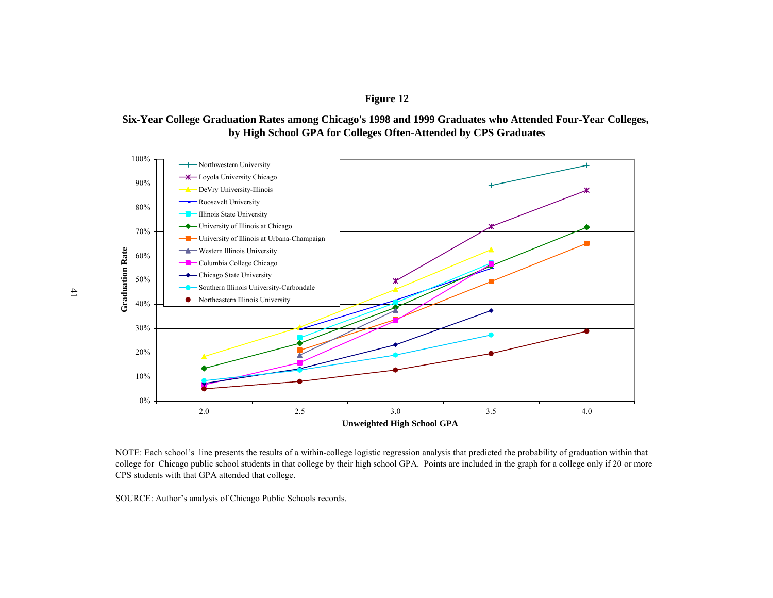**Figure 12**





NOTE: Each school's line presents the results of a within-college logistic regression analysis that predicted the probability of graduation within that college for Chicago public school students in that college by their high school GPA. Points are included in the graph for a college only if 20 or more CPS students with that GPA attended that college.

SOURCE: Author's analysis of Chicago Public Schools records.

41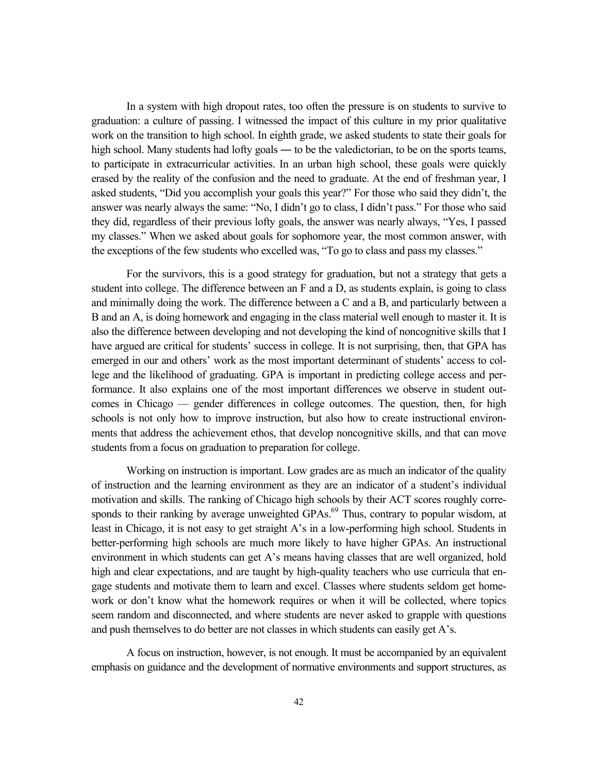In a system with high dropout rates, too often the pressure is on students to survive to graduation: a culture of passing. I witnessed the impact of this culture in my prior qualitative work on the transition to high school. In eighth grade, we asked students to state their goals for high school. Many students had lofty goals — to be the valedictorian, to be on the sports teams, to participate in extracurricular activities. In an urban high school, these goals were quickly erased by the reality of the confusion and the need to graduate. At the end of freshman year, I asked students, "Did you accomplish your goals this year?" For those who said they didn't, the answer was nearly always the same: "No, I didn't go to class, I didn't pass." For those who said they did, regardless of their previous lofty goals, the answer was nearly always, "Yes, I passed my classes." When we asked about goals for sophomore year, the most common answer, with the exceptions of the few students who excelled was, "To go to class and pass my classes."

For the survivors, this is a good strategy for graduation, but not a strategy that gets a student into college. The difference between an F and a D, as students explain, is going to class and minimally doing the work. The difference between a C and a B, and particularly between a B and an A, is doing homework and engaging in the class material well enough to master it. It is also the difference between developing and not developing the kind of noncognitive skills that I have argued are critical for students' success in college. It is not surprising, then, that GPA has emerged in our and others' work as the most important determinant of students' access to college and the likelihood of graduating. GPA is important in predicting college access and performance. It also explains one of the most important differences we observe in student outcomes in Chicago — gender differences in college outcomes. The question, then, for high schools is not only how to improve instruction, but also how to create instructional environments that address the achievement ethos, that develop noncognitive skills, and that can move students from a focus on graduation to preparation for college.

Working on instruction is important. Low grades are as much an indicator of the quality of instruction and the learning environment as they are an indicator of a student's individual motivation and skills. The ranking of Chicago high schools by their ACT scores roughly corresponds to their ranking by average unweighted GPAs.<sup>69</sup> Thus, contrary to popular wisdom, at least in Chicago, it is not easy to get straight A's in a low-performing high school. Students in better-performing high schools are much more likely to have higher GPAs. An instructional environment in which students can get A's means having classes that are well organized, hold high and clear expectations, and are taught by high-quality teachers who use curricula that engage students and motivate them to learn and excel. Classes where students seldom get homework or don't know what the homework requires or when it will be collected, where topics seem random and disconnected, and where students are never asked to grapple with questions and push themselves to do better are not classes in which students can easily get A's.

A focus on instruction, however, is not enough. It must be accompanied by an equivalent emphasis on guidance and the development of normative environments and support structures, as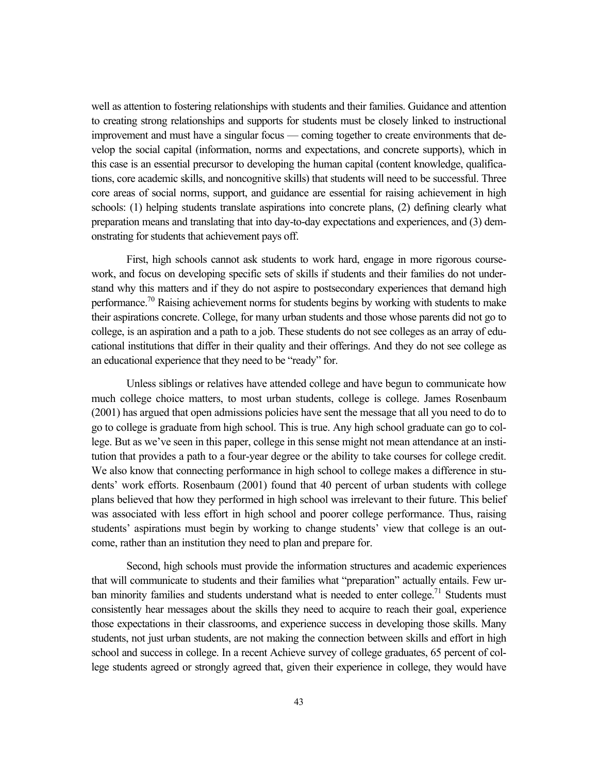well as attention to fostering relationships with students and their families. Guidance and attention to creating strong relationships and supports for students must be closely linked to instructional improvement and must have a singular focus — coming together to create environments that develop the social capital (information, norms and expectations, and concrete supports), which in this case is an essential precursor to developing the human capital (content knowledge, qualifications, core academic skills, and noncognitive skills) that students will need to be successful. Three core areas of social norms, support, and guidance are essential for raising achievement in high schools: (1) helping students translate aspirations into concrete plans, (2) defining clearly what preparation means and translating that into day-to-day expectations and experiences, and (3) demonstrating for students that achievement pays off.

First, high schools cannot ask students to work hard, engage in more rigorous coursework, and focus on developing specific sets of skills if students and their families do not understand why this matters and if they do not aspire to postsecondary experiences that demand high performance.<sup>70</sup> Raising achievement norms for students begins by working with students to make their aspirations concrete. College, for many urban students and those whose parents did not go to college, is an aspiration and a path to a job. These students do not see colleges as an array of educational institutions that differ in their quality and their offerings. And they do not see college as an educational experience that they need to be "ready" for.

Unless siblings or relatives have attended college and have begun to communicate how much college choice matters, to most urban students, college is college. James Rosenbaum (2001) has argued that open admissions policies have sent the message that all you need to do to go to college is graduate from high school. This is true. Any high school graduate can go to college. But as we've seen in this paper, college in this sense might not mean attendance at an institution that provides a path to a four-year degree or the ability to take courses for college credit. We also know that connecting performance in high school to college makes a difference in students' work efforts. Rosenbaum (2001) found that 40 percent of urban students with college plans believed that how they performed in high school was irrelevant to their future. This belief was associated with less effort in high school and poorer college performance. Thus, raising students' aspirations must begin by working to change students' view that college is an outcome, rather than an institution they need to plan and prepare for.

Second, high schools must provide the information structures and academic experiences that will communicate to students and their families what "preparation" actually entails. Few urban minority families and students understand what is needed to enter college.<sup>71</sup> Students must consistently hear messages about the skills they need to acquire to reach their goal, experience those expectations in their classrooms, and experience success in developing those skills. Many students, not just urban students, are not making the connection between skills and effort in high school and success in college. In a recent Achieve survey of college graduates, 65 percent of college students agreed or strongly agreed that, given their experience in college, they would have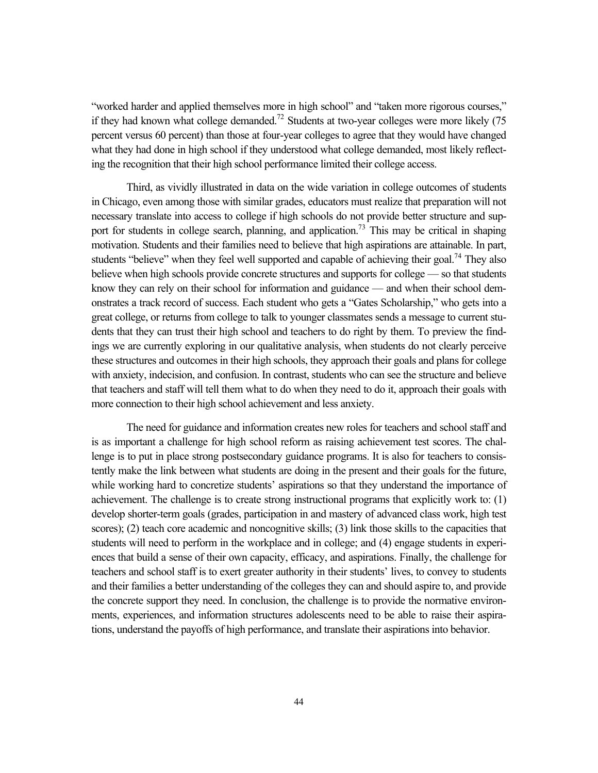"worked harder and applied themselves more in high school" and "taken more rigorous courses," if they had known what college demanded.<sup>72</sup> Students at two-year colleges were more likely  $(75$ percent versus 60 percent) than those at four-year colleges to agree that they would have changed what they had done in high school if they understood what college demanded, most likely reflecting the recognition that their high school performance limited their college access.

Third, as vividly illustrated in data on the wide variation in college outcomes of students in Chicago, even among those with similar grades, educators must realize that preparation will not necessary translate into access to college if high schools do not provide better structure and support for students in college search, planning, and application.<sup>73</sup> This may be critical in shaping motivation. Students and their families need to believe that high aspirations are attainable. In part, students "believe" when they feel well supported and capable of achieving their goal.<sup>74</sup> They also believe when high schools provide concrete structures and supports for college — so that students know they can rely on their school for information and guidance — and when their school demonstrates a track record of success. Each student who gets a "Gates Scholarship," who gets into a great college, or returns from college to talk to younger classmates sends a message to current students that they can trust their high school and teachers to do right by them. To preview the findings we are currently exploring in our qualitative analysis, when students do not clearly perceive these structures and outcomes in their high schools, they approach their goals and plans for college with anxiety, indecision, and confusion. In contrast, students who can see the structure and believe that teachers and staff will tell them what to do when they need to do it, approach their goals with more connection to their high school achievement and less anxiety.

The need for guidance and information creates new roles for teachers and school staff and is as important a challenge for high school reform as raising achievement test scores. The challenge is to put in place strong postsecondary guidance programs. It is also for teachers to consistently make the link between what students are doing in the present and their goals for the future, while working hard to concretize students' aspirations so that they understand the importance of achievement. The challenge is to create strong instructional programs that explicitly work to: (1) develop shorter-term goals (grades, participation in and mastery of advanced class work, high test scores); (2) teach core academic and noncognitive skills; (3) link those skills to the capacities that students will need to perform in the workplace and in college; and (4) engage students in experiences that build a sense of their own capacity, efficacy, and aspirations. Finally, the challenge for teachers and school staff is to exert greater authority in their students' lives, to convey to students and their families a better understanding of the colleges they can and should aspire to, and provide the concrete support they need. In conclusion, the challenge is to provide the normative environments, experiences, and information structures adolescents need to be able to raise their aspirations, understand the payoffs of high performance, and translate their aspirations into behavior.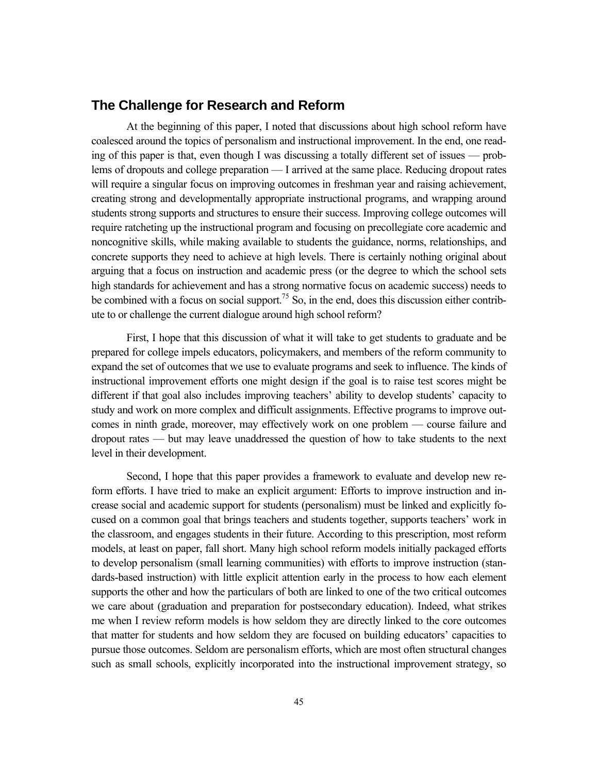## **The Challenge for Research and Reform**

At the beginning of this paper, I noted that discussions about high school reform have coalesced around the topics of personalism and instructional improvement. In the end, one reading of this paper is that, even though I was discussing a totally different set of issues — problems of dropouts and college preparation — I arrived at the same place. Reducing dropout rates will require a singular focus on improving outcomes in freshman year and raising achievement, creating strong and developmentally appropriate instructional programs, and wrapping around students strong supports and structures to ensure their success. Improving college outcomes will require ratcheting up the instructional program and focusing on precollegiate core academic and noncognitive skills, while making available to students the guidance, norms, relationships, and concrete supports they need to achieve at high levels. There is certainly nothing original about arguing that a focus on instruction and academic press (or the degree to which the school sets high standards for achievement and has a strong normative focus on academic success) needs to be combined with a focus on social support.<sup>75</sup> So, in the end, does this discussion either contribute to or challenge the current dialogue around high school reform?

First, I hope that this discussion of what it will take to get students to graduate and be prepared for college impels educators, policymakers, and members of the reform community to expand the set of outcomes that we use to evaluate programs and seek to influence. The kinds of instructional improvement efforts one might design if the goal is to raise test scores might be different if that goal also includes improving teachers' ability to develop students' capacity to study and work on more complex and difficult assignments. Effective programs to improve outcomes in ninth grade, moreover, may effectively work on one problem — course failure and dropout rates — but may leave unaddressed the question of how to take students to the next level in their development.

Second, I hope that this paper provides a framework to evaluate and develop new reform efforts. I have tried to make an explicit argument: Efforts to improve instruction and increase social and academic support for students (personalism) must be linked and explicitly focused on a common goal that brings teachers and students together, supports teachers' work in the classroom, and engages students in their future. According to this prescription, most reform models, at least on paper, fall short. Many high school reform models initially packaged efforts to develop personalism (small learning communities) with efforts to improve instruction (standards-based instruction) with little explicit attention early in the process to how each element supports the other and how the particulars of both are linked to one of the two critical outcomes we care about (graduation and preparation for postsecondary education). Indeed, what strikes me when I review reform models is how seldom they are directly linked to the core outcomes that matter for students and how seldom they are focused on building educators' capacities to pursue those outcomes. Seldom are personalism efforts, which are most often structural changes such as small schools, explicitly incorporated into the instructional improvement strategy, so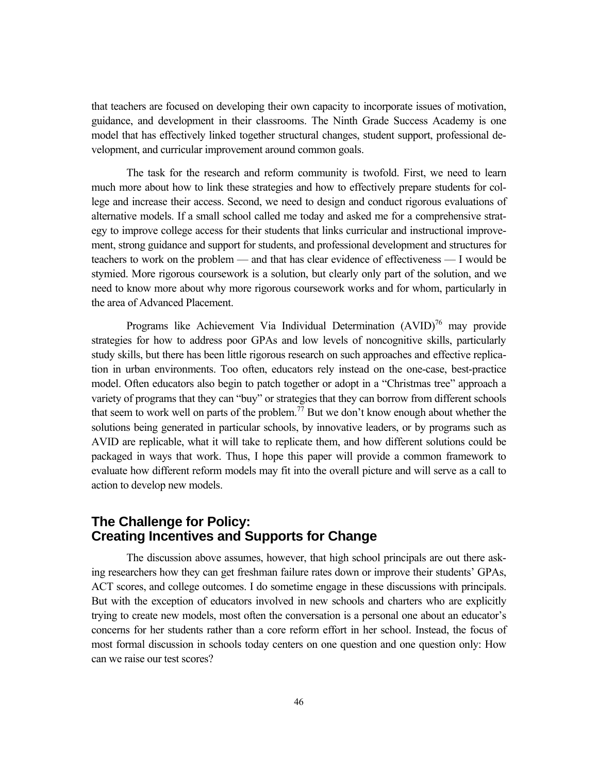that teachers are focused on developing their own capacity to incorporate issues of motivation, guidance, and development in their classrooms. The Ninth Grade Success Academy is one model that has effectively linked together structural changes, student support, professional development, and curricular improvement around common goals.

The task for the research and reform community is twofold. First, we need to learn much more about how to link these strategies and how to effectively prepare students for college and increase their access. Second, we need to design and conduct rigorous evaluations of alternative models. If a small school called me today and asked me for a comprehensive strategy to improve college access for their students that links curricular and instructional improvement, strong guidance and support for students, and professional development and structures for teachers to work on the problem — and that has clear evidence of effectiveness — I would be stymied. More rigorous coursework is a solution, but clearly only part of the solution, and we need to know more about why more rigorous coursework works and for whom, particularly in the area of Advanced Placement.

Programs like Achievement Via Individual Determination  $(AVID)^{76}$  may provide strategies for how to address poor GPAs and low levels of noncognitive skills, particularly study skills, but there has been little rigorous research on such approaches and effective replication in urban environments. Too often, educators rely instead on the one-case, best-practice model. Often educators also begin to patch together or adopt in a "Christmas tree" approach a variety of programs that they can "buy" or strategies that they can borrow from different schools that seem to work well on parts of the problem.<sup>77</sup> But we don't know enough about whether the solutions being generated in particular schools, by innovative leaders, or by programs such as AVID are replicable, what it will take to replicate them, and how different solutions could be packaged in ways that work. Thus, I hope this paper will provide a common framework to evaluate how different reform models may fit into the overall picture and will serve as a call to action to develop new models.

## **The Challenge for Policy: Creating Incentives and Supports for Change**

The discussion above assumes, however, that high school principals are out there asking researchers how they can get freshman failure rates down or improve their students' GPAs, ACT scores, and college outcomes. I do sometime engage in these discussions with principals. But with the exception of educators involved in new schools and charters who are explicitly trying to create new models, most often the conversation is a personal one about an educator's concerns for her students rather than a core reform effort in her school. Instead, the focus of most formal discussion in schools today centers on one question and one question only: How can we raise our test scores?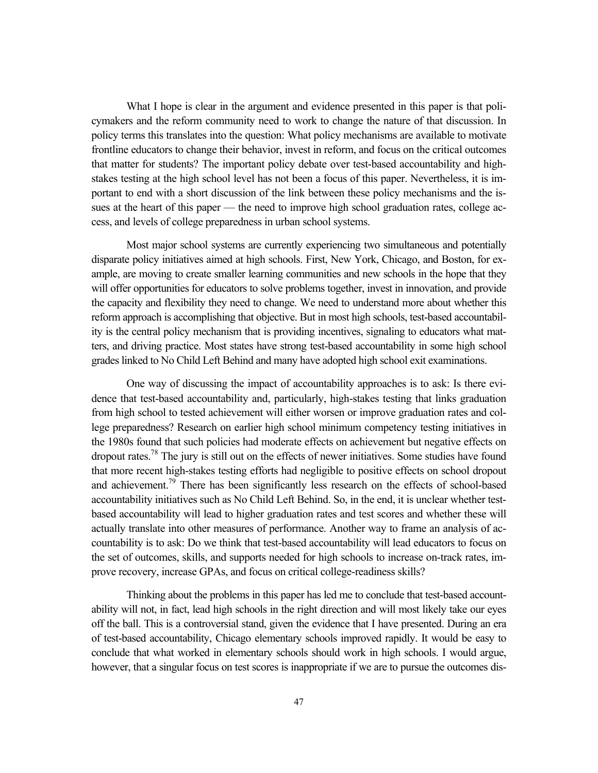What I hope is clear in the argument and evidence presented in this paper is that policymakers and the reform community need to work to change the nature of that discussion. In policy terms this translates into the question: What policy mechanisms are available to motivate frontline educators to change their behavior, invest in reform, and focus on the critical outcomes that matter for students? The important policy debate over test-based accountability and highstakes testing at the high school level has not been a focus of this paper. Nevertheless, it is important to end with a short discussion of the link between these policy mechanisms and the issues at the heart of this paper — the need to improve high school graduation rates, college access, and levels of college preparedness in urban school systems.

Most major school systems are currently experiencing two simultaneous and potentially disparate policy initiatives aimed at high schools. First, New York, Chicago, and Boston, for example, are moving to create smaller learning communities and new schools in the hope that they will offer opportunities for educators to solve problems together, invest in innovation, and provide the capacity and flexibility they need to change. We need to understand more about whether this reform approach is accomplishing that objective. But in most high schools, test-based accountability is the central policy mechanism that is providing incentives, signaling to educators what matters, and driving practice. Most states have strong test-based accountability in some high school grades linked to No Child Left Behind and many have adopted high school exit examinations.

One way of discussing the impact of accountability approaches is to ask: Is there evidence that test-based accountability and, particularly, high-stakes testing that links graduation from high school to tested achievement will either worsen or improve graduation rates and college preparedness? Research on earlier high school minimum competency testing initiatives in the 1980s found that such policies had moderate effects on achievement but negative effects on dropout rates.<sup>78</sup> The jury is still out on the effects of newer initiatives. Some studies have found that more recent high-stakes testing efforts had negligible to positive effects on school dropout and achievement.<sup>79</sup> There has been significantly less research on the effects of school-based accountability initiatives such as No Child Left Behind. So, in the end, it is unclear whether testbased accountability will lead to higher graduation rates and test scores and whether these will actually translate into other measures of performance. Another way to frame an analysis of accountability is to ask: Do we think that test-based accountability will lead educators to focus on the set of outcomes, skills, and supports needed for high schools to increase on-track rates, improve recovery, increase GPAs, and focus on critical college-readiness skills?

Thinking about the problems in this paper has led me to conclude that test-based accountability will not, in fact, lead high schools in the right direction and will most likely take our eyes off the ball. This is a controversial stand, given the evidence that I have presented. During an era of test-based accountability, Chicago elementary schools improved rapidly. It would be easy to conclude that what worked in elementary schools should work in high schools. I would argue, however, that a singular focus on test scores is inappropriate if we are to pursue the outcomes dis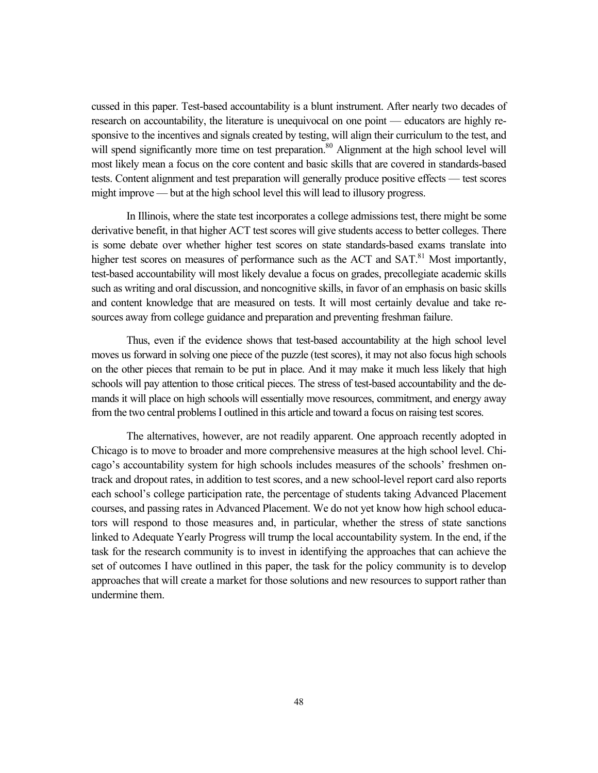cussed in this paper. Test-based accountability is a blunt instrument. After nearly two decades of research on accountability, the literature is unequivocal on one point — educators are highly responsive to the incentives and signals created by testing, will align their curriculum to the test, and will spend significantly more time on test preparation.<sup>80</sup> Alignment at the high school level will most likely mean a focus on the core content and basic skills that are covered in standards-based tests. Content alignment and test preparation will generally produce positive effects — test scores might improve — but at the high school level this will lead to illusory progress.

In Illinois, where the state test incorporates a college admissions test, there might be some derivative benefit, in that higher ACT test scores will give students access to better colleges. There is some debate over whether higher test scores on state standards-based exams translate into higher test scores on measures of performance such as the ACT and  $SAT<sup>81</sup>$  Most importantly, test-based accountability will most likely devalue a focus on grades, precollegiate academic skills such as writing and oral discussion, and noncognitive skills, in favor of an emphasis on basic skills and content knowledge that are measured on tests. It will most certainly devalue and take resources away from college guidance and preparation and preventing freshman failure.

Thus, even if the evidence shows that test-based accountability at the high school level moves us forward in solving one piece of the puzzle (test scores), it may not also focus high schools on the other pieces that remain to be put in place. And it may make it much less likely that high schools will pay attention to those critical pieces. The stress of test-based accountability and the demands it will place on high schools will essentially move resources, commitment, and energy away from the two central problems I outlined in this article and toward a focus on raising test scores.

The alternatives, however, are not readily apparent. One approach recently adopted in Chicago is to move to broader and more comprehensive measures at the high school level. Chicago's accountability system for high schools includes measures of the schools' freshmen ontrack and dropout rates, in addition to test scores, and a new school-level report card also reports each school's college participation rate, the percentage of students taking Advanced Placement courses, and passing rates in Advanced Placement. We do not yet know how high school educators will respond to those measures and, in particular, whether the stress of state sanctions linked to Adequate Yearly Progress will trump the local accountability system. In the end, if the task for the research community is to invest in identifying the approaches that can achieve the set of outcomes I have outlined in this paper, the task for the policy community is to develop approaches that will create a market for those solutions and new resources to support rather than undermine them.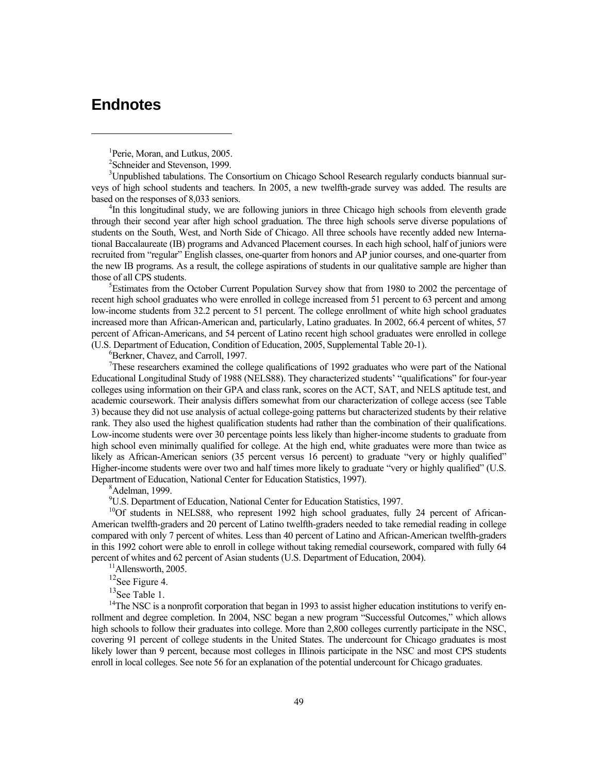# **Endnotes**

 $\overline{a}$ 

<sup>1</sup>Perie, Moran, and Lutkus, 2005.

2 Schneider and Stevenson, 1999.

<sup>3</sup>Unpublished tabulations. The Consortium on Chicago School Research regularly conducts biannual surveys of high school students and teachers. In 2005, a new twelfth-grade survey was added. The results are based on the responses of 8,033 seniors. 4

<sup>4</sup>In this longitudinal study, we are following juniors in three Chicago high schools from eleventh grade through their second year after high school graduation. The three high schools serve diverse populations of students on the South, West, and North Side of Chicago. All three schools have recently added new International Baccalaureate (IB) programs and Advanced Placement courses. In each high school, half of juniors were recruited from "regular" English classes, one-quarter from honors and AP junior courses, and one-quarter from the new IB programs. As a result, the college aspirations of students in our qualitative sample are higher than those of all CPS students.

<sup>5</sup>Estimates from the October Current Population Survey show that from 1980 to 2002 the percentage of recent high school graduates who were enrolled in college increased from 51 percent to 63 percent and among low-income students from 32.2 percent to 51 percent. The college enrollment of white high school graduates increased more than African-American and, particularly, Latino graduates. In 2002, 66.4 percent of whites, 57 percent of African-Americans, and 54 percent of Latino recent high school graduates were enrolled in college (U.S. Department of Education, Condition of Education, 2005, Supplemental Table 20-1). 6

<sup>6</sup>Berkner, Chavez, and Carroll, 1997.

 $7$ These researchers examined the college qualifications of 1992 graduates who were part of the National Educational Longitudinal Study of 1988 (NELS88). They characterized students' "qualifications" for four-year colleges using information on their GPA and class rank, scores on the ACT, SAT, and NELS aptitude test, and academic coursework. Their analysis differs somewhat from our characterization of college access (see Table 3) because they did not use analysis of actual college-going patterns but characterized students by their relative rank. They also used the highest qualification students had rather than the combination of their qualifications. Low-income students were over 30 percentage points less likely than higher-income students to graduate from high school even minimally qualified for college. At the high end, white graduates were more than twice as likely as African-American seniors (35 percent versus 16 percent) to graduate "very or highly qualified" Higher-income students were over two and half times more likely to graduate "very or highly qualified" (U.S. Department of Education, National Center for Education Statistics, 1997).

Adelman, 1999.

9 U.S. Department of Education, National Center for Education Statistics, 1997.

<sup>10</sup>Of students in NELS88, who represent 1992 high school graduates, fully 24 percent of African-American twelfth-graders and 20 percent of Latino twelfth-graders needed to take remedial reading in college compared with only 7 percent of whites. Less than 40 percent of Latino and African-American twelfth-graders in this 1992 cohort were able to enroll in college without taking remedial coursework, compared with fully 64 percent of whites and 62 percent of Asian students (U.S. Department of Education, 2004).<br><sup>11</sup>Allensworth, 2005.

<sup>12</sup>See Figure 4.<br><sup>13</sup>See Table 1.

 $14$ The NSC is a nonprofit corporation that began in 1993 to assist higher education institutions to verify enrollment and degree completion. In 2004, NSC began a new program "Successful Outcomes," which allows high schools to follow their graduates into college. More than 2,800 colleges currently participate in the NSC, covering 91 percent of college students in the United States. The undercount for Chicago graduates is most likely lower than 9 percent, because most colleges in Illinois participate in the NSC and most CPS students enroll in local colleges. See note 56 for an explanation of the potential undercount for Chicago graduates.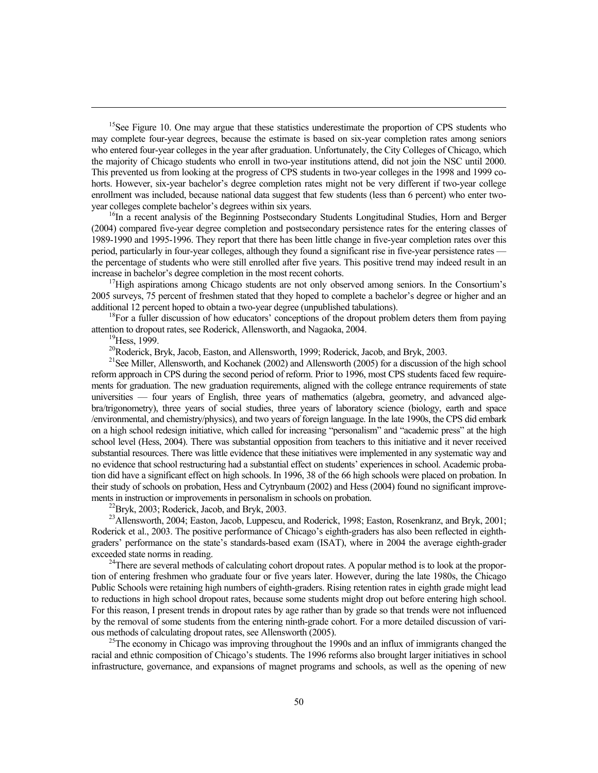<sup>15</sup>See Figure 10. One may argue that these statistics underestimate the proportion of CPS students who may complete four-year degrees, because the estimate is based on six-year completion rates among seniors who entered four-year colleges in the year after graduation. Unfortunately, the City Colleges of Chicago, which the majority of Chicago students who enroll in two-year institutions attend, did not join the NSC until 2000. This prevented us from looking at the progress of CPS students in two-year colleges in the 1998 and 1999 cohorts. However, six-year bachelor's degree completion rates might not be very different if two-year college enrollment was included, because national data suggest that few students (less than 6 percent) who enter twoyear colleges complete bachelor's degrees within six years.<br><sup>16</sup>In a recent analysis of the Beginning Postsecondary Students Longitudinal Studies, Horn and Berger

(2004) compared five-year degree completion and postsecondary persistence rates for the entering classes of 1989-1990 and 1995-1996. They report that there has been little change in five-year completion rates over this period, particularly in four-year colleges, although they found a significant rise in five-year persistence rates the percentage of students who were still enrolled after five years. This positive trend may indeed result in an increase in bachelor's degree completion in the most recent cohorts.<br><sup>17</sup>High aspirations among Chicago students are not only observed among seniors. In the Consortium's

2005 surveys, 75 percent of freshmen stated that they hoped to complete a bachelor's degree or higher and an additional 12 percent hoped to obtain a two-year degree (unpublished tabulations).<br><sup>18</sup>For a fuller discussion of how educators' conceptions of the dropout problem deters them from paying

attention to dropout rates, see Roderick, Allensworth, and Nagaoka, 2004.<br><sup>19</sup>Hess, 1999.

 $\overline{a}$ 

<sup>20</sup>Roderick, Bryk, Jacob, Easton, and Allensworth, 1999; Roderick, Jacob, and Bryk, 2003.<br><sup>21</sup>See Miller, Allensworth, and Kochanek (2002) and Allensworth (2005) for a discussion of the high school reform approach in CPS during the second period of reform. Prior to 1996, most CPS students faced few requirements for graduation. The new graduation requirements, aligned with the college entrance requirements of state universities — four years of English, three years of mathematics (algebra, geometry, and advanced algebra/trigonometry), three years of social studies, three years of laboratory science (biology, earth and space /environmental, and chemistry/physics), and two years of foreign language. In the late 1990s, the CPS did embark on a high school redesign initiative, which called for increasing "personalism" and "academic press" at the high school level (Hess, 2004). There was substantial opposition from teachers to this initiative and it never received substantial resources. There was little evidence that these initiatives were implemented in any systematic way and no evidence that school restructuring had a substantial effect on students' experiences in school. Academic probation did have a significant effect on high schools. In 1996, 38 of the 66 high schools were placed on probation. In their study of schools on probation, Hess and Cytrynbaum (2002) and Hess (2004) found no significant improvements in instruction or improvements in personalism in schools on probation.<br><sup>22</sup>Bryk, 2003; Roderick, Jacob, and Bryk, 2003.

<sup>23</sup>Allensworth, 2004; Easton, Jacob, Luppescu, and Roderick, 1998; Easton, Rosenkranz, and Bryk, 2001; Roderick et al., 2003. The positive performance of Chicago's eighth-graders has also been reflected in eighthgraders' performance on the state's standards-based exam (ISAT), where in 2004 the average eighth-grader exceeded state norms in reading.<br><sup>24</sup>There are several methods of calculating cohort dropout rates. A popular method is to look at the propor-

tion of entering freshmen who graduate four or five years later. However, during the late 1980s, the Chicago Public Schools were retaining high numbers of eighth-graders. Rising retention rates in eighth grade might lead to reductions in high school dropout rates, because some students might drop out before entering high school. For this reason, I present trends in dropout rates by age rather than by grade so that trends were not influenced by the removal of some students from the entering ninth-grade cohort. For a more detailed discussion of various methods of calculating dropout rates, see Allensworth (2005).<br><sup>25</sup>The economy in Chicago was improving throughout the 1990s and an influx of immigrants changed the

racial and ethnic composition of Chicago's students. The 1996 reforms also brought larger initiatives in school infrastructure, governance, and expansions of magnet programs and schools, as well as the opening of new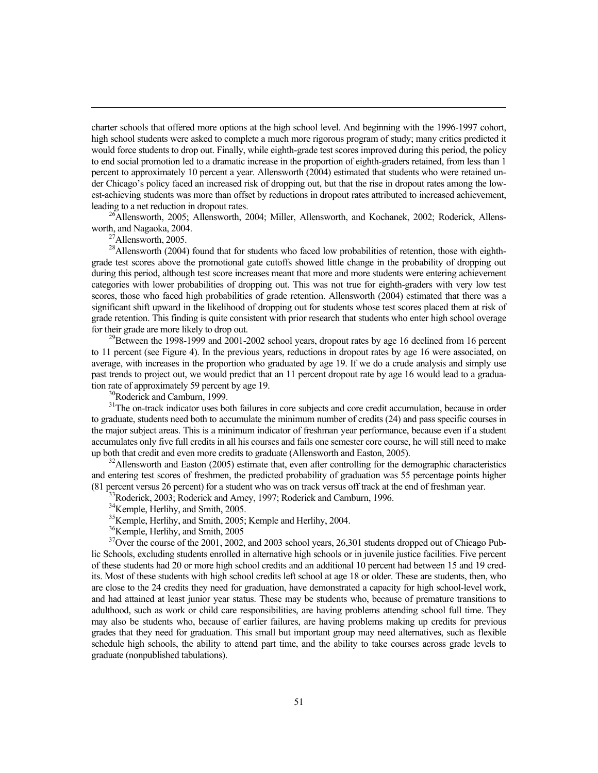charter schools that offered more options at the high school level. And beginning with the 1996-1997 cohort, high school students were asked to complete a much more rigorous program of study; many critics predicted it would force students to drop out. Finally, while eighth-grade test scores improved during this period, the policy to end social promotion led to a dramatic increase in the proportion of eighth-graders retained, from less than 1 percent to approximately 10 percent a year. Allensworth (2004) estimated that students who were retained under Chicago's policy faced an increased risk of dropping out, but that the rise in dropout rates among the lowest-achieving students was more than offset by reductions in dropout rates attributed to increased achievement, leading to a net reduction in dropout rates.<br><sup>26</sup>Allensworth, 2005; Allensworth, 2004; Miller, Allensworth, and Kochanek, 2002; Roderick, Allens-

worth, and Nagaoka, 2004.<br><sup>27</sup>Allensworth, 2005.

 $\overline{a}$ 

<sup>28</sup>Allensworth (2004) found that for students who faced low probabilities of retention, those with eighthgrade test scores above the promotional gate cutoffs showed little change in the probability of dropping out during this period, although test score increases meant that more and more students were entering achievement categories with lower probabilities of dropping out. This was not true for eighth-graders with very low test scores, those who faced high probabilities of grade retention. Allensworth (2004) estimated that there was a significant shift upward in the likelihood of dropping out for students whose test scores placed them at risk of grade retention. This finding is quite consistent with prior research that students who enter high school overage for their grade are more likely to drop out.<br><sup>29</sup>Between the 1998-1999 and 2001-2002 school years, dropout rates by age 16 declined from 16 percent

to 11 percent (see Figure 4). In the previous years, reductions in dropout rates by age 16 were associated, on average, with increases in the proportion who graduated by age 19. If we do a crude analysis and simply use past trends to project out, we would predict that an 11 percent dropout rate by age 16 would lead to a graduation rate of approximately 59 percent by age 19.<br><sup>30</sup>Roderick and Camburn, 1999.

<sup>31</sup>The on-track indicator uses both failures in core subjects and core credit accumulation, because in order to graduate, students need both to accumulate the minimum number of credits (24) and pass specific courses in the major subject areas. This is a minimum indicator of freshman year performance, because even if a student accumulates only five full credits in all his courses and fails one semester core course, he will still need to make<br>up both that credit and even more credits to graduate (Allensworth and Easton, 2005).

 $32$ Allensworth and Easton (2005) estimate that, even after controlling for the demographic characteristics and entering test scores of freshmen, the predicted probability of graduation was 55 percentage points higher (81 percent versus 26 percent) for a student who was on track versus off track at the end of freshman year. 33Roderick, 2003; Roderick and Arney, 1997; Roderick and Camburn, 1996.

<sup>34</sup>Kemple, Herlihy, and Smith, 2005.

35Kemple, Herlihy, and Smith, 2005; Kemple and Herlihy, 2004.

<sup>36</sup>Kemple, Herlihy, and Smith, 2005

<sup>37</sup>Over the course of the 2001, 2002, and 2003 school years, 26,301 students dropped out of Chicago Public Schools, excluding students enrolled in alternative high schools or in juvenile justice facilities. Five percent of these students had 20 or more high school credits and an additional 10 percent had between 15 and 19 credits. Most of these students with high school credits left school at age 18 or older. These are students, then, who are close to the 24 credits they need for graduation, have demonstrated a capacity for high school-level work, and had attained at least junior year status. These may be students who, because of premature transitions to adulthood, such as work or child care responsibilities, are having problems attending school full time. They may also be students who, because of earlier failures, are having problems making up credits for previous grades that they need for graduation. This small but important group may need alternatives, such as flexible schedule high schools, the ability to attend part time, and the ability to take courses across grade levels to graduate (nonpublished tabulations).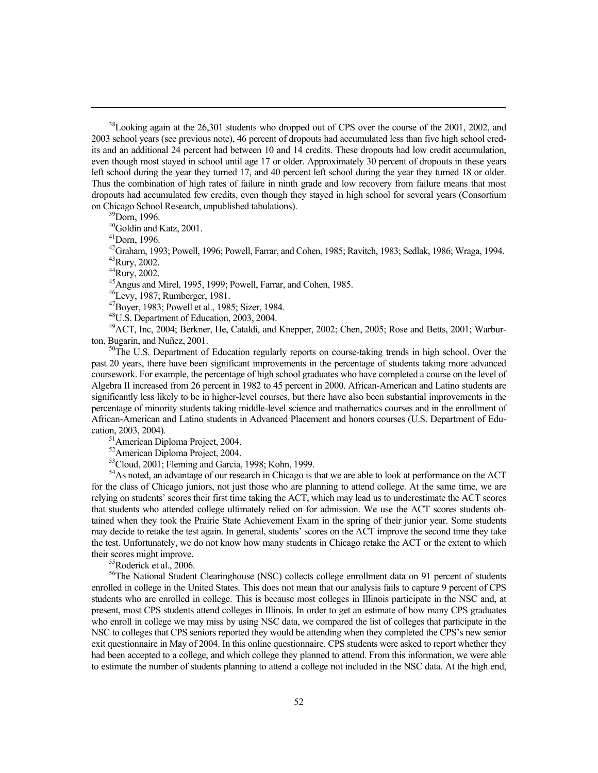$38$ Looking again at the 26,301 students who dropped out of CPS over the course of the 2001, 2002, and 2003 school years (see previous note), 46 percent of dropouts had accumulated less than five high school credits and an additional 24 percent had between 10 and 14 credits. These dropouts had low credit accumulation, even though most stayed in school until age 17 or older. Approximately 30 percent of dropouts in these years left school during the year they turned 17, and 40 percent left school during the year they turned 18 or older. Thus the combination of high rates of failure in ninth grade and low recovery from failure means that most dropouts had accumulated few credits, even though they stayed in high school for several years (Consortium on Chicago School Research, unpublished tabulations).<br><sup>39</sup>Dorn, 1996.

 $\overline{a}$ 

40Goldin and Katz, 2001.

41Dorn, 1996.

42Graham, 1993; Powell, 1996; Powell, Farrar, and Cohen, 1985; Ravitch, 1983; Sedlak, 1986; Wraga, 1994. 43Rury, 2002.

44Rury, 2002.

 $45$ Angus and Mirel, 1995, 1999; Powell, Farrar, and Cohen, 1985.

46Levy, 1987; Rumberger, 1981.

47Boyer, 1983; Powell et al., 1985; Sizer, 1984.

48U.S. Department of Education, 2003, 2004.

<sup>49</sup>ACT, Inc, 2004; Berkner, He, Cataldi, and Knepper, 2002; Chen, 2005; Rose and Betts, 2001; Warburton, Bugarin, and Nuñez, 2001.

 $50$ The U.S. Department of Education regularly reports on course-taking trends in high school. Over the past 20 years, there have been significant improvements in the percentage of students taking more advanced coursework. For example, the percentage of high school graduates who have completed a course on the level of Algebra II increased from 26 percent in 1982 to 45 percent in 2000. African-American and Latino students are significantly less likely to be in higher-level courses, but there have also been substantial improvements in the percentage of minority students taking middle-level science and mathematics courses and in the enrollment of African-American and Latino students in Advanced Placement and honors courses (U.S. Department of Education, 2003, 2004).<br> $51$ American Diploma Project, 2004.

<sup>52</sup>American Diploma Project, 2004.

53Cloud, 2001; Fleming and Garcia, 1998; Kohn, 1999.

<sup>54</sup>As noted, an advantage of our research in Chicago is that we are able to look at performance on the ACT for the class of Chicago juniors, not just those who are planning to attend college. At the same time, we are relying on students' scores their first time taking the ACT, which may lead us to underestimate the ACT scores that students who attended college ultimately relied on for admission. We use the ACT scores students obtained when they took the Prairie State Achievement Exam in the spring of their junior year. Some students may decide to retake the test again. In general, students' scores on the ACT improve the second time they take the test. Unfortunately, we do not know how many students in Chicago retake the ACT or the extent to which their scores might improve.<br><sup>55</sup>Roderick et al., 2006.

<sup>56</sup>The National Student Clearinghouse (NSC) collects college enrollment data on 91 percent of students enrolled in college in the United States. This does not mean that our analysis fails to capture 9 percent of CPS students who are enrolled in college. This is because most colleges in Illinois participate in the NSC and, at present, most CPS students attend colleges in Illinois. In order to get an estimate of how many CPS graduates who enroll in college we may miss by using NSC data, we compared the list of colleges that participate in the NSC to colleges that CPS seniors reported they would be attending when they completed the CPS's new senior exit questionnaire in May of 2004. In this online questionnaire, CPS students were asked to report whether they had been accepted to a college, and which college they planned to attend. From this information, we were able to estimate the number of students planning to attend a college not included in the NSC data. At the high end,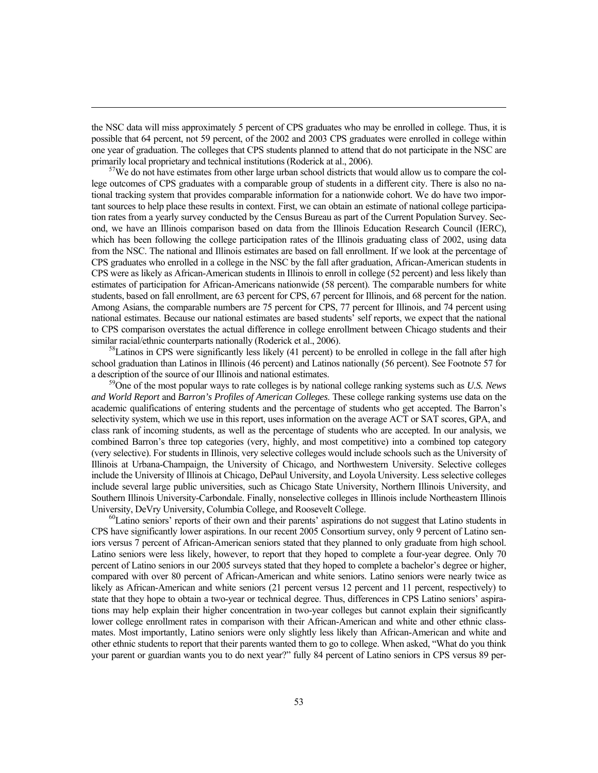the NSC data will miss approximately 5 percent of CPS graduates who may be enrolled in college. Thus, it is possible that 64 percent, not 59 percent, of the 2002 and 2003 CPS graduates were enrolled in college within one year of graduation. The colleges that CPS students planned to attend that do not participate in the NSC are primarily local proprietary and technical institutions (Roderick at al., 2006).<br><sup>57</sup>We do not have estimates from other large urban school districts that would allow us to compare the col-

 $\overline{a}$ 

lege outcomes of CPS graduates with a comparable group of students in a different city. There is also no national tracking system that provides comparable information for a nationwide cohort. We do have two important sources to help place these results in context. First, we can obtain an estimate of national college participation rates from a yearly survey conducted by the Census Bureau as part of the Current Population Survey. Second, we have an Illinois comparison based on data from the Illinois Education Research Council (IERC), which has been following the college participation rates of the Illinois graduating class of 2002, using data from the NSC. The national and Illinois estimates are based on fall enrollment. If we look at the percentage of CPS graduates who enrolled in a college in the NSC by the fall after graduation, African-American students in CPS were as likely as African-American students in Illinois to enroll in college (52 percent) and less likely than estimates of participation for African-Americans nationwide (58 percent). The comparable numbers for white students, based on fall enrollment, are 63 percent for CPS, 67 percent for Illinois, and 68 percent for the nation. Among Asians, the comparable numbers are 75 percent for CPS, 77 percent for Illinois, and 74 percent using national estimates. Because our national estimates are based students' self reports, we expect that the national to CPS comparison overstates the actual difference in college enrollment between Chicago students and their similar racial/ethnic counterparts nationally (Roderick et al., 2006).<br><sup>58</sup>Latinos in CPS were significantly less likely (41 percent) to be enrolled in college in the fall after high

school graduation than Latinos in Illinois (46 percent) and Latinos nationally (56 percent). See Footnote 57 for

a description of the source of our Illinois and national estimates. 59One of the most popular ways to rate colleges is by national college ranking systems such as *U.S. News and World Report* and *Barron's Profiles of American Colleges*. These college ranking systems use data on the academic qualifications of entering students and the percentage of students who get accepted. The Barron's selectivity system, which we use in this report, uses information on the average ACT or SAT scores, GPA, and class rank of incoming students, as well as the percentage of students who are accepted. In our analysis, we combined Barron's three top categories (very, highly, and most competitive) into a combined top category (very selective). For students in Illinois, very selective colleges would include schools such as the University of Illinois at Urbana-Champaign, the University of Chicago, and Northwestern University. Selective colleges include the University of Illinois at Chicago, DePaul University, and Loyola University. Less selective colleges include several large public universities, such as Chicago State University, Northern Illinois University, and Southern Illinois University-Carbondale. Finally, nonselective colleges in Illinois include Northeastern Illinois University, DeVry University, Columbia College, and Roosevelt College.<br><sup>60</sup>Latino seniors' reports of their own and their parents' aspirations do not suggest that Latino students in

CPS have significantly lower aspirations. In our recent 2005 Consortium survey, only 9 percent of Latino seniors versus 7 percent of African-American seniors stated that they planned to only graduate from high school. Latino seniors were less likely, however, to report that they hoped to complete a four-year degree. Only 70 percent of Latino seniors in our 2005 surveys stated that they hoped to complete a bachelor's degree or higher, compared with over 80 percent of African-American and white seniors. Latino seniors were nearly twice as likely as African-American and white seniors (21 percent versus 12 percent and 11 percent, respectively) to state that they hope to obtain a two-year or technical degree. Thus, differences in CPS Latino seniors' aspirations may help explain their higher concentration in two-year colleges but cannot explain their significantly lower college enrollment rates in comparison with their African-American and white and other ethnic classmates. Most importantly, Latino seniors were only slightly less likely than African-American and white and other ethnic students to report that their parents wanted them to go to college. When asked, "What do you think your parent or guardian wants you to do next year?" fully 84 percent of Latino seniors in CPS versus 89 per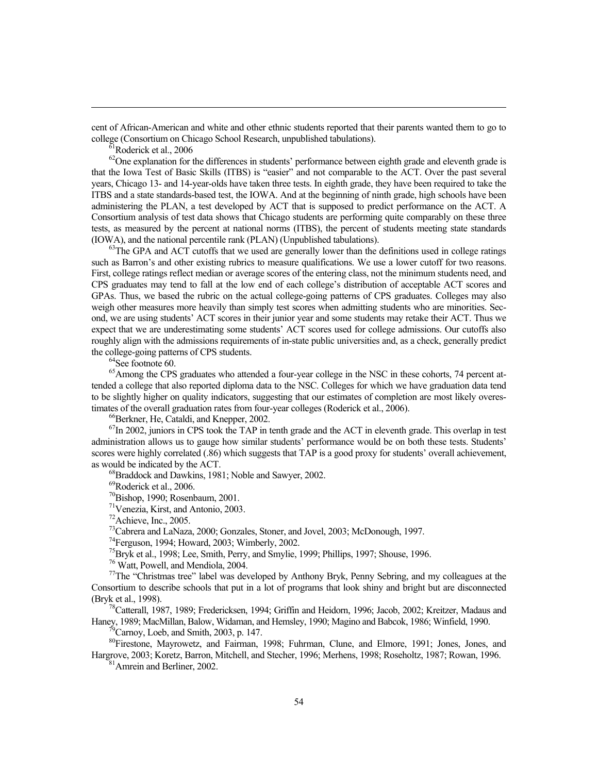cent of African-American and white and other ethnic students reported that their parents wanted them to go to college (Consortium on Chicago School Research, unpublished tabulations). 61Roderick et al., 2006

 $\overline{a}$ 

<sup>62</sup>One explanation for the differences in students' performance between eighth grade and eleventh grade is that the Iowa Test of Basic Skills (ITBS) is "easier" and not comparable to the ACT. Over the past several years, Chicago 13- and 14-year-olds have taken three tests. In eighth grade, they have been required to take the ITBS and a state standards-based test, the IOWA. And at the beginning of ninth grade, high schools have been administering the PLAN, a test developed by ACT that is supposed to predict performance on the ACT. A Consortium analysis of test data shows that Chicago students are performing quite comparably on these three tests, as measured by the percent at national norms (ITBS), the percent of students meeting state standards (IOWA), and the national percentile rank (PLAN) (Unpublished tabulations).  $63$ The GPA and ACT cutoffs that we used are generally lower than the definitions used in college ratings

such as Barron's and other existing rubrics to measure qualifications. We use a lower cutoff for two reasons. First, college ratings reflect median or average scores of the entering class, not the minimum students need, and CPS graduates may tend to fall at the low end of each college's distribution of acceptable ACT scores and GPAs. Thus, we based the rubric on the actual college-going patterns of CPS graduates. Colleges may also weigh other measures more heavily than simply test scores when admitting students who are minorities. Second, we are using students' ACT scores in their junior year and some students may retake their ACT. Thus we expect that we are underestimating some students' ACT scores used for college admissions. Our cutoffs also roughly align with the admissions requirements of in-state public universities and, as a check, generally predict the college-going patterns of CPS students.<br><sup>64</sup>See footnote 60.

<sup>65</sup>Among the CPS graduates who attended a four-year college in the NSC in these cohorts, 74 percent attended a college that also reported diploma data to the NSC. Colleges for which we have graduation data tend to be slightly higher on quality indicators, suggesting that our estimates of completion are most likely overestimates of the overall graduation rates from four-year colleges (Roderick et al., 2006).<br><sup>66</sup>Berkner, He, Cataldi, and Knepper, 2002.

<sup>67</sup>In 2002, juniors in CPS took the TAP in tenth grade and the ACT in eleventh grade. This overlap in test administration allows us to gauge how similar students' performance would be on both these tests. Students' scores were highly correlated (.86) which suggests that TAP is a good proxy for students' overall achievement, as would be indicated by the ACT.<br><sup>68</sup>Braddock and Dawkins, 1981; Noble and Sawyer, 2002.

69Roderick et al., 2006.

 $^{70}$ Bishop, 1990; Rosenbaum, 2001.<br><sup>71</sup>Venezia, Kirst, and Antonio, 2003.

72Achieve, Inc., 2005.

<sup>73</sup>Cabrera and LaNaza, 2000; Gonzales, Stoner, and Jovel, 2003; McDonough, 1997.

74Ferguson, 1994; Howard, 2003; Wimberly, 2002.

<sup>75</sup>Bryk et al., 1998; Lee, Smith, Perry, and Smylie, 1999; Phillips, 1997; Shouse, 1996. <sup>76</sup> Watt, Powell, and Mendiola, 2004.

 $77$ The "Christmas tree" label was developed by Anthony Bryk, Penny Sebring, and my colleagues at the Consortium to describe schools that put in a lot of programs that look shiny and bright but are disconnected (Bryk et al., 1998).<br><sup>78</sup>Catterall, 1987, 1989; Fredericksen, 1994; Griffin and Heidorn, 1996; Jacob, 2002; Kreitzer, Madaus and

Haney, 1989; MacMillan, Balow, Widaman, and Hemsley, 1990; Magino and Babcok, 1986; Winfield, 1990. 79Carnoy, Loeb, and Smith, 2003, p. 147.

80Firestone, Mayrowetz, and Fairman, 1998; Fuhrman, Clune, and Elmore, 1991; Jones, Jones, and Hargrove, 2003; Koretz, Barron, Mitchell, and Stecher, 1996; Merhens, 1998; Roseholtz, 1987; Rowan, 1996. <sup>81</sup>Amrein and Berliner, 2002.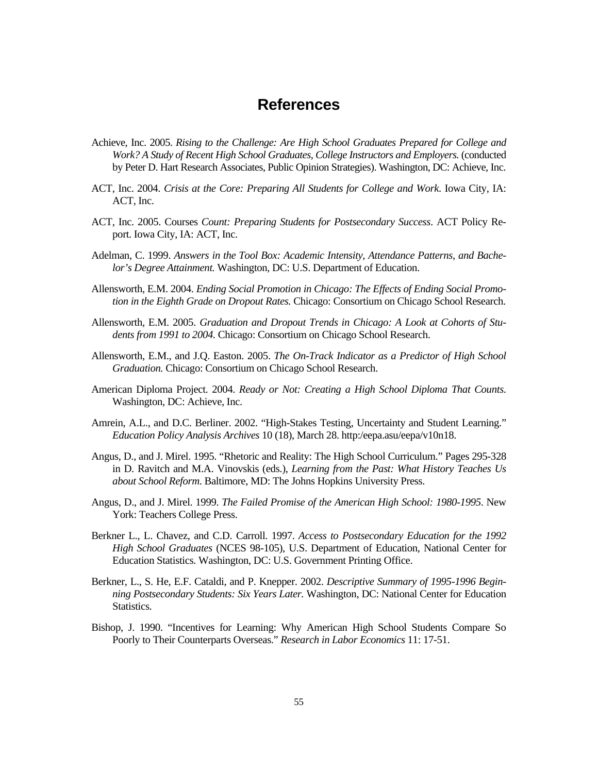# **References**

- Achieve, Inc. 2005. *Rising to the Challenge: Are High School Graduates Prepared for College and Work? A Study of Recent High School Graduates, College Instructors and Employers.* (conducted by Peter D. Hart Research Associates, Public Opinion Strategies). Washington, DC: Achieve, Inc.
- ACT, Inc. 2004. *Crisis at the Core: Preparing All Students for College and Work*. Iowa City, IA: ACT, Inc.
- ACT, Inc. 2005. Courses *Count: Preparing Students for Postsecondary Success*. ACT Policy Report. Iowa City, IA: ACT, Inc.
- Adelman, C. 1999. *Answers in the Tool Box: Academic Intensity, Attendance Patterns, and Bachelor's Degree Attainment.* Washington, DC: U.S. Department of Education.
- Allensworth, E.M. 2004. *Ending Social Promotion in Chicago: The Effects of Ending Social Promotion in the Eighth Grade on Dropout Rates.* Chicago: Consortium on Chicago School Research.
- Allensworth, E.M. 2005. *Graduation and Dropout Trends in Chicago: A Look at Cohorts of Students from 1991 to 2004.* Chicago: Consortium on Chicago School Research.
- Allensworth, E.M., and J.Q. Easton. 2005. *The On-Track Indicator as a Predictor of High School Graduation.* Chicago: Consortium on Chicago School Research.
- American Diploma Project. 2004. *Ready or Not: Creating a High School Diploma That Counts*. Washington, DC: Achieve, Inc.
- Amrein, A.L., and D.C. Berliner. 2002. "High-Stakes Testing, Uncertainty and Student Learning." *Education Policy Analysis Archives* 10 (18), March 28. http:/eepa.asu/eepa/v10n18.
- Angus, D., and J. Mirel. 1995. "Rhetoric and Reality: The High School Curriculum." Pages 295-328 in D. Ravitch and M.A. Vinovskis (eds.), *Learning from the Past: What History Teaches Us about School Reform*. Baltimore, MD: The Johns Hopkins University Press.
- Angus, D., and J. Mirel. 1999. *The Failed Promise of the American High School: 1980-1995*. New York: Teachers College Press.
- Berkner L., L. Chavez, and C.D. Carroll. 1997. *Access to Postsecondary Education for the 1992 High School Graduates* (NCES 98-105), U.S. Department of Education, National Center for Education Statistics. Washington, DC: U.S. Government Printing Office.
- Berkner, L., S. He, E.F. Cataldi, and P. Knepper. 2002. *Descriptive Summary of 1995-1996 Beginning Postsecondary Students: Six Years Later.* Washington, DC: National Center for Education Statistics.
- Bishop, J. 1990. "Incentives for Learning: Why American High School Students Compare So Poorly to Their Counterparts Overseas." *Research in Labor Economics* 11: 17-51.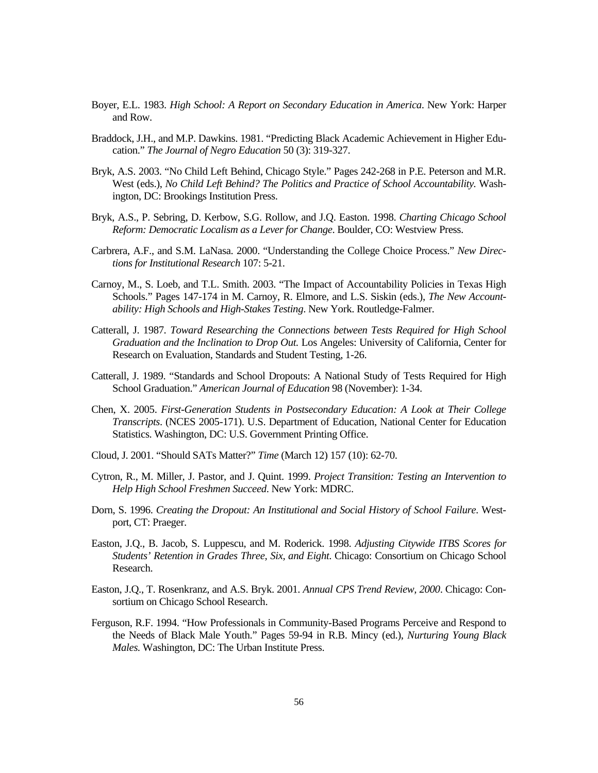- Boyer, E.L. 1983. *High School: A Report on Secondary Education in America*. New York: Harper and Row.
- Braddock, J.H., and M.P. Dawkins. 1981. "Predicting Black Academic Achievement in Higher Education." *The Journal of Negro Education* 50 (3): 319-327.
- Bryk, A.S. 2003. "No Child Left Behind, Chicago Style." Pages 242-268 in P.E. Peterson and M.R. West (eds.), *No Child Left Behind? The Politics and Practice of School Accountability.* Washington, DC: Brookings Institution Press.
- Bryk, A.S., P. Sebring, D. Kerbow, S.G. Rollow, and J.Q. Easton. 1998. *Charting Chicago School Reform: Democratic Localism as a Lever for Change*. Boulder, CO: Westview Press.
- Carbrera, A.F., and S.M. LaNasa. 2000. "Understanding the College Choice Process." *New Directions for Institutional Research* 107: 5-21.
- Carnoy, M., S. Loeb, and T.L. Smith. 2003. "The Impact of Accountability Policies in Texas High Schools." Pages 147-174 in M. Carnoy, R. Elmore, and L.S. Siskin (eds.), *The New Accountability: High Schools and High-Stakes Testing*. New York. Routledge-Falmer.
- Catterall, J. 1987*. Toward Researching the Connections between Tests Required for High School Graduation and the Inclination to Drop Out.* Los Angeles: University of California, Center for Research on Evaluation, Standards and Student Testing, 1-26.
- Catterall, J. 1989. "Standards and School Dropouts: A National Study of Tests Required for High School Graduation." *American Journal of Education* 98 (November): 1-34.
- Chen, X. 2005. *First-Generation Students in Postsecondary Education: A Look at Their College Transcripts*. (NCES 2005-171). U.S. Department of Education, National Center for Education Statistics. Washington, DC: U.S. Government Printing Office.
- Cloud, J. 2001. "Should SATs Matter?" *Time* (March 12) 157 (10): 62-70.
- Cytron, R., M. Miller, J. Pastor, and J. Quint. 1999. *Project Transition: Testing an Intervention to Help High School Freshmen Succeed*. New York: MDRC.
- Dorn, S. 1996. *Creating the Dropout: An Institutional and Social History of School Failure*. Westport, CT: Praeger.
- Easton, J.Q., B. Jacob, S. Luppescu, and M. Roderick. 1998. *Adjusting Citywide ITBS Scores for Students' Retention in Grades Three, Six, and Eight*. Chicago: Consortium on Chicago School Research.
- Easton, J.Q., T. Rosenkranz, and A.S. Bryk. 2001. *Annual CPS Trend Review, 2000*. Chicago: Consortium on Chicago School Research.
- Ferguson, R.F. 1994. "How Professionals in Community-Based Programs Perceive and Respond to the Needs of Black Male Youth." Pages 59-94 in R.B. Mincy (ed.), *Nurturing Young Black Males.* Washington, DC: The Urban Institute Press.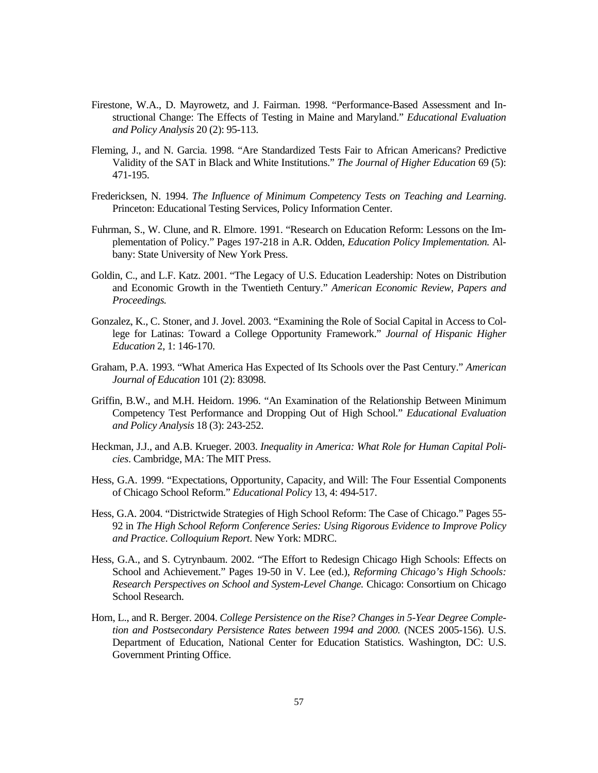- Firestone, W.A., D. Mayrowetz, and J. Fairman. 1998. "Performance-Based Assessment and Instructional Change: The Effects of Testing in Maine and Maryland." *Educational Evaluation and Policy Analysis* 20 (2): 95-113.
- Fleming, J., and N. Garcia. 1998. "Are Standardized Tests Fair to African Americans? Predictive Validity of the SAT in Black and White Institutions." *The Journal of Higher Education* 69 (5): 471-195.
- Fredericksen, N. 1994. *The Influence of Minimum Competency Tests on Teaching and Learning*. Princeton: Educational Testing Services, Policy Information Center.
- Fuhrman, S., W. Clune, and R. Elmore. 1991. "Research on Education Reform: Lessons on the Implementation of Policy." Pages 197-218 in A.R. Odden, *Education Policy Implementation.* Albany: State University of New York Press.
- Goldin, C., and L.F. Katz. 2001. "The Legacy of U.S. Education Leadership: Notes on Distribution and Economic Growth in the Twentieth Century." *American Economic Review, Papers and Proceedings.*
- Gonzalez, K., C. Stoner, and J. Jovel. 2003. "Examining the Role of Social Capital in Access to College for Latinas: Toward a College Opportunity Framework." *Journal of Hispanic Higher Education* 2, 1: 146-170.
- Graham, P.A. 1993. "What America Has Expected of Its Schools over the Past Century." *American Journal of Education* 101 (2): 83098.
- Griffin, B.W., and M.H. Heidorn. 1996. "An Examination of the Relationship Between Minimum Competency Test Performance and Dropping Out of High School." *Educational Evaluation and Policy Analysis* 18 (3): 243-252.
- Heckman, J.J., and A.B. Krueger. 2003. *Inequality in America: What Role for Human Capital Policies*. Cambridge, MA: The MIT Press.
- Hess, G.A. 1999. "Expectations, Opportunity, Capacity, and Will: The Four Essential Components of Chicago School Reform." *Educational Policy* 13, 4: 494-517.
- Hess, G.A. 2004. "Districtwide Strategies of High School Reform: The Case of Chicago." Pages 55- 92 in *The High School Reform Conference Series: Using Rigorous Evidence to Improve Policy and Practice*. *Colloquium Report*. New York: MDRC.
- Hess, G.A., and S. Cytrynbaum. 2002. "The Effort to Redesign Chicago High Schools: Effects on School and Achievement." Pages 19-50 in V. Lee (ed.), *Reforming Chicago's High Schools: Research Perspectives on School and System-Level Change.* Chicago: Consortium on Chicago School Research.
- Horn, L., and R. Berger. 2004. *College Persistence on the Rise? Changes in 5-Year Degree Completion and Postsecondary Persistence Rates between 1994 and 2000.* (NCES 2005-156). U.S. Department of Education, National Center for Education Statistics. Washington, DC: U.S. Government Printing Office.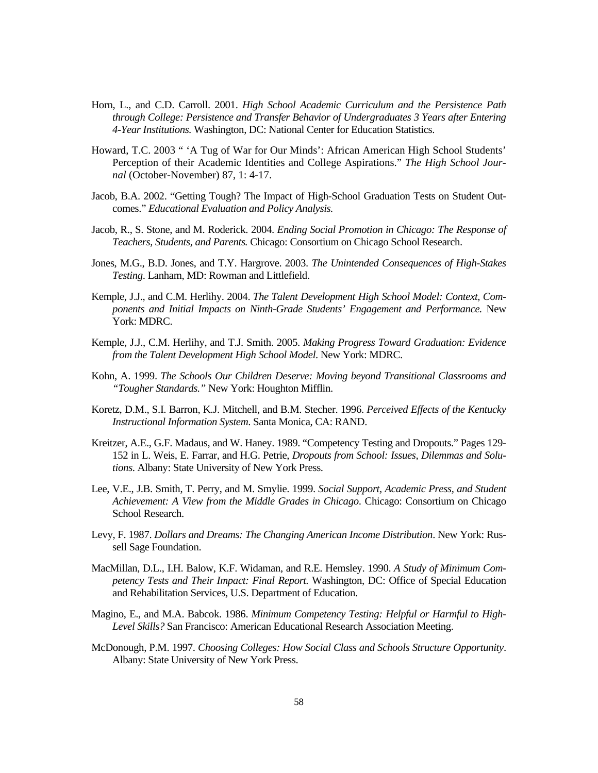- Horn, L., and C.D. Carroll. 2001. *High School Academic Curriculum and the Persistence Path through College: Persistence and Transfer Behavior of Undergraduates 3 Years after Entering 4-Year Institutions.* Washington, DC: National Center for Education Statistics.
- Howard, T.C. 2003 " 'A Tug of War for Our Minds': African American High School Students' Perception of their Academic Identities and College Aspirations." *The High School Journal* (October-November) 87, 1: 4-17.
- Jacob, B.A. 2002. "Getting Tough? The Impact of High-School Graduation Tests on Student Outcomes." *Educational Evaluation and Policy Analysis.*
- Jacob, R., S. Stone, and M. Roderick. 2004. *Ending Social Promotion in Chicago: The Response of Teachers, Students, and Parents.* Chicago: Consortium on Chicago School Research.
- Jones, M.G., B.D. Jones, and T.Y. Hargrove. 2003. *The Unintended Consequences of High-Stakes Testing*. Lanham, MD: Rowman and Littlefield.
- Kemple, J.J., and C.M. Herlihy. 2004. *The Talent Development High School Model: Context, Components and Initial Impacts on Ninth-Grade Students' Engagement and Performance.* New York: MDRC.
- Kemple, J.J., C.M. Herlihy, and T.J. Smith. 2005. *Making Progress Toward Graduation: Evidence from the Talent Development High School Model*. New York: MDRC.
- Kohn, A. 1999. *The Schools Our Children Deserve: Moving beyond Transitional Classrooms and "Tougher Standards."* New York: Houghton Mifflin.
- Koretz, D.M., S.I. Barron, K.J. Mitchell, and B.M. Stecher. 1996. *Perceived Effects of the Kentucky Instructional Information System*. Santa Monica, CA: RAND.
- Kreitzer, A.E., G.F. Madaus, and W. Haney. 1989. "Competency Testing and Dropouts." Pages 129- 152 in L. Weis, E. Farrar, and H.G. Petrie, *Dropouts from School: Issues, Dilemmas and Solutions*. Albany: State University of New York Press.
- Lee, V.E., J.B. Smith, T. Perry, and M. Smylie. 1999. *Social Support, Academic Press, and Student Achievement: A View from the Middle Grades in Chicago*. Chicago: Consortium on Chicago School Research.
- Levy, F. 1987. *Dollars and Dreams: The Changing American Income Distribution*. New York: Russell Sage Foundation.
- MacMillan, D.L., I.H. Balow, K.F. Widaman, and R.E. Hemsley. 1990. *A Study of Minimum Competency Tests and Their Impact: Final Report.* Washington, DC: Office of Special Education and Rehabilitation Services, U.S. Department of Education.
- Magino, E., and M.A. Babcok. 1986. *Minimum Competency Testing: Helpful or Harmful to High-Level Skills?* San Francisco: American Educational Research Association Meeting.
- McDonough, P.M. 1997. *Choosing Colleges: How Social Class and Schools Structure Opportunity*. Albany: State University of New York Press.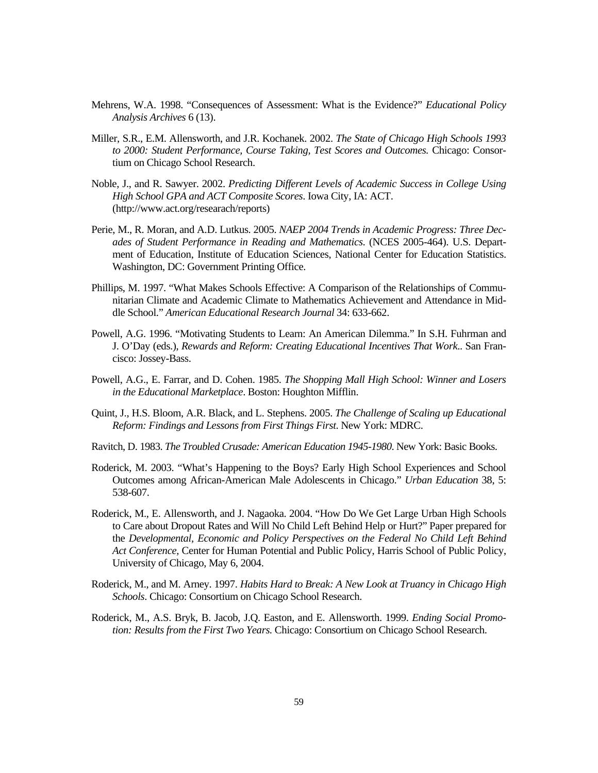- Mehrens, W.A. 1998. "Consequences of Assessment: What is the Evidence?" *Educational Policy Analysis Archives* 6 (13).
- Miller, S.R., E.M. Allensworth, and J.R. Kochanek. 2002. *The State of Chicago High Schools 1993 to 2000: Student Performance, Course Taking, Test Scores and Outcomes.* Chicago: Consortium on Chicago School Research.
- Noble, J., and R. Sawyer. 2002. *Predicting Different Levels of Academic Success in College Using High School GPA and ACT Composite Scores*. Iowa City, IA: ACT. (http://www.act.org/researach/reports)
- Perie, M., R. Moran, and A.D. Lutkus. 2005. *NAEP 2004 Trends in Academic Progress: Three Decades of Student Performance in Reading and Mathematics*. (NCES 2005-464). U.S. Department of Education, Institute of Education Sciences, National Center for Education Statistics. Washington, DC: Government Printing Office.
- Phillips, M. 1997. "What Makes Schools Effective: A Comparison of the Relationships of Communitarian Climate and Academic Climate to Mathematics Achievement and Attendance in Middle School." *American Educational Research Journal* 34: 633-662.
- Powell, A.G. 1996. "Motivating Students to Learn: An American Dilemma." In S.H. Fuhrman and J. O'Day (eds.), *Rewards and Reform: Creating Educational Incentives That Work*.. San Francisco: Jossey-Bass.
- Powell, A.G., E. Farrar, and D. Cohen. 1985. *The Shopping Mall High School: Winner and Losers in the Educational Marketplace*. Boston: Houghton Mifflin.
- Quint, J., H.S. Bloom, A.R. Black, and L. Stephens. 2005. *The Challenge of Scaling up Educational Reform: Findings and Lessons from First Things First*. New York: MDRC.
- Ravitch, D. 1983. *The Troubled Crusade: American Education 1945-1980*. New York: Basic Books.
- Roderick, M. 2003. "What's Happening to the Boys? Early High School Experiences and School Outcomes among African-American Male Adolescents in Chicago." *Urban Education* 38, 5: 538-607.
- Roderick, M., E. Allensworth, and J. Nagaoka. 2004. "How Do We Get Large Urban High Schools to Care about Dropout Rates and Will No Child Left Behind Help or Hurt?" Paper prepared for the *Developmental, Economic and Policy Perspectives on the Federal No Child Left Behind Act Conference,* Center for Human Potential and Public Policy, Harris School of Public Policy, University of Chicago, May 6, 2004.
- Roderick, M., and M. Arney. 1997. *Habits Hard to Break: A New Look at Truancy in Chicago High Schools*. Chicago: Consortium on Chicago School Research.
- Roderick, M., A.S. Bryk, B. Jacob, J.Q. Easton, and E. Allensworth. 1999. *Ending Social Promotion: Results from the First Two Years.* Chicago: Consortium on Chicago School Research.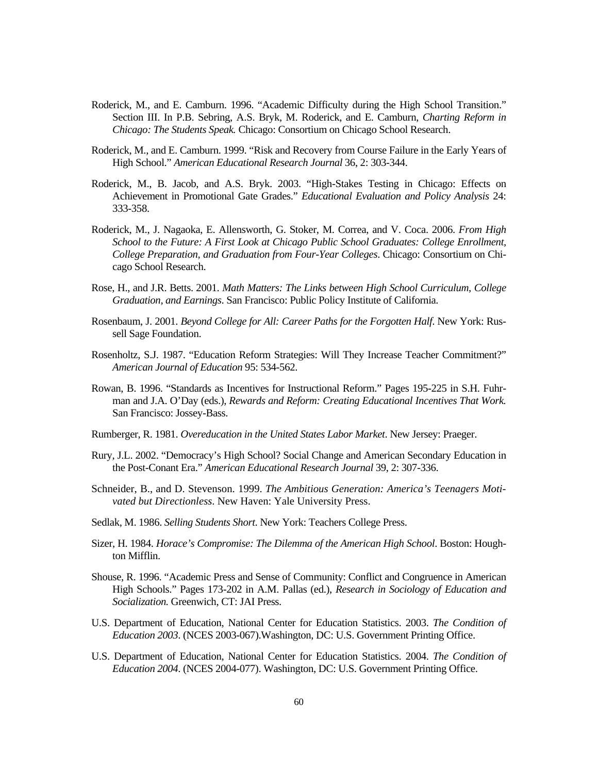- Roderick, M., and E. Camburn. 1996. "Academic Difficulty during the High School Transition." Section III. In P.B. Sebring, A.S. Bryk, M. Roderick, and E. Camburn, *Charting Reform in Chicago: The Students Speak.* Chicago: Consortium on Chicago School Research.
- Roderick, M., and E. Camburn. 1999. "Risk and Recovery from Course Failure in the Early Years of High School." *American Educational Research Journal* 36, 2: 303-344.
- Roderick, M., B. Jacob, and A.S. Bryk. 2003. "High-Stakes Testing in Chicago: Effects on Achievement in Promotional Gate Grades." *Educational Evaluation and Policy Analysis* 24: 333-358.
- Roderick, M., J. Nagaoka, E. Allensworth, G. Stoker, M. Correa, and V. Coca. 2006. *From High School to the Future: A First Look at Chicago Public School Graduates: College Enrollment, College Preparation, and Graduation from Four-Year Colleges*. Chicago: Consortium on Chicago School Research.
- Rose, H., and J.R. Betts. 2001. *Math Matters: The Links between High School Curriculum, College Graduation, and Earnings*. San Francisco: Public Policy Institute of California.
- Rosenbaum, J. 2001. *Beyond College for All: Career Paths for the Forgotten Half*. New York: Russell Sage Foundation.
- Rosenholtz, S.J. 1987. "Education Reform Strategies: Will They Increase Teacher Commitment?" *American Journal of Education* 95: 534-562.
- Rowan, B. 1996. "Standards as Incentives for Instructional Reform." Pages 195-225 in S.H. Fuhrman and J.A. O'Day (eds.), *Rewards and Reform: Creating Educational Incentives That Work.*  San Francisco: Jossey-Bass.
- Rumberger, R. 1981. *Overeducation in the United States Labor Market*. New Jersey: Praeger.
- Rury, J.L. 2002. "Democracy's High School? Social Change and American Secondary Education in the Post-Conant Era." *American Educational Research Journal* 39, 2: 307-336.
- Schneider, B., and D. Stevenson. 1999. *The Ambitious Generation: America's Teenagers Motivated but Directionless*. New Haven: Yale University Press.
- Sedlak, M. 1986. *Selling Students Short*. New York: Teachers College Press.
- Sizer, H. 1984. *Horace's Compromise: The Dilemma of the American High School*. Boston: Houghton Mifflin.
- Shouse, R. 1996. "Academic Press and Sense of Community: Conflict and Congruence in American High Schools." Pages 173-202 in A.M. Pallas (ed.), *Research in Sociology of Education and Socialization.* Greenwich, CT: JAI Press.
- U.S. Department of Education, National Center for Education Statistics. 2003. *The Condition of Education 2003*. (NCES 2003-067).Washington, DC: U.S. Government Printing Office.
- U.S. Department of Education, National Center for Education Statistics. 2004. *The Condition of Education 2004*. (NCES 2004-077). Washington, DC: U.S. Government Printing Office.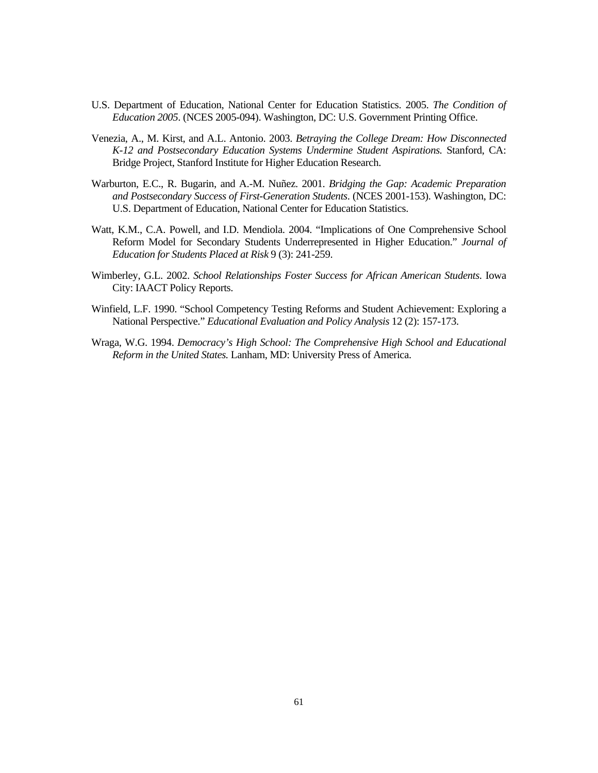- U.S. Department of Education, National Center for Education Statistics. 2005. *The Condition of Education 2005*. (NCES 2005-094). Washington, DC: U.S. Government Printing Office.
- Venezia, A., M. Kirst, and A.L. Antonio. 2003. *Betraying the College Dream: How Disconnected K-12 and Postsecondary Education Systems Undermine Student Aspirations.* Stanford, CA: Bridge Project, Stanford Institute for Higher Education Research.
- Warburton, E.C., R. Bugarin, and A.-M. Nuñez. 2001. *Bridging the Gap: Academic Preparation and Postsecondary Success of First-Generation Students*. (NCES 2001-153). Washington, DC: U.S. Department of Education, National Center for Education Statistics.
- Watt, K.M., C.A. Powell, and I.D. Mendiola. 2004. "Implications of One Comprehensive School Reform Model for Secondary Students Underrepresented in Higher Education." *Journal of Education for Students Placed at Risk* 9 (3): 241-259.
- Wimberley, G.L. 2002. *School Relationships Foster Success for African American Students*. Iowa City: IAACT Policy Reports.
- Winfield, L.F. 1990. "School Competency Testing Reforms and Student Achievement: Exploring a National Perspective." *Educational Evaluation and Policy Analysis* 12 (2): 157-173.
- Wraga, W.G. 1994. *Democracy's High School: The Comprehensive High School and Educational Reform in the United States.* Lanham, MD: University Press of America.